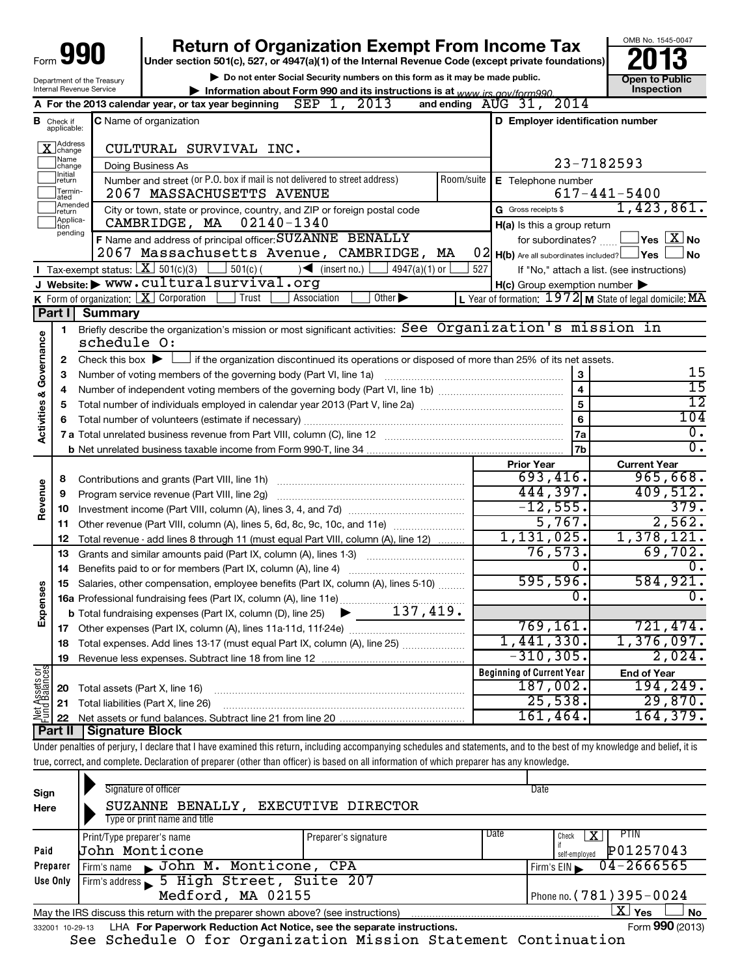|                                    |                                  |                                                                   | <b>Return of Organization Exempt From Income Tax</b>                                                                                                                       |            |                                                                                                 | OMB No. 1545-0047                                         |
|------------------------------------|----------------------------------|-------------------------------------------------------------------|----------------------------------------------------------------------------------------------------------------------------------------------------------------------------|------------|-------------------------------------------------------------------------------------------------|-----------------------------------------------------------|
| Form                               |                                  |                                                                   | Under section 501(c), 527, or 4947(a)(1) of the Internal Revenue Code (except private foundations)                                                                         |            |                                                                                                 |                                                           |
| Department of the Treasury         |                                  |                                                                   | Do not enter Social Security numbers on this form as it may be made public.                                                                                                |            |                                                                                                 | Open to Public                                            |
|                                    |                                  | Internal Revenue Service                                          | Information about Form 990 and its instructions is at www irs gov/form990                                                                                                  |            |                                                                                                 | Inspection                                                |
|                                    |                                  |                                                                   | A For the 2013 calendar year, or tax year beginning $\text{SEP}$ 1, 2013                                                                                                   |            | and ending $\overline{A}UG$ 31, 2014                                                            |                                                           |
|                                    | <b>B</b> Check if<br>applicable: |                                                                   | C Name of organization                                                                                                                                                     |            | D Employer identification number                                                                |                                                           |
|                                    | X Address                        |                                                                   | CULTURAL SURVIVAL INC.                                                                                                                                                     |            |                                                                                                 |                                                           |
|                                    | Name<br>change                   |                                                                   | Doing Business As                                                                                                                                                          |            |                                                                                                 | 23-7182593                                                |
|                                    | Ilnitial<br>return               |                                                                   | Number and street (or P.O. box if mail is not delivered to street address)                                                                                                 | Room/suite | E Telephone number                                                                              |                                                           |
|                                    | Termin-<br>lated                 |                                                                   | 2067 MASSACHUSETTS AVENUE                                                                                                                                                  |            |                                                                                                 | $617 - 441 - 5400$                                        |
|                                    | Amended<br>Ireturn               |                                                                   | City or town, state or province, country, and ZIP or foreign postal code                                                                                                   |            | G Gross receipts \$                                                                             | 1,423,861.                                                |
|                                    | Applica-<br>tion                 |                                                                   | CAMBRIDGE, MA  02140-1340                                                                                                                                                  |            | H(a) Is this a group return                                                                     |                                                           |
|                                    | pending                          |                                                                   | F Name and address of principal officer: SUZANNE BENALLY                                                                                                                   |            | for subordinates?                                                                               | $\mathsf{l}$ Yes $\mathsf{l}$ $\mathsf{X} \mathsf{l}$ No  |
|                                    |                                  |                                                                   | 2067 Massachusetts Avenue, CAMBRIDGE, MA                                                                                                                                   |            | $\begin{bmatrix} 0 & 2 \\ 1 & 0 \end{bmatrix}$ Are all subordinates included? $\Box$ Yes $\Box$ | J No                                                      |
|                                    |                                  | <b>I</b> Tax-exempt status: $X \mid 501(c)(3)$                    | $501(c)$ (<br>$\sqrt{\frac{1}{1}}$ (insert no.)<br>$4947(a)(1)$ or                                                                                                         | 527        |                                                                                                 | If "No," attach a list. (see instructions)                |
|                                    |                                  |                                                                   | J Website: WWW.culturalsurvival.org                                                                                                                                        |            | $H(c)$ Group exemption number $\blacktriangleright$                                             |                                                           |
|                                    |                                  |                                                                   | K Form of organization: $X$ Corporation<br>Trust<br>Other $\blacktriangleright$<br>Association                                                                             |            |                                                                                                 | L Year of formation: $1972$ M State of legal domicile: MA |
|                                    | Part I                           | <b>Summary</b>                                                    |                                                                                                                                                                            |            |                                                                                                 |                                                           |
|                                    | 1                                |                                                                   | Briefly describe the organization's mission or most significant activities: See Organization's mission in                                                                  |            |                                                                                                 |                                                           |
|                                    |                                  | schedule O:                                                       |                                                                                                                                                                            |            |                                                                                                 |                                                           |
| <b>Activities &amp; Governance</b> | 2                                | Check this box $\blacktriangleright$                              | if the organization discontinued its operations or disposed of more than 25% of its net assets.                                                                            |            |                                                                                                 |                                                           |
|                                    | з                                | Number of voting members of the governing body (Part VI, line 1a) | 3                                                                                                                                                                          | 15<br>15   |                                                                                                 |                                                           |
|                                    | 4                                |                                                                   |                                                                                                                                                                            |            | $\overline{\mathbf{4}}$                                                                         | $\overline{12}$                                           |
|                                    | 5                                |                                                                   |                                                                                                                                                                            |            | 5                                                                                               | 104                                                       |
|                                    | 6                                |                                                                   |                                                                                                                                                                            |            | 6                                                                                               | $\overline{0}$ .                                          |
|                                    |                                  |                                                                   |                                                                                                                                                                            |            | <b>7a</b><br>7 <sub>b</sub>                                                                     | 0.                                                        |
|                                    |                                  |                                                                   |                                                                                                                                                                            |            | <b>Prior Year</b>                                                                               | <b>Current Year</b>                                       |
|                                    | 8                                |                                                                   |                                                                                                                                                                            |            | 693,416.                                                                                        | 965,668.                                                  |
| Revenue                            | 9                                |                                                                   | Program service revenue (Part VIII, line 2g)                                                                                                                               |            | 444,397.                                                                                        | 409,512.                                                  |
|                                    | 10                               |                                                                   |                                                                                                                                                                            |            | $-12,555.$                                                                                      | 379.                                                      |
|                                    | 11                               |                                                                   | Other revenue (Part VIII, column (A), lines 5, 6d, 8c, 9c, 10c, and 11e)                                                                                                   |            | 5,767.                                                                                          | 2,562.                                                    |
|                                    | 12                               |                                                                   | Total revenue - add lines 8 through 11 (must equal Part VIII, column (A), line 12)                                                                                         |            | 1,131,025.                                                                                      | 1,378,121.                                                |
|                                    | 13                               |                                                                   | Grants and similar amounts paid (Part IX, column (A), lines 1-3)                                                                                                           |            | 76, 573.                                                                                        | 69,702.                                                   |
|                                    | 14                               |                                                                   | Benefits paid to or for members (Part IX, column (A), line 4)                                                                                                              |            | Ο.                                                                                              | 0.                                                        |
| őθ                                 | 15                               |                                                                   | Salaries, other compensation, employee benefits (Part IX, column (A), lines 5-10)                                                                                          |            | 595,596.                                                                                        | 584,921.                                                  |
|                                    |                                  |                                                                   |                                                                                                                                                                            |            | 0.                                                                                              | $\overline{0}$ .                                          |
| Expense                            |                                  |                                                                   |                                                                                                                                                                            |            |                                                                                                 |                                                           |
|                                    | 17                               |                                                                   |                                                                                                                                                                            |            | 769, 161.                                                                                       | 721,474.                                                  |
|                                    | 18                               |                                                                   | Total expenses. Add lines 13-17 (must equal Part IX, column (A), line 25)                                                                                                  |            | 1,441,330.                                                                                      | 1,376,097.                                                |
|                                    | 19                               |                                                                   |                                                                                                                                                                            |            | $-310, 305.$                                                                                    | 2,024.                                                    |
|                                    |                                  |                                                                   |                                                                                                                                                                            |            | <b>Beginning of Current Year</b>                                                                | <b>End of Year</b>                                        |
| Net Assets or<br>Fund Balances     | 20                               | Total assets (Part X, line 16)                                    |                                                                                                                                                                            |            | 187,002.                                                                                        | 194,249.                                                  |
|                                    | 21                               |                                                                   | Total liabilities (Part X, line 26)                                                                                                                                        |            | 25,538.                                                                                         | 29,870.                                                   |
|                                    | 22                               |                                                                   |                                                                                                                                                                            |            | 161,464.                                                                                        | 164, 379.                                                 |
|                                    | Part II                          | <b>Signature Block</b>                                            |                                                                                                                                                                            |            |                                                                                                 |                                                           |
|                                    |                                  |                                                                   | Under penalties of perjury, I declare that I have examined this return, including accompanying schedules and statements, and to the best of my knowledge and belief, it is |            |                                                                                                 |                                                           |
|                                    |                                  |                                                                   | true, correct, and complete. Declaration of preparer (other than officer) is based on all information of which preparer has any knowledge.                                 |            |                                                                                                 |                                                           |
|                                    |                                  |                                                                   |                                                                                                                                                                            |            |                                                                                                 |                                                           |

| Sign<br>Here                                        | Signature of officer<br>SUZANNE BENALLY, EXECUTIVE DIRECTOR<br>Type or print name and title                        |                      |      | Date                                        |  |  |
|-----------------------------------------------------|--------------------------------------------------------------------------------------------------------------------|----------------------|------|---------------------------------------------|--|--|
| Paid                                                | Print/Type preparer's name<br><b>John Monticone</b>                                                                | Preparer's signature | Date | PTIN<br>Check<br>P01257043<br>self-employed |  |  |
| Preparer                                            | Firm's name John M. Monticone, CPA                                                                                 |                      |      | $04 - 2666565$<br>Firm's EIN                |  |  |
| Firm's address 5 High Street, Suite 207<br>Use Only |                                                                                                                    |                      |      |                                             |  |  |
| Medford, MA 02155                                   |                                                                                                                    |                      |      | Phone no. (781) 395-0024                    |  |  |
|                                                     | $\mathbf{X}$ Yes<br><b>No</b><br>May the IRS discuss this return with the preparer shown above? (see instructions) |                      |      |                                             |  |  |
|                                                     | Form 990 (2013)<br>LHA For Paperwork Reduction Act Notice, see the separate instructions.<br>332001 10-29-13       |                      |      |                                             |  |  |

See Schedule O for Organization Mission Statement Continuation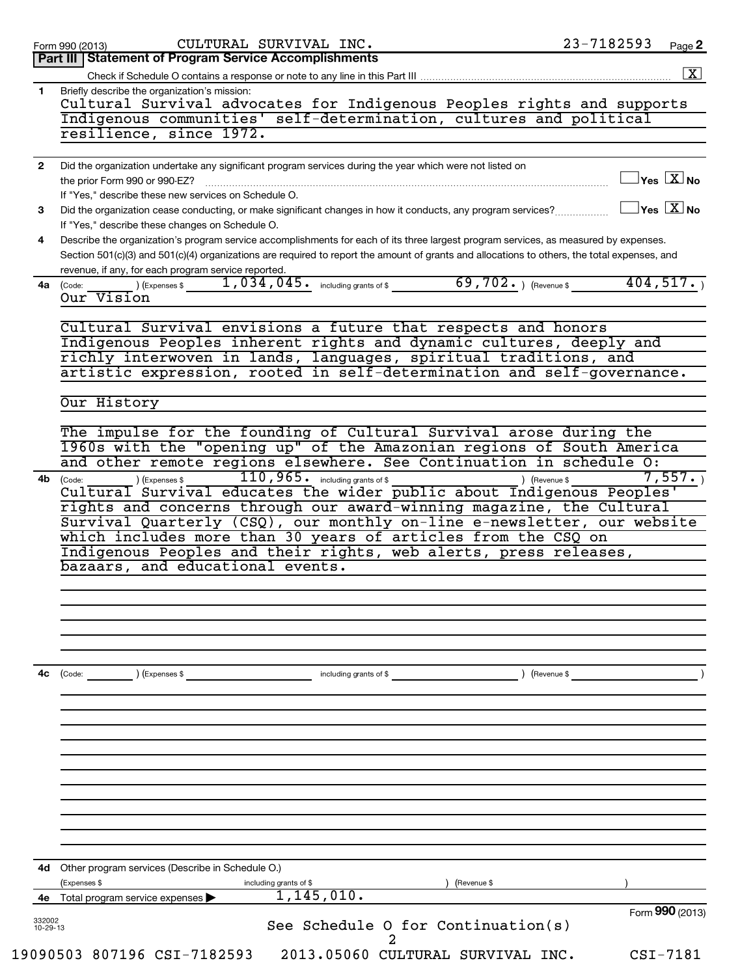|                    | 23-7182593<br>CULTURAL SURVIVAL INC.<br>Page 2<br>Form 990 (2013)                                                                                                                                                                                                                                                                       |
|--------------------|-----------------------------------------------------------------------------------------------------------------------------------------------------------------------------------------------------------------------------------------------------------------------------------------------------------------------------------------|
|                    | Part III   Statement of Program Service Accomplishments                                                                                                                                                                                                                                                                                 |
|                    | Check if Schedule O contains a response or note to any line in this Part III                                                                                                                                                                                                                                                            |
| $\mathbf{1}$       | Briefly describe the organization's mission:<br>Cultural Survival advocates for Indigenous Peoples rights and supports<br>Indigenous communities' self-determination, cultures and political                                                                                                                                            |
|                    | resilience, since 1972.                                                                                                                                                                                                                                                                                                                 |
| $\mathbf{2}$       | Did the organization undertake any significant program services during the year which were not listed on                                                                                                                                                                                                                                |
|                    | $\mathbb{I}$ Yes $\boxed{\text{X}}$ No<br>the prior Form 990 or 990-EZ?                                                                                                                                                                                                                                                                 |
|                    | If "Yes," describe these new services on Schedule O.                                                                                                                                                                                                                                                                                    |
| 3                  | $\sqrt{\ }$ Yes $\boxed{\text{X}}$ No<br>Did the organization cease conducting, or make significant changes in how it conducts, any program services?                                                                                                                                                                                   |
| 4                  | If "Yes," describe these changes on Schedule O.<br>Describe the organization's program service accomplishments for each of its three largest program services, as measured by expenses.<br>Section 501(c)(3) and 501(c)(4) organizations are required to report the amount of grants and allocations to others, the total expenses, and |
|                    | revenue, if any, for each program service reported.                                                                                                                                                                                                                                                                                     |
|                    | 69,702. $ $ (Revenue \$<br>404,517.<br>$1,034,045$ $\cdot$ including grants of \$<br>4a (Code:<br>) (Expenses \$<br>Our Vision                                                                                                                                                                                                          |
|                    | Cultural Survival envisions a future that respects and honors                                                                                                                                                                                                                                                                           |
|                    | Indigenous Peoples inherent rights and dynamic cultures, deeply and                                                                                                                                                                                                                                                                     |
|                    | richly interwoven in lands, languages, spiritual traditions, and                                                                                                                                                                                                                                                                        |
|                    | artistic expression, rooted in self-determination and self-governance.                                                                                                                                                                                                                                                                  |
|                    | Our History                                                                                                                                                                                                                                                                                                                             |
|                    | The impulse for the founding of Cultural Survival arose during the                                                                                                                                                                                                                                                                      |
|                    | 1960s with the "opening up" of the Amazonian regions of South America                                                                                                                                                                                                                                                                   |
|                    | and other remote regions elsewhere. See Continuation in schedule O:                                                                                                                                                                                                                                                                     |
| 4b                 | $110, 965$ $\cdot$ including grants of \$<br>7,557.<br>) (Expenses \$<br>) (Revenue \$<br>(Code:                                                                                                                                                                                                                                        |
|                    | Cultural Survival educates the wider public about Indigenous Peoples'                                                                                                                                                                                                                                                                   |
|                    | rights and concerns through our award-winning magazine, the Cultural                                                                                                                                                                                                                                                                    |
|                    | Survival Quarterly (CSQ), our monthly on-line e-newsletter, our website<br>which includes more than 30 years of articles from the CSQ on                                                                                                                                                                                                |
|                    | Indigenous Peoples and their rights, web alerts, press releases,                                                                                                                                                                                                                                                                        |
|                    | bazaars, and educational events.                                                                                                                                                                                                                                                                                                        |
|                    |                                                                                                                                                                                                                                                                                                                                         |
|                    |                                                                                                                                                                                                                                                                                                                                         |
|                    |                                                                                                                                                                                                                                                                                                                                         |
|                    |                                                                                                                                                                                                                                                                                                                                         |
|                    |                                                                                                                                                                                                                                                                                                                                         |
| 4c                 | including grants of \$<br>) (Expenses \$<br>) (Revenue \$<br>(Code:                                                                                                                                                                                                                                                                     |
|                    |                                                                                                                                                                                                                                                                                                                                         |
|                    |                                                                                                                                                                                                                                                                                                                                         |
|                    |                                                                                                                                                                                                                                                                                                                                         |
|                    |                                                                                                                                                                                                                                                                                                                                         |
|                    |                                                                                                                                                                                                                                                                                                                                         |
|                    |                                                                                                                                                                                                                                                                                                                                         |
|                    |                                                                                                                                                                                                                                                                                                                                         |
|                    |                                                                                                                                                                                                                                                                                                                                         |
|                    |                                                                                                                                                                                                                                                                                                                                         |
|                    |                                                                                                                                                                                                                                                                                                                                         |
|                    | Other program services (Describe in Schedule O.)<br>(Expenses \$<br>including grants of \$<br>(Revenue \$                                                                                                                                                                                                                               |
| 4d<br>4е           | 1, 145, 010.<br>Total program service expenses                                                                                                                                                                                                                                                                                          |
| 332002<br>10-29-13 | Form 990 (2013)<br>See Schedule O for Continuation(s)                                                                                                                                                                                                                                                                                   |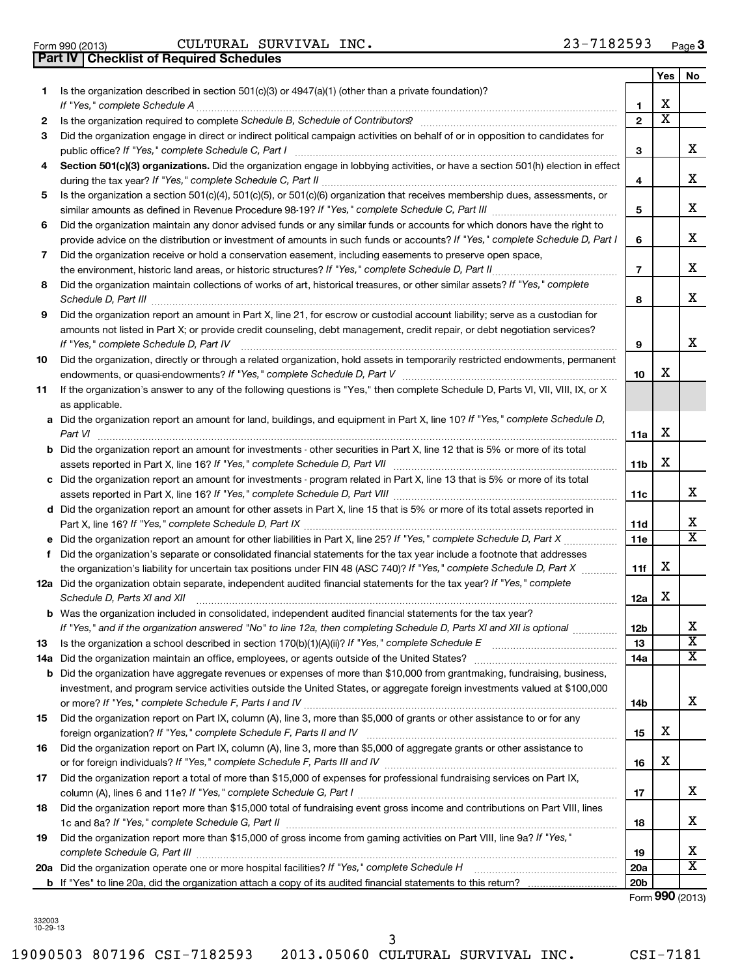332003 10-29-13

|  | 19090503 807196 CSI-7182593 2013.05060 CULTURAL SURVIVAL INC. |  | CSI-7181 |
|--|---------------------------------------------------------------|--|----------|

# Form 990 (2013) Page CULTURAL SURVIVAL INC. 23-7182593 **Part IV Checklist of Required Schedules**

|           |                                                                                                                                                                                                                                                                                                                                                                     |                 | Yes                     | No                      |
|-----------|---------------------------------------------------------------------------------------------------------------------------------------------------------------------------------------------------------------------------------------------------------------------------------------------------------------------------------------------------------------------|-----------------|-------------------------|-------------------------|
| 1         | Is the organization described in section 501(c)(3) or 4947(a)(1) (other than a private foundation)?                                                                                                                                                                                                                                                                 |                 |                         |                         |
|           |                                                                                                                                                                                                                                                                                                                                                                     | 1               | х                       |                         |
| 2         |                                                                                                                                                                                                                                                                                                                                                                     | $\mathbf{2}$    | $\overline{\textbf{x}}$ |                         |
| 3         | Did the organization engage in direct or indirect political campaign activities on behalf of or in opposition to candidates for                                                                                                                                                                                                                                     |                 |                         |                         |
|           |                                                                                                                                                                                                                                                                                                                                                                     | 3               |                         | X                       |
| 4         | Section 501(c)(3) organizations. Did the organization engage in lobbying activities, or have a section 501(h) election in effect                                                                                                                                                                                                                                    |                 |                         |                         |
|           |                                                                                                                                                                                                                                                                                                                                                                     | 4               |                         | X                       |
| 5         | Is the organization a section 501(c)(4), 501(c)(5), or 501(c)(6) organization that receives membership dues, assessments, or                                                                                                                                                                                                                                        |                 |                         |                         |
|           |                                                                                                                                                                                                                                                                                                                                                                     | 5               |                         | х                       |
| 6         | Did the organization maintain any donor advised funds or any similar funds or accounts for which donors have the right to                                                                                                                                                                                                                                           |                 |                         |                         |
|           | provide advice on the distribution or investment of amounts in such funds or accounts? If "Yes," complete Schedule D, Part I                                                                                                                                                                                                                                        | 6               |                         | X                       |
| 7         | Did the organization receive or hold a conservation easement, including easements to preserve open space,                                                                                                                                                                                                                                                           |                 |                         |                         |
|           | the environment, historic land areas, or historic structures? If "Yes," complete Schedule D, Part II                                                                                                                                                                                                                                                                | $\overline{7}$  |                         | X                       |
| 8         | Did the organization maintain collections of works of art, historical treasures, or other similar assets? If "Yes," complete<br>Schedule D, Part III <b>Entertainment and Construction Construction</b> Construction Construction Construction Construction Construction Construction Construction Construction Construction Construction Construction Construction | 8               |                         | х                       |
| 9         | Did the organization report an amount in Part X, line 21, for escrow or custodial account liability; serve as a custodian for                                                                                                                                                                                                                                       |                 |                         |                         |
|           | amounts not listed in Part X; or provide credit counseling, debt management, credit repair, or debt negotiation services?                                                                                                                                                                                                                                           |                 |                         |                         |
|           | If "Yes," complete Schedule D, Part IV [11] [12] [12] [12] [13] [13] [14] [15] [15] [15] [15] [15] [15] [15] [                                                                                                                                                                                                                                                      | 9               |                         | X                       |
| 10        | Did the organization, directly or through a related organization, hold assets in temporarily restricted endowments, permanent                                                                                                                                                                                                                                       | 10              | x                       |                         |
| 11        | If the organization's answer to any of the following questions is "Yes," then complete Schedule D, Parts VI, VII, VIII, IX, or X                                                                                                                                                                                                                                    |                 |                         |                         |
|           | as applicable.                                                                                                                                                                                                                                                                                                                                                      |                 |                         |                         |
|           | a Did the organization report an amount for land, buildings, and equipment in Part X, line 10? If "Yes," complete Schedule D,                                                                                                                                                                                                                                       |                 |                         |                         |
|           | Part VI                                                                                                                                                                                                                                                                                                                                                             | 11a             | х                       |                         |
|           | <b>b</b> Did the organization report an amount for investments - other securities in Part X, line 12 that is 5% or more of its total                                                                                                                                                                                                                                |                 |                         |                         |
|           | assets reported in Part X, line 16? If "Yes," complete Schedule D, Part VII [[[[[[[[[[[[[[[[[[[[[[[[[[[[[[]]]]                                                                                                                                                                                                                                                      | 11b             | х                       |                         |
|           | c Did the organization report an amount for investments - program related in Part X, line 13 that is 5% or more of its total                                                                                                                                                                                                                                        |                 |                         |                         |
|           |                                                                                                                                                                                                                                                                                                                                                                     | 11c             |                         | х                       |
|           | d Did the organization report an amount for other assets in Part X, line 15 that is 5% or more of its total assets reported in                                                                                                                                                                                                                                      |                 |                         |                         |
|           |                                                                                                                                                                                                                                                                                                                                                                     | 11d             |                         | х                       |
|           |                                                                                                                                                                                                                                                                                                                                                                     | 11e             |                         | $\overline{\textbf{x}}$ |
| f         | Did the organization's separate or consolidated financial statements for the tax year include a footnote that addresses                                                                                                                                                                                                                                             |                 |                         |                         |
|           | the organization's liability for uncertain tax positions under FIN 48 (ASC 740)? If "Yes," complete Schedule D, Part X                                                                                                                                                                                                                                              | 11f             | x                       |                         |
|           | 12a Did the organization obtain separate, independent audited financial statements for the tax year? If "Yes," complete                                                                                                                                                                                                                                             |                 |                         |                         |
|           | Schedule D, Parts XI and XII                                                                                                                                                                                                                                                                                                                                        | 12a             | х                       |                         |
|           | <b>b</b> Was the organization included in consolidated, independent audited financial statements for the tax year?                                                                                                                                                                                                                                                  |                 |                         | х                       |
|           | If "Yes," and if the organization answered "No" to line 12a, then completing Schedule D, Parts XI and XII is optional                                                                                                                                                                                                                                               | 12 <sub>b</sub> |                         | $\overline{\textbf{x}}$ |
| 13<br>14a | Did the organization maintain an office, employees, or agents outside of the United States? [111] Did the organization maintain an office, employees, or agents outside of the United States?                                                                                                                                                                       | 13<br>14a       |                         | $\overline{\textbf{X}}$ |
|           | <b>b</b> Did the organization have aggregate revenues or expenses of more than \$10,000 from grantmaking, fundraising, business,                                                                                                                                                                                                                                    |                 |                         |                         |
|           | investment, and program service activities outside the United States, or aggregate foreign investments valued at \$100,000                                                                                                                                                                                                                                          |                 |                         |                         |
|           |                                                                                                                                                                                                                                                                                                                                                                     | 14b             |                         | х                       |
| 15        | Did the organization report on Part IX, column (A), line 3, more than \$5,000 of grants or other assistance to or for any                                                                                                                                                                                                                                           |                 |                         |                         |
|           |                                                                                                                                                                                                                                                                                                                                                                     | 15              | х                       |                         |
| 16        | Did the organization report on Part IX, column (A), line 3, more than \$5,000 of aggregate grants or other assistance to                                                                                                                                                                                                                                            |                 |                         |                         |
|           |                                                                                                                                                                                                                                                                                                                                                                     | 16              | х                       |                         |
| 17        | Did the organization report a total of more than \$15,000 of expenses for professional fundraising services on Part IX,                                                                                                                                                                                                                                             |                 |                         |                         |
|           |                                                                                                                                                                                                                                                                                                                                                                     | 17              |                         | х                       |
| 18        | Did the organization report more than \$15,000 total of fundraising event gross income and contributions on Part VIII, lines                                                                                                                                                                                                                                        |                 |                         |                         |
|           |                                                                                                                                                                                                                                                                                                                                                                     | 18              |                         | х                       |
| 19        | Did the organization report more than \$15,000 of gross income from gaming activities on Part VIII, line 9a? If "Yes,"                                                                                                                                                                                                                                              |                 |                         |                         |
|           | complete Schedule G, Part III                                                                                                                                                                                                                                                                                                                                       | 19              |                         | х                       |
|           |                                                                                                                                                                                                                                                                                                                                                                     | <b>20a</b>      |                         | $\overline{\textbf{X}}$ |
|           |                                                                                                                                                                                                                                                                                                                                                                     | 20 <sub>b</sub> |                         |                         |

Form (2013) **990**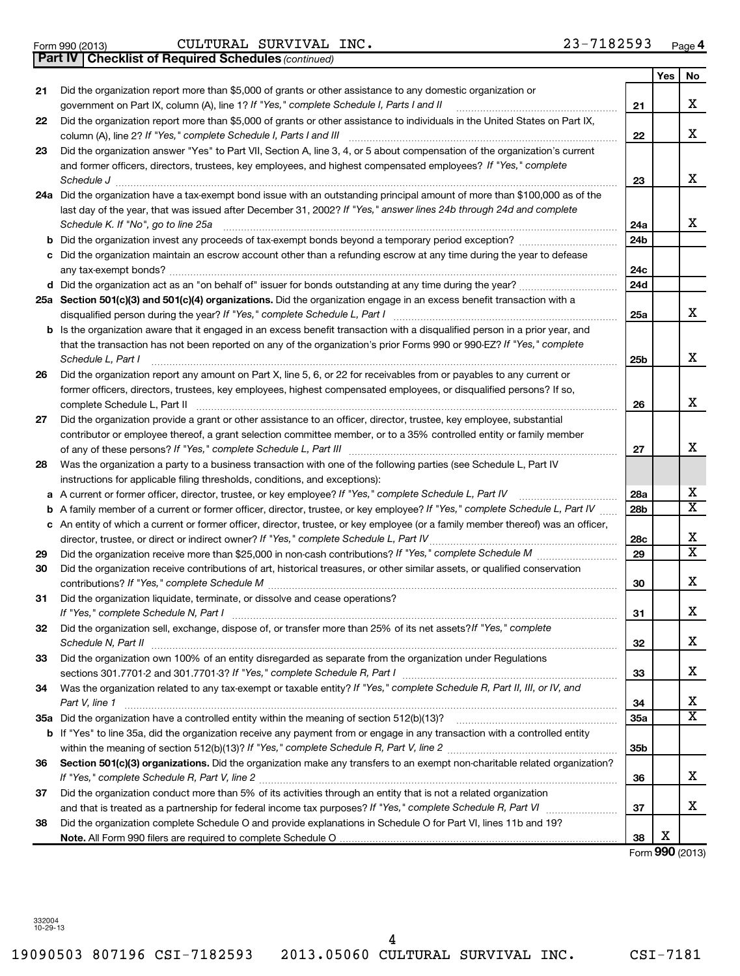Form 990 (2013) Page CULTURAL SURVIVAL INC. 23-7182593

*(continued)* **Part IV Checklist of Required Schedules**

|     |                                                                                                                                                                                                                             |     | Yes | No |
|-----|-----------------------------------------------------------------------------------------------------------------------------------------------------------------------------------------------------------------------------|-----|-----|----|
| 21  | Did the organization report more than \$5,000 of grants or other assistance to any domestic organization or<br>government on Part IX, column (A), line 1? If "Yes," complete Schedule I, Parts I and II                     | 21  |     | х  |
| 22  | Did the organization report more than \$5,000 of grants or other assistance to individuals in the United States on Part IX,<br>column (A), line 2? If "Yes," complete Schedule I, Parts I and III                           | 22  |     | х  |
| 23  | Did the organization answer "Yes" to Part VII, Section A, line 3, 4, or 5 about compensation of the organization's current                                                                                                  |     |     |    |
|     | and former officers, directors, trustees, key employees, and highest compensated employees? If "Yes," complete                                                                                                              |     |     |    |
|     | Schedule J                                                                                                                                                                                                                  | 23  |     | х  |
|     | 24a Did the organization have a tax-exempt bond issue with an outstanding principal amount of more than \$100,000 as of the                                                                                                 |     |     |    |
|     | last day of the year, that was issued after December 31, 2002? If "Yes," answer lines 24b through 24d and complete<br>Schedule K. If "No", go to line 25a                                                                   | 24a |     | x  |
| b   |                                                                                                                                                                                                                             | 24b |     |    |
| с   | Did the organization maintain an escrow account other than a refunding escrow at any time during the year to defease                                                                                                        |     |     |    |
|     |                                                                                                                                                                                                                             | 24c |     |    |
|     |                                                                                                                                                                                                                             | 24d |     |    |
|     | 25a Section 501(c)(3) and 501(c)(4) organizations. Did the organization engage in an excess benefit transaction with a                                                                                                      | 25a |     | х  |
|     | b Is the organization aware that it engaged in an excess benefit transaction with a disqualified person in a prior year, and                                                                                                |     |     |    |
|     | that the transaction has not been reported on any of the organization's prior Forms 990 or 990-EZ? If "Yes," complete<br>Schedule L, Part I                                                                                 | 25b |     | х  |
| 26  | Did the organization report any amount on Part X, line 5, 6, or 22 for receivables from or payables to any current or                                                                                                       |     |     |    |
|     | former officers, directors, trustees, key employees, highest compensated employees, or disqualified persons? If so,                                                                                                         |     |     |    |
|     | complete Schedule L, Part II                                                                                                                                                                                                | 26  |     | х  |
| 27  | Did the organization provide a grant or other assistance to an officer, director, trustee, key employee, substantial                                                                                                        |     |     |    |
|     | contributor or employee thereof, a grant selection committee member, or to a 35% controlled entity or family member                                                                                                         |     |     |    |
|     |                                                                                                                                                                                                                             | 27  |     | х  |
| 28  | Was the organization a party to a business transaction with one of the following parties (see Schedule L, Part IV                                                                                                           |     |     |    |
|     | instructions for applicable filing thresholds, conditions, and exceptions):                                                                                                                                                 |     |     |    |
|     | a A current or former officer, director, trustee, or key employee? If "Yes," complete Schedule L, Part IV                                                                                                                   | 28a |     | х  |
| b   | A family member of a current or former officer, director, trustee, or key employee? If "Yes," complete Schedule L, Part IV                                                                                                  | 28b |     | х  |
|     | c An entity of which a current or former officer, director, trustee, or key employee (or a family member thereof) was an officer,<br>director, trustee, or direct or indirect owner? If "Yes," complete Schedule L, Part IV | 28c |     | х  |
| 29  |                                                                                                                                                                                                                             | 29  |     | X  |
| 30  | Did the organization receive contributions of art, historical treasures, or other similar assets, or qualified conservation                                                                                                 | 30  |     | x  |
| 31  | Did the organization liquidate, terminate, or dissolve and cease operations?                                                                                                                                                |     |     |    |
|     |                                                                                                                                                                                                                             | 31  |     | х  |
| 32  | Did the organization sell, exchange, dispose of, or transfer more than 25% of its net assets? If "Yes," complete                                                                                                            | 32  |     | х  |
| 33  | Did the organization own 100% of an entity disregarded as separate from the organization under Regulations                                                                                                                  | 33  |     | x  |
| 34  | Was the organization related to any tax-exempt or taxable entity? If "Yes," complete Schedule R, Part II, III, or IV, and<br>Part V, line 1                                                                                 | 34  |     | х  |
| 35a |                                                                                                                                                                                                                             | 35a |     | х  |
| b   | If "Yes" to line 35a, did the organization receive any payment from or engage in any transaction with a controlled entity                                                                                                   | 35b |     |    |
| 36  | Section 501(c)(3) organizations. Did the organization make any transfers to an exempt non-charitable related organization?                                                                                                  |     |     |    |
|     |                                                                                                                                                                                                                             | 36  |     | x  |
| 37  | Did the organization conduct more than 5% of its activities through an entity that is not a related organization                                                                                                            |     |     |    |
|     |                                                                                                                                                                                                                             | 37  |     | х  |
| 38  | Did the organization complete Schedule O and provide explanations in Schedule O for Part VI, lines 11b and 19?                                                                                                              |     | Х   |    |
|     |                                                                                                                                                                                                                             | 38  |     |    |

Form (2013) **990**

332004 10-29-13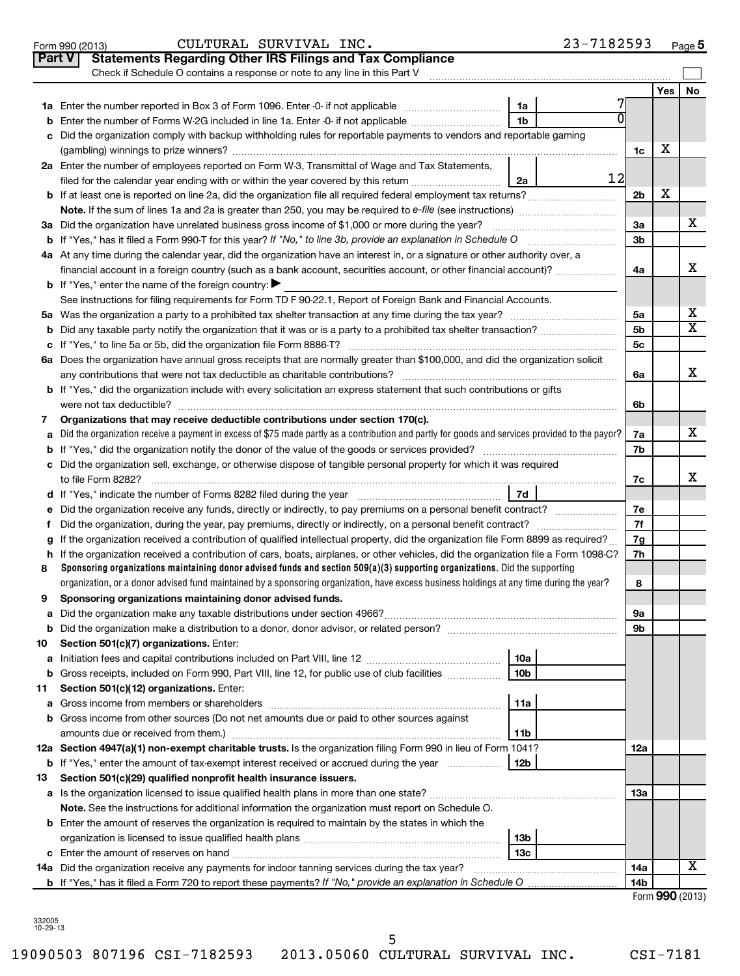| <b>Part V</b> | <b>Statements Regarding Other IRS Filings and Tax Compliance</b>                                                                                |                 |    |                      |                 |                         |
|---------------|-------------------------------------------------------------------------------------------------------------------------------------------------|-----------------|----|----------------------|-----------------|-------------------------|
|               | Check if Schedule O contains a response or note to any line in this Part V                                                                      |                 |    |                      |                 |                         |
|               |                                                                                                                                                 |                 |    |                      | Yes   No        |                         |
|               |                                                                                                                                                 | 1a              |    |                      |                 |                         |
|               | <b>b</b> Enter the number of Forms W-2G included in line 1a. Enter -0- if not applicable                                                        | 1 <sub>b</sub>  |    |                      |                 |                         |
| c             | Did the organization comply with backup withholding rules for reportable payments to vendors and reportable gaming                              |                 |    |                      |                 |                         |
|               |                                                                                                                                                 |                 |    | 1c                   | х               |                         |
|               | 2a Enter the number of employees reported on Form W-3, Transmittal of Wage and Tax Statements,                                                  |                 |    |                      |                 |                         |
|               | filed for the calendar year ending with or within the year covered by this return                                                               | 2a              | 12 |                      |                 |                         |
|               | <b>b</b> If at least one is reported on line 2a, did the organization file all required federal employment tax returns?                         |                 |    | 2 <sub>b</sub>       | х               |                         |
|               | <b>Note.</b> If the sum of lines 1a and 2a is greater than 250, you may be required to e-file (see instructions)                                |                 |    |                      |                 |                         |
|               | 3a Did the organization have unrelated business gross income of \$1,000 or more during the year?                                                |                 |    | 3a                   |                 | х                       |
|               |                                                                                                                                                 |                 |    | 3 <sub>b</sub>       |                 |                         |
|               | 4a At any time during the calendar year, did the organization have an interest in, or a signature or other authority over, a                    |                 |    |                      |                 | х                       |
|               | financial account in a foreign country (such as a bank account, securities account, or other financial account)?                                |                 |    | 4a                   |                 |                         |
|               | <b>b</b> If "Yes," enter the name of the foreign country: $\blacktriangleright$                                                                 |                 |    |                      |                 |                         |
|               | See instructions for filing requirements for Form TD F 90-22.1, Report of Foreign Bank and Financial Accounts.                                  |                 |    |                      |                 | х                       |
|               |                                                                                                                                                 |                 |    | 5a<br>5 <sub>b</sub> |                 | $\overline{\textbf{x}}$ |
|               |                                                                                                                                                 |                 |    | 5 <sub>c</sub>       |                 |                         |
|               |                                                                                                                                                 |                 |    |                      |                 |                         |
|               | 6a Does the organization have annual gross receipts that are normally greater than \$100,000, and did the organization solicit                  |                 |    | 6a                   |                 | х                       |
|               | <b>b</b> If "Yes," did the organization include with every solicitation an express statement that such contributions or gifts                   |                 |    |                      |                 |                         |
|               | were not tax deductible?                                                                                                                        |                 |    | 6b                   |                 |                         |
| 7             | Organizations that may receive deductible contributions under section 170(c).                                                                   |                 |    |                      |                 |                         |
| a             | Did the organization receive a payment in excess of \$75 made partly as a contribution and partly for goods and services provided to the payor? |                 |    | 7a                   |                 | х                       |
|               |                                                                                                                                                 |                 |    | 7b                   |                 |                         |
|               | c Did the organization sell, exchange, or otherwise dispose of tangible personal property for which it was required                             |                 |    |                      |                 |                         |
|               | to file Form 8282?                                                                                                                              |                 |    | 7c                   |                 | x                       |
|               | d If "Yes," indicate the number of Forms 8282 filed during the year <i>manumerane containerance</i>                                             | 7d              |    |                      |                 |                         |
|               | e Did the organization receive any funds, directly or indirectly, to pay premiums on a personal benefit contract?                               |                 |    | 7e                   |                 |                         |
| f.            |                                                                                                                                                 |                 |    | 7f                   |                 |                         |
| g             | If the organization received a contribution of qualified intellectual property, did the organization file Form 8899 as required?                |                 |    | 7g                   |                 |                         |
|               | h If the organization received a contribution of cars, boats, airplanes, or other vehicles, did the organization file a Form 1098-C?            |                 |    | 7h                   |                 |                         |
| 8             | Sponsoring organizations maintaining donor advised funds and section $509(a)(3)$ supporting organizations. Did the supporting                   |                 |    |                      |                 |                         |
|               | organization, or a donor advised fund maintained by a sponsoring organization, have excess business holdings at any time during the year?       |                 |    | 8                    |                 |                         |
| 9             | Sponsoring organizations maintaining donor advised funds.                                                                                       |                 |    |                      |                 |                         |
|               |                                                                                                                                                 |                 |    | 9а                   |                 |                         |
| b             |                                                                                                                                                 |                 |    | 9b                   |                 |                         |
| 10            | Section 501(c)(7) organizations. Enter:                                                                                                         |                 |    |                      |                 |                         |
| а             |                                                                                                                                                 | 10a             |    |                      |                 |                         |
| b             | Gross receipts, included on Form 990, Part VIII, line 12, for public use of club facilities                                                     | 10b             |    |                      |                 |                         |
| 11            | Section 501(c)(12) organizations. Enter:                                                                                                        | 11a             |    |                      |                 |                         |
|               | b Gross income from other sources (Do not net amounts due or paid to other sources against                                                      |                 |    |                      |                 |                         |
|               | amounts due or received from them.)                                                                                                             | 11b             |    |                      |                 |                         |
|               | 12a Section 4947(a)(1) non-exempt charitable trusts. Is the organization filing Form 990 in lieu of Form 1041?                                  |                 |    | 12a                  |                 |                         |
|               | <b>b</b> If "Yes," enter the amount of tax-exempt interest received or accrued during the year                                                  | 12b             |    |                      |                 |                         |
| 13            | Section 501(c)(29) qualified nonprofit health insurance issuers.                                                                                |                 |    |                      |                 |                         |
|               |                                                                                                                                                 |                 |    | 13a                  |                 |                         |
|               | Note. See the instructions for additional information the organization must report on Schedule O.                                               |                 |    |                      |                 |                         |
|               | <b>b</b> Enter the amount of reserves the organization is required to maintain by the states in which the                                       |                 |    |                      |                 |                         |
|               |                                                                                                                                                 | 13 <sub>b</sub> |    |                      |                 |                         |
|               |                                                                                                                                                 | 13c             |    |                      |                 |                         |
|               |                                                                                                                                                 |                 |    | 14a                  |                 | х                       |
|               | b If "Yes," has it filed a Form 720 to report these payments? If "No," provide an explanation in Schedule O                                     |                 |    | 14b                  |                 |                         |
|               |                                                                                                                                                 |                 |    |                      | Form 990 (2013) |                         |

| 332005   |  |
|----------|--|
| 10-29-13 |  |

19090503 807196 CSI-7182593 2013.05060 CULTURAL SURVIVAL INC. CSI-7181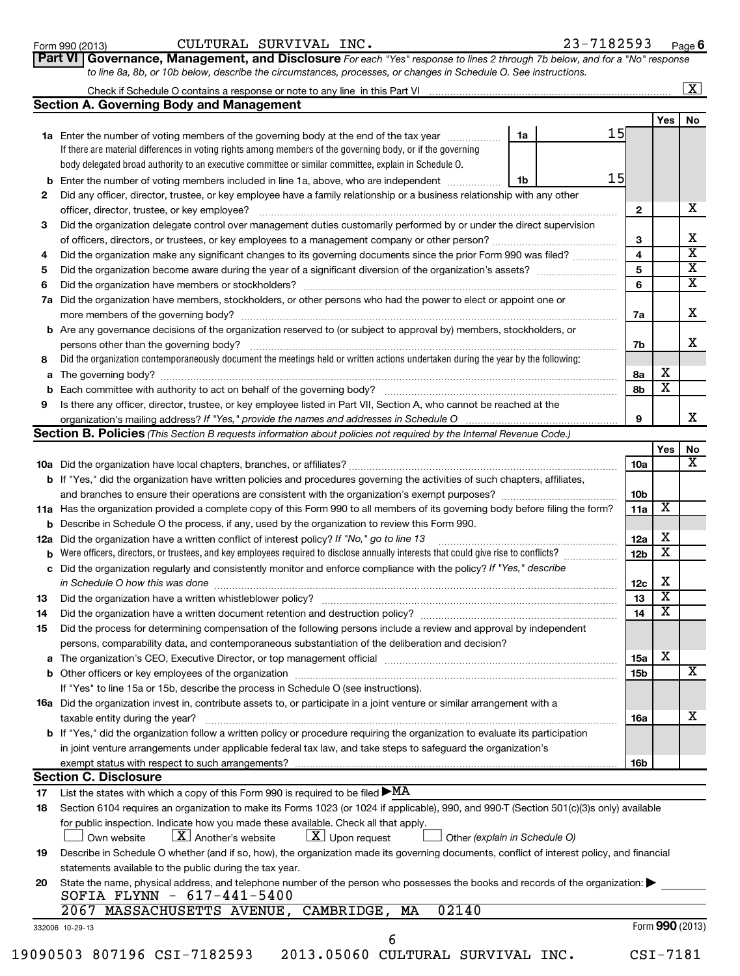| <u>Form 990 (2013)</u> |  |
|------------------------|--|
|------------------------|--|

| Form 990 (2013) | $_{\tt INC.}$<br>CULTURAL<br>SURVIVAL | .82593<br>- 1<br>Page <b>o</b> |
|-----------------|---------------------------------------|--------------------------------|
|-----------------|---------------------------------------|--------------------------------|

| . | -------                                                                                                                       |
|---|-------------------------------------------------------------------------------------------------------------------------------|
|   | Part VI   Governance, Management, and Disclosure For each "Yes" response to lines 2 through 7b below, and for a "No" response |
|   | to line 8a, 8b, or 10b below, describe the circumstances, processes, or changes in Schedule O. See instructions.              |

| Check if Schedule O contains a response or note to any line in this Part VI |  |
|-----------------------------------------------------------------------------|--|
| <b>Section A. Governing Body and Management</b>                             |  |

|    |                                                                                                                                                                                          |    |    |                 | Yes                     | No |
|----|------------------------------------------------------------------------------------------------------------------------------------------------------------------------------------------|----|----|-----------------|-------------------------|----|
|    | 1a Enter the number of voting members of the governing body at the end of the tax year                                                                                                   | 1a | 15 |                 |                         |    |
|    | If there are material differences in voting rights among members of the governing body, or if the governing                                                                              |    |    |                 |                         |    |
|    | body delegated broad authority to an executive committee or similar committee, explain in Schedule O.                                                                                    |    |    |                 |                         |    |
|    | <b>b</b> Enter the number of voting members included in line 1a, above, who are independent                                                                                              | 1b | 15 |                 |                         |    |
| 2  | Did any officer, director, trustee, or key employee have a family relationship or a business relationship with any other                                                                 |    |    |                 |                         |    |
|    |                                                                                                                                                                                          |    |    | 2               |                         | х  |
| З  | Did the organization delegate control over management duties customarily performed by or under the direct supervision                                                                    |    |    |                 |                         |    |
|    | of officers, directors, or trustees, or key employees to a management company or other person?                                                                                           |    |    | 3               |                         | X  |
| 4  | Did the organization make any significant changes to its governing documents since the prior Form 990 was filed?                                                                         |    |    | 4               |                         | X  |
| 5  |                                                                                                                                                                                          |    |    | 5               |                         | X  |
| 6  |                                                                                                                                                                                          |    |    | 6               |                         | X  |
|    | 7a Did the organization have members, stockholders, or other persons who had the power to elect or appoint one or                                                                        |    |    | 7a              |                         | х  |
|    | <b>b</b> Are any governance decisions of the organization reserved to (or subject to approval by) members, stockholders, or                                                              |    |    |                 |                         |    |
|    | persons other than the governing body?                                                                                                                                                   |    |    | 7b              |                         | x  |
| 8  | Did the organization contemporaneously document the meetings held or written actions undertaken during the year by the following:                                                        |    |    |                 |                         |    |
|    |                                                                                                                                                                                          |    |    | 8a              | х                       |    |
|    |                                                                                                                                                                                          |    |    | 8b              | X                       |    |
| 9  | Is there any officer, director, trustee, or key employee listed in Part VII, Section A, who cannot be reached at the                                                                     |    |    |                 |                         |    |
|    | organization's mailing address? If "Yes," provide the names and addresses in Schedule O                                                                                                  |    |    | 9               |                         | X  |
|    | <b>Section B. Policies</b> (This Section B requests information about policies not required by the Internal Revenue Code.)                                                               |    |    |                 |                         |    |
|    |                                                                                                                                                                                          |    |    |                 | Yes                     | No |
|    |                                                                                                                                                                                          |    |    | 10a             |                         | x  |
|    | <b>b</b> If "Yes," did the organization have written policies and procedures governing the activities of such chapters, affiliates,                                                      |    |    |                 |                         |    |
|    |                                                                                                                                                                                          |    |    | 10 <sub>b</sub> |                         |    |
|    | 11a Has the organization provided a complete copy of this Form 990 to all members of its governing body before filing the form?                                                          |    |    | 11a             | х                       |    |
|    | <b>b</b> Describe in Schedule O the process, if any, used by the organization to review this Form 990.                                                                                   |    |    |                 |                         |    |
|    | 12a Did the organization have a written conflict of interest policy? If "No," go to line 13                                                                                              |    |    | 12a             | х                       |    |
|    | <b>b</b> Were officers, directors, or trustees, and key employees required to disclose annually interests that could give rise to conflicts?                                             |    |    | 12 <sub>b</sub> | $\overline{\textbf{x}}$ |    |
|    | c Did the organization regularly and consistently monitor and enforce compliance with the policy? If "Yes," describe<br>in Schedule O how this was done                                  |    |    | 12c             | х                       |    |
| 13 |                                                                                                                                                                                          |    |    | 13              | х                       |    |
| 14 |                                                                                                                                                                                          |    |    | 14              | х                       |    |
| 15 | Did the process for determining compensation of the following persons include a review and approval by independent                                                                       |    |    |                 |                         |    |
|    | persons, comparability data, and contemporaneous substantiation of the deliberation and decision?                                                                                        |    |    |                 |                         |    |
|    |                                                                                                                                                                                          |    |    | 15a             | х                       |    |
|    |                                                                                                                                                                                          |    |    | 15b             |                         | x  |
|    | If "Yes" to line 15a or 15b, describe the process in Schedule O (see instructions).                                                                                                      |    |    |                 |                         |    |
|    | 16a Did the organization invest in, contribute assets to, or participate in a joint venture or similar arrangement with a                                                                |    |    |                 |                         |    |
|    | taxable entity during the year?                                                                                                                                                          |    |    | 16a             |                         | х  |
|    | b If "Yes," did the organization follow a written policy or procedure requiring the organization to evaluate its participation                                                           |    |    |                 |                         |    |
|    | in joint venture arrangements under applicable federal tax law, and take steps to safeguard the organization's                                                                           |    |    |                 |                         |    |
|    | exempt status with respect to such arrangements?                                                                                                                                         |    |    | 16b             |                         |    |
|    | <b>Section C. Disclosure</b>                                                                                                                                                             |    |    |                 |                         |    |
| 17 | List the states with which a copy of this Form 990 is required to be filed $\blacktriangleright$ MA                                                                                      |    |    |                 |                         |    |
| 18 | Section 6104 requires an organization to make its Forms 1023 (or 1024 if applicable), 990, and 990-T (Section 501(c)(3)s only) available                                                 |    |    |                 |                         |    |
|    | for public inspection. Indicate how you made these available. Check all that apply.<br>$\lfloor \underline{X} \rfloor$ Another's website<br>$\lfloor x \rfloor$ Upon request             |    |    |                 |                         |    |
|    | Other (explain in Schedule O)<br>Own website                                                                                                                                             |    |    |                 |                         |    |
| 19 | Describe in Schedule O whether (and if so, how), the organization made its governing documents, conflict of interest policy, and financial                                               |    |    |                 |                         |    |
|    | statements available to the public during the tax year.<br>State the name, physical address, and telephone number of the person who possesses the books and records of the organization: |    |    |                 |                         |    |
| 20 | SOFIA FLYNN - 617-441-5400                                                                                                                                                               |    |    |                 |                         |    |
|    | 02140<br>2067<br>MASSACHUSETTS AVENUE, CAMBRIDGE,<br>MA                                                                                                                                  |    |    |                 |                         |    |
|    | 332006 10-29-13                                                                                                                                                                          |    |    |                 | Form 990 (2013)         |    |
|    |                                                                                                                                                                                          |    |    |                 |                         |    |
|    | 19090503 807196 CSI-7182593<br>2013.05060 CULTURAL SURVIVAL INC.                                                                                                                         |    |    |                 | CSI-7181                |    |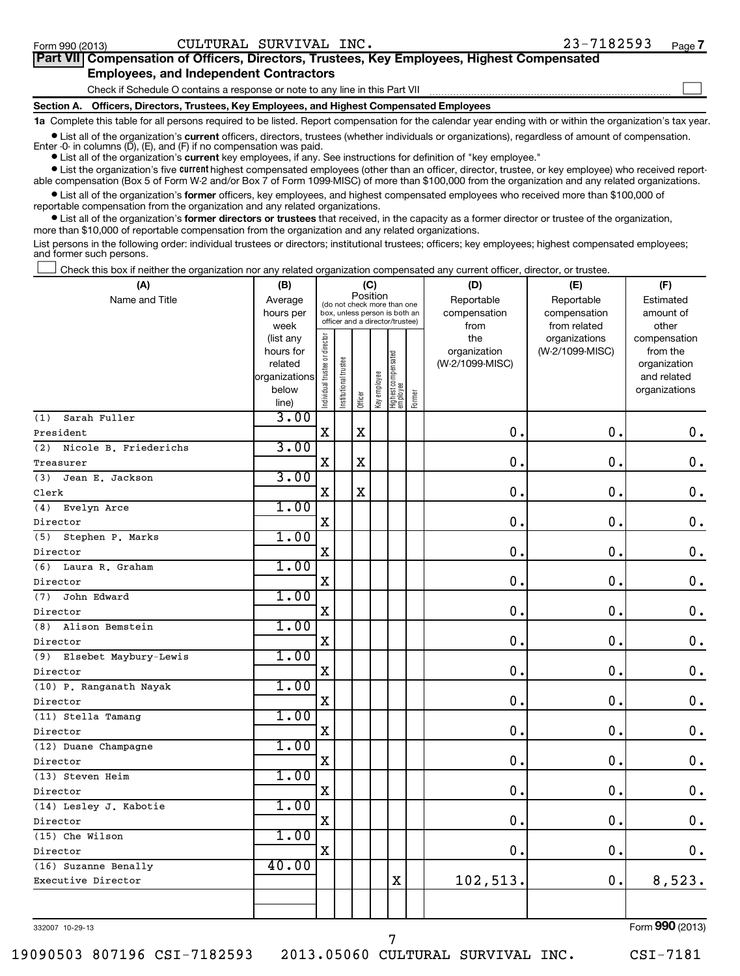| Part VII Compensation of Officers, Directors, Trustees, Key Employees, Highest Compensated                                                                 |
|------------------------------------------------------------------------------------------------------------------------------------------------------------|
| <b>Employees, and Independent Contractors</b>                                                                                                              |
| Check if Schedule O contains a response or note to any line in this Part VII                                                                               |
| Section A. Officers, Directors, Trustees, Key Employees, and Highest Compensated Employees                                                                 |
| 1a Complete this table for all persons required to be listed. Report compensation for the calendar year ending with or within the organization's tax year. |

**•** List all of the organization's current officers, directors, trustees (whether individuals or organizations), regardless of amount of compensation. Enter -0- in columns  $(D)$ ,  $(E)$ , and  $(F)$  if no compensation was paid.

**•** List all of the organization's **current** key employees, if any. See instructions for definition of "key employee."

**•** List the organization's five *current* highest compensated employees (other than an officer, director, trustee, or key employee) who received reportable compensation (Box 5 of Form W-2 and/or Box 7 of Form 1099-MISC) of more than \$100,000 from the organization and any related organizations.

 $\bullet$  List all of the organization's former officers, key employees, and highest compensated employees who received more than \$100,000 of reportable compensation from the organization and any related organizations.

**•** List all of the organization's former directors or trustees that received, in the capacity as a former director or trustee of the organization, more than \$10,000 of reportable compensation from the organization and any related organizations.

List persons in the following order: individual trustees or directors; institutional trustees; officers; key employees; highest compensated employees; and former such persons.

Check this box if neither the organization nor any related organization compensated any current officer, director, or trustee.  $\left\vert \cdot\right\vert$ 

| (A)                       | (B)                  |                                         |                                                                  | (C)         |              |                                  |        | (D)                             | (E)             | (F)                         |
|---------------------------|----------------------|-----------------------------------------|------------------------------------------------------------------|-------------|--------------|----------------------------------|--------|---------------------------------|-----------------|-----------------------------|
| Name and Title            | Average              | Position<br>(do not check more than one |                                                                  |             |              |                                  |        | Reportable                      | Reportable      | Estimated                   |
|                           | hours per            |                                         | box, unless person is both an<br>officer and a director/trustee) |             |              |                                  |        | compensation                    | compensation    | amount of                   |
|                           | week                 |                                         |                                                                  |             |              |                                  |        | from                            | from related    | other                       |
|                           | (list any            |                                         |                                                                  |             |              |                                  |        | the                             | organizations   | compensation                |
|                           | hours for<br>related |                                         |                                                                  |             |              |                                  |        | organization<br>(W-2/1099-MISC) | (W-2/1099-MISC) | from the                    |
|                           | organizations        |                                         |                                                                  |             |              |                                  |        |                                 |                 | organization<br>and related |
|                           | below                |                                         |                                                                  |             |              |                                  |        |                                 |                 | organizations               |
|                           | line)                | Individual trustee or director          | Institutional trustee                                            | Officer     | Key employee | Highest compensated<br> employee | Former |                                 |                 |                             |
| Sarah Fuller<br>(1)       | 3.00                 |                                         |                                                                  |             |              |                                  |        |                                 |                 |                             |
| President                 |                      | $\mathbf X$                             |                                                                  | X           |              |                                  |        | 0.                              | $\mathbf 0$ .   | $\mathbf 0$ .               |
| (2) Nicole B. Friederichs | 3.00                 |                                         |                                                                  |             |              |                                  |        |                                 |                 |                             |
| Treasurer                 |                      | $\mathbf X$                             |                                                                  | $\mathbf X$ |              |                                  |        | $\mathbf 0$ .                   | 0.              | 0.                          |
| Jean E. Jackson<br>(3)    | 3.00                 |                                         |                                                                  |             |              |                                  |        |                                 |                 |                             |
| Clerk                     |                      | $\mathbf X$                             |                                                                  | $\mathbf X$ |              |                                  |        | 0.                              | $\mathbf 0$     | $\mathbf 0$ .               |
| Evelyn Arce<br>(4)        | 1.00                 |                                         |                                                                  |             |              |                                  |        |                                 |                 |                             |
| Director                  |                      | $\mathbf X$                             |                                                                  |             |              |                                  |        | 0.                              | $\mathbf 0$     | $\mathbf 0$ .               |
| Stephen P. Marks<br>(5)   | 1.00                 |                                         |                                                                  |             |              |                                  |        |                                 |                 |                             |
| Director                  |                      | $\mathbf X$                             |                                                                  |             |              |                                  |        | 0.                              | 0.              | $\mathbf 0$ .               |
| (6) Laura R. Graham       | 1.00                 |                                         |                                                                  |             |              |                                  |        |                                 |                 |                             |
| Director                  |                      | $\mathbf X$                             |                                                                  |             |              |                                  |        | $\mathbf 0$ .                   | $\mathbf 0$     | $\mathbf 0$ .               |
| (7)<br>John Edward        | 1.00                 |                                         |                                                                  |             |              |                                  |        |                                 |                 |                             |
| Director                  |                      | $\mathbf X$                             |                                                                  |             |              |                                  |        | $\mathbf 0$ .                   | $\mathbf 0$     | $\mathbf 0$ .               |
| (8) Alison Bemstein       | 1.00                 |                                         |                                                                  |             |              |                                  |        |                                 |                 |                             |
| Director                  |                      | $\mathbf X$                             |                                                                  |             |              |                                  |        | 0.                              | 0               | $\mathbf 0$ .               |
| (9) Elsebet Maybury-Lewis | 1.00                 |                                         |                                                                  |             |              |                                  |        |                                 |                 |                             |
| Director                  |                      | $\mathbf X$                             |                                                                  |             |              |                                  |        | $\mathbf 0$ .                   | $\mathbf 0$     | $\mathbf 0$ .               |
| (10) P. Ranganath Nayak   | 1.00                 |                                         |                                                                  |             |              |                                  |        |                                 |                 |                             |
| Director                  |                      | $\mathbf x$                             |                                                                  |             |              |                                  |        | $\mathbf 0$                     | $\mathbf 0$     | $0$ .                       |
| (11) Stella Tamang        | 1.00                 |                                         |                                                                  |             |              |                                  |        |                                 |                 |                             |
| Director                  |                      | $\mathbf x$                             |                                                                  |             |              |                                  |        | $\mathbf 0$ .                   | $\mathbf 0$     | $0$ .                       |
| (12) Duane Champagne      | 1.00                 |                                         |                                                                  |             |              |                                  |        |                                 |                 |                             |
| Director                  |                      | $\mathbf X$                             |                                                                  |             |              |                                  |        | 0.                              | $\mathbf 0$     | $\mathbf 0$ .               |
| (13) Steven Heim          | 1.00                 |                                         |                                                                  |             |              |                                  |        |                                 |                 |                             |
| Director                  |                      | X                                       |                                                                  |             |              |                                  |        | $\mathbf 0$ .                   | 0               | $\mathbf 0$ .               |
| $(14)$ Lesley J. Kabotie  | 1.00                 |                                         |                                                                  |             |              |                                  |        |                                 |                 |                             |
| Director                  |                      | $\mathbf X$                             |                                                                  |             |              |                                  |        | 0.                              | $\mathbf 0$     | $0$ .                       |
| (15) Che Wilson           | 1.00                 |                                         |                                                                  |             |              |                                  |        |                                 |                 |                             |
| Director                  |                      | $\mathbf X$                             |                                                                  |             |              |                                  |        | 0.                              | $\mathbf 0$     | 0.                          |
| (16) Suzanne Benally      | 40.00                |                                         |                                                                  |             |              |                                  |        |                                 |                 |                             |
| Executive Director        |                      |                                         |                                                                  |             |              | $\mathbf X$                      |        | 102,513.                        | $\mathbf 0$ .   | 8,523.                      |
|                           |                      |                                         |                                                                  |             |              |                                  |        |                                 |                 |                             |
|                           |                      |                                         |                                                                  |             |              |                                  |        |                                 |                 |                             |

332007 10-29-13

Form (2013) **990**

19090503 807196 CSI-7182593 2013.05060 CULTURAL SURVIVAL INC. CSI-7181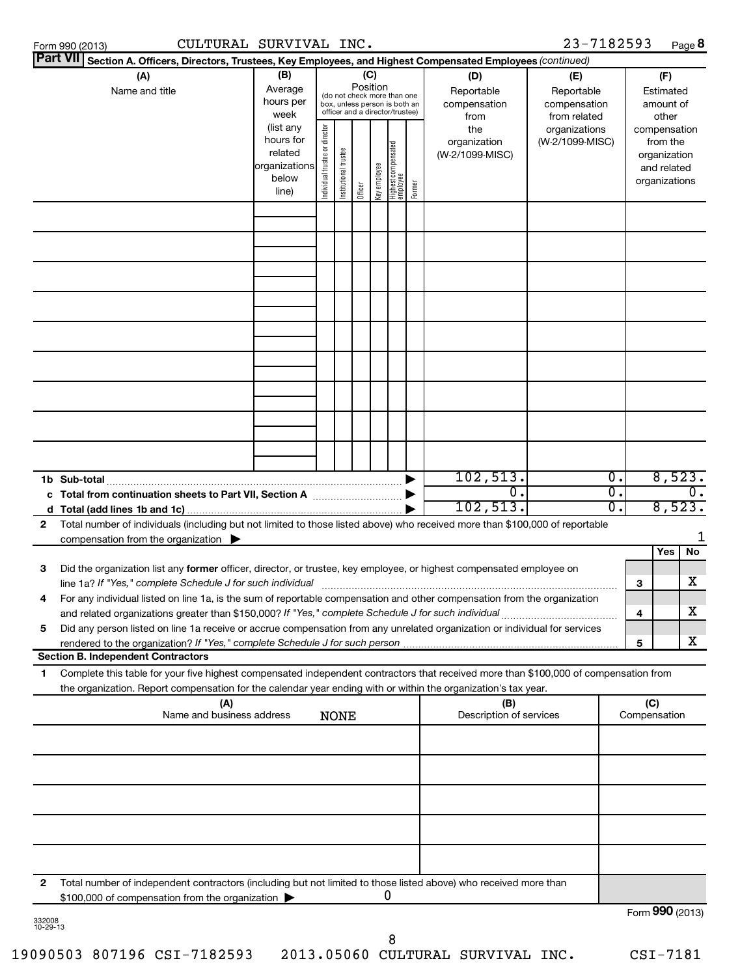| CULTURAL SURVIVAL INC.<br>Form 990 (2013)                                                                                                                                                                                                                   |                                                                                                                                                                                                                                                                                         |                                                                                                                    |             |  |   |                                           |                                                   | 23-7182593 |                  |                                        | Page 8                     |
|-------------------------------------------------------------------------------------------------------------------------------------------------------------------------------------------------------------------------------------------------------------|-----------------------------------------------------------------------------------------------------------------------------------------------------------------------------------------------------------------------------------------------------------------------------------------|--------------------------------------------------------------------------------------------------------------------|-------------|--|---|-------------------------------------------|---------------------------------------------------|------------|------------------|----------------------------------------|----------------------------|
| Part VII Section A. Officers, Directors, Trustees, Key Employees, and Highest Compensated Employees (continued)                                                                                                                                             |                                                                                                                                                                                                                                                                                         |                                                                                                                    |             |  |   |                                           |                                                   |            |                  |                                        |                            |
| (A)<br>Name and title                                                                                                                                                                                                                                       | (B)<br>Average<br>hours per<br>week                                                                                                                                                                                                                                                     | (C)<br>Position<br>(do not check more than one<br>box, unless person is both an<br>officer and a director/trustee) |             |  |   | (D)<br>Reportable<br>compensation<br>from | (E)<br>Reportable<br>compensation<br>from related |            |                  | (F)<br>Estimated<br>amount of<br>other |                            |
|                                                                                                                                                                                                                                                             | (list any<br>Individual trustee or director<br>the<br>organizations<br>hours for<br>(W-2/1099-MISC)<br>organization<br>Highest compensated<br>  employee<br>Institutional trustee<br>related<br>(W-2/1099-MISC)<br>organizations<br>Key employee<br>below<br>Former<br>Officer<br>line) |                                                                                                                    |             |  |   | from the<br>organization<br>organizations | compensation<br>and related                       |            |                  |                                        |                            |
|                                                                                                                                                                                                                                                             |                                                                                                                                                                                                                                                                                         |                                                                                                                    |             |  |   |                                           |                                                   |            |                  |                                        |                            |
|                                                                                                                                                                                                                                                             |                                                                                                                                                                                                                                                                                         |                                                                                                                    |             |  |   |                                           |                                                   |            |                  |                                        |                            |
|                                                                                                                                                                                                                                                             |                                                                                                                                                                                                                                                                                         |                                                                                                                    |             |  |   |                                           |                                                   |            |                  |                                        |                            |
|                                                                                                                                                                                                                                                             |                                                                                                                                                                                                                                                                                         |                                                                                                                    |             |  |   |                                           |                                                   |            |                  |                                        |                            |
|                                                                                                                                                                                                                                                             |                                                                                                                                                                                                                                                                                         |                                                                                                                    |             |  |   |                                           |                                                   |            |                  |                                        |                            |
|                                                                                                                                                                                                                                                             |                                                                                                                                                                                                                                                                                         |                                                                                                                    |             |  |   |                                           |                                                   |            |                  |                                        |                            |
|                                                                                                                                                                                                                                                             |                                                                                                                                                                                                                                                                                         |                                                                                                                    |             |  |   |                                           |                                                   |            |                  |                                        |                            |
|                                                                                                                                                                                                                                                             |                                                                                                                                                                                                                                                                                         |                                                                                                                    |             |  |   |                                           |                                                   |            |                  |                                        |                            |
|                                                                                                                                                                                                                                                             |                                                                                                                                                                                                                                                                                         |                                                                                                                    |             |  |   |                                           | 102, 513.                                         |            | $\overline{0}$ . |                                        | 8,523.                     |
| c Total from continuation sheets to Part VII, Section A manufactured by                                                                                                                                                                                     |                                                                                                                                                                                                                                                                                         |                                                                                                                    |             |  |   |                                           | σ.<br>102, 513.                                   |            | σ.<br>σ.         |                                        | $\overline{0}$ .<br>8,523. |
| Total number of individuals (including but not limited to those listed above) who received more than \$100,000 of reportable<br>$\mathbf{2}$<br>compensation from the organization $\blacktriangleright$                                                    |                                                                                                                                                                                                                                                                                         |                                                                                                                    |             |  |   |                                           |                                                   |            |                  |                                        |                            |
|                                                                                                                                                                                                                                                             |                                                                                                                                                                                                                                                                                         |                                                                                                                    |             |  |   |                                           |                                                   |            |                  |                                        | No<br>Yes                  |
| Did the organization list any former officer, director, or trustee, key employee, or highest compensated employee on<br>з<br>line 1a? If "Yes," complete Schedule J for such individual                                                                     |                                                                                                                                                                                                                                                                                         |                                                                                                                    |             |  |   |                                           |                                                   |            |                  | 3                                      | х                          |
| 4<br>For any individual listed on line 1a, is the sum of reportable compensation and other compensation from the organization                                                                                                                               |                                                                                                                                                                                                                                                                                         |                                                                                                                    |             |  |   |                                           |                                                   |            |                  | 4                                      | x                          |
| Did any person listed on line 1a receive or accrue compensation from any unrelated organization or individual for services<br>5                                                                                                                             |                                                                                                                                                                                                                                                                                         |                                                                                                                    |             |  |   |                                           |                                                   |            |                  | 5                                      | X                          |
| <b>Section B. Independent Contractors</b>                                                                                                                                                                                                                   |                                                                                                                                                                                                                                                                                         |                                                                                                                    |             |  |   |                                           |                                                   |            |                  |                                        |                            |
| Complete this table for your five highest compensated independent contractors that received more than \$100,000 of compensation from<br>1<br>the organization. Report compensation for the calendar year ending with or within the organization's tax year. |                                                                                                                                                                                                                                                                                         |                                                                                                                    |             |  |   |                                           |                                                   |            |                  |                                        |                            |
| (A)<br>Name and business address                                                                                                                                                                                                                            |                                                                                                                                                                                                                                                                                         |                                                                                                                    | <b>NONE</b> |  |   |                                           | (B)<br>Description of services                    |            |                  | (C)<br>Compensation                    |                            |
|                                                                                                                                                                                                                                                             |                                                                                                                                                                                                                                                                                         |                                                                                                                    |             |  |   |                                           |                                                   |            |                  |                                        |                            |
|                                                                                                                                                                                                                                                             |                                                                                                                                                                                                                                                                                         |                                                                                                                    |             |  |   |                                           |                                                   |            |                  |                                        |                            |
|                                                                                                                                                                                                                                                             |                                                                                                                                                                                                                                                                                         |                                                                                                                    |             |  |   |                                           |                                                   |            |                  |                                        |                            |
|                                                                                                                                                                                                                                                             |                                                                                                                                                                                                                                                                                         |                                                                                                                    |             |  |   |                                           |                                                   |            |                  |                                        |                            |
| 2<br>Total number of independent contractors (including but not limited to those listed above) who received more than                                                                                                                                       |                                                                                                                                                                                                                                                                                         |                                                                                                                    |             |  |   |                                           |                                                   |            |                  |                                        |                            |
| \$100,000 of compensation from the organization >                                                                                                                                                                                                           |                                                                                                                                                                                                                                                                                         |                                                                                                                    |             |  | 0 |                                           |                                                   |            |                  |                                        |                            |

332008 10-29-13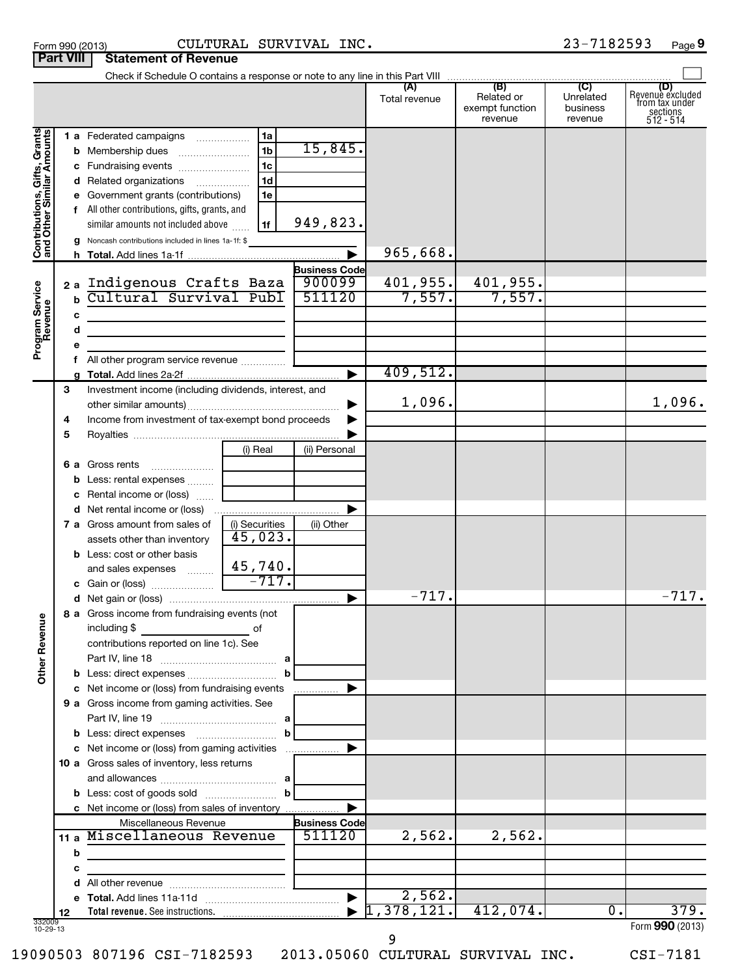| Form 990 (2013) | CULTURA.                                |
|-----------------|-----------------------------------------|
|                 | <b>Part VIII   Statement of Revenue</b> |

# Form 990 (2013) Page CULTURAL SURVIVAL INC. 23-7182593

|                                                           |    | Check if Schedule O contains a response or note to any line in this Part VIII |                |                      |                      |                                                 |                                         |                                                                      |
|-----------------------------------------------------------|----|-------------------------------------------------------------------------------|----------------|----------------------|----------------------|-------------------------------------------------|-----------------------------------------|----------------------------------------------------------------------|
|                                                           |    |                                                                               |                |                      | (A)<br>Total revenue | (B)<br>Related or<br>exempt function<br>revenue | (C)<br>Unrelated<br>business<br>revenue | (D)<br>Revenue excluded<br>from tax under<br>sections<br>$512 - 514$ |
|                                                           |    | 1 a Federated campaigns                                                       | 1a             |                      |                      |                                                 |                                         |                                                                      |
|                                                           |    | <b>b</b> Membership dues                                                      | 1 <sub>b</sub> | 15,845.              |                      |                                                 |                                         |                                                                      |
|                                                           |    | c Fundraising events                                                          | 1 <sub>c</sub> |                      |                      |                                                 |                                         |                                                                      |
|                                                           |    | d Related organizations                                                       | 1 <sub>d</sub> |                      |                      |                                                 |                                         |                                                                      |
|                                                           |    | e Government grants (contributions)                                           | 1e             |                      |                      |                                                 |                                         |                                                                      |
|                                                           |    | f All other contributions, gifts, grants, and                                 |                |                      |                      |                                                 |                                         |                                                                      |
|                                                           |    | similar amounts not included above                                            | 1f             | 949,823.             |                      |                                                 |                                         |                                                                      |
| Contributions, Gifts, Grants<br>and Other Similar Amounts |    | g Noncash contributions included in lines 1a-1f: \$                           |                |                      |                      |                                                 |                                         |                                                                      |
|                                                           |    |                                                                               |                |                      | 965,668.             |                                                 |                                         |                                                                      |
|                                                           |    |                                                                               |                | <b>Business Code</b> |                      |                                                 |                                         |                                                                      |
|                                                           |    | 2a Indigenous Crafts Baza<br>Cultural Survival Publ                           |                | 900099<br>511120     | 401,955.<br>7,557.   | 401,955.<br>7,557.                              |                                         |                                                                      |
|                                                           | b  |                                                                               |                |                      |                      |                                                 |                                         |                                                                      |
|                                                           | с  |                                                                               |                |                      |                      |                                                 |                                         |                                                                      |
| Program Service<br>Revenue                                | d  |                                                                               |                |                      |                      |                                                 |                                         |                                                                      |
|                                                           |    |                                                                               |                |                      |                      |                                                 |                                         |                                                                      |
|                                                           |    | f All other program service revenue                                           |                |                      | 409,512.             |                                                 |                                         |                                                                      |
|                                                           | 3  | Investment income (including dividends, interest, and                         |                |                      |                      |                                                 |                                         |                                                                      |
|                                                           |    |                                                                               |                |                      | 1,096.               |                                                 |                                         | 1,096.                                                               |
|                                                           | 4  | Income from investment of tax-exempt bond proceeds                            |                |                      |                      |                                                 |                                         |                                                                      |
|                                                           | 5  |                                                                               |                |                      |                      |                                                 |                                         |                                                                      |
|                                                           |    |                                                                               | (i) Real       | (ii) Personal        |                      |                                                 |                                         |                                                                      |
|                                                           |    | 6 a Gross rents<br>$\ldots \ldots \ldots \ldots \ldots$                       |                |                      |                      |                                                 |                                         |                                                                      |
|                                                           |    | <b>b</b> Less: rental expenses                                                |                |                      |                      |                                                 |                                         |                                                                      |
|                                                           |    | <b>c</b> Rental income or (loss)                                              |                |                      |                      |                                                 |                                         |                                                                      |
|                                                           |    | d Net rental income or (loss)                                                 |                |                      |                      |                                                 |                                         |                                                                      |
|                                                           |    | <b>7 a</b> Gross amount from sales of                                         | (i) Securities | (ii) Other           |                      |                                                 |                                         |                                                                      |
|                                                           |    | assets other than inventory                                                   | 45,023.        |                      |                      |                                                 |                                         |                                                                      |
|                                                           |    | <b>b</b> Less: cost or other basis                                            |                |                      |                      |                                                 |                                         |                                                                      |
|                                                           |    | and sales expenses                                                            | 45,740.        |                      |                      |                                                 |                                         |                                                                      |
|                                                           |    |                                                                               | $-717.$        |                      |                      |                                                 |                                         |                                                                      |
|                                                           |    |                                                                               |                |                      | $-717.$              |                                                 |                                         | $-717.$                                                              |
| ≗                                                         |    | 8 a Gross income from fundraising events (not                                 |                |                      |                      |                                                 |                                         |                                                                      |
|                                                           |    | including \$                                                                  | оf             |                      |                      |                                                 |                                         |                                                                      |
|                                                           |    | contributions reported on line 1c). See                                       |                |                      |                      |                                                 |                                         |                                                                      |
| Other Reven                                               |    |                                                                               |                |                      |                      |                                                 |                                         |                                                                      |
|                                                           |    | b Less: direct expenses                                                       | b              |                      |                      |                                                 |                                         |                                                                      |
|                                                           |    | c Net income or (loss) from fundraising events                                |                | .                    |                      |                                                 |                                         |                                                                      |
|                                                           |    | 9 a Gross income from gaming activities. See                                  |                |                      |                      |                                                 |                                         |                                                                      |
|                                                           |    |                                                                               | b              |                      |                      |                                                 |                                         |                                                                      |
|                                                           |    | c Net income or (loss) from gaming activities                                 |                |                      |                      |                                                 |                                         |                                                                      |
|                                                           |    | 10 a Gross sales of inventory, less returns                                   |                |                      |                      |                                                 |                                         |                                                                      |
|                                                           |    |                                                                               |                |                      |                      |                                                 |                                         |                                                                      |
|                                                           |    |                                                                               | b              |                      |                      |                                                 |                                         |                                                                      |
|                                                           |    |                                                                               |                |                      |                      |                                                 |                                         |                                                                      |
|                                                           |    | Miscellaneous Revenue                                                         |                | <b>Business Code</b> |                      |                                                 |                                         |                                                                      |
|                                                           |    | 11 a Miscellaneous Revenue                                                    |                | 511120               | 2,562.               | 2,562.                                          |                                         |                                                                      |
|                                                           | b  |                                                                               |                |                      |                      |                                                 |                                         |                                                                      |
|                                                           | c  |                                                                               |                |                      |                      |                                                 |                                         |                                                                      |
|                                                           |    |                                                                               |                |                      |                      |                                                 |                                         |                                                                      |
|                                                           |    |                                                                               |                | ▶                    | 2,562.               |                                                 |                                         |                                                                      |
| 332009<br>10-29-13                                        | 12 |                                                                               |                |                      | 1,378,121.           | 412,074.                                        | $\overline{0}$ .                        | 379.                                                                 |
|                                                           |    |                                                                               |                |                      |                      |                                                 |                                         | Form 990 (2013)                                                      |

19090503 807196 CSI-7182593 2013.05060 CULTURAL SURVIVAL INC. CSI-7181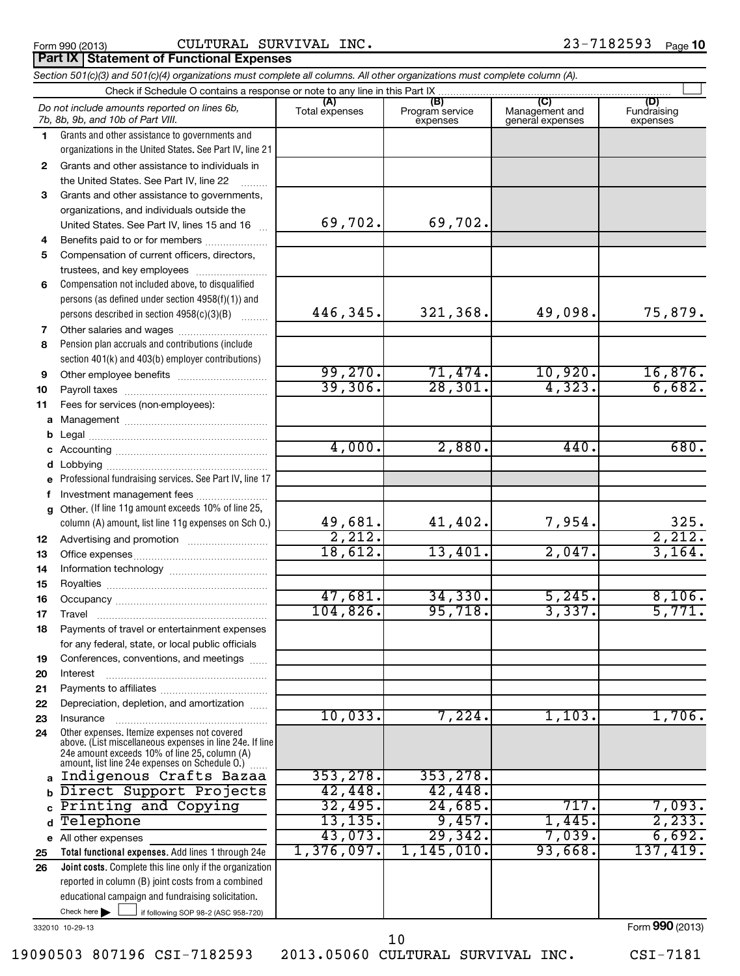# Form 990 (2013) Page CULTURAL SURVIVAL INC. 23-7182593

## **Part IX Statement of Functional Expenses**

|              | Section 501(c)(3) and 501(c)(4) organizations must complete all columns. All other organizations must complete column (A).                                                                                  |                       |                                    |                                           |                                |
|--------------|-------------------------------------------------------------------------------------------------------------------------------------------------------------------------------------------------------------|-----------------------|------------------------------------|-------------------------------------------|--------------------------------|
|              | Check if Schedule O contains a response or note to any line in this Part IX                                                                                                                                 |                       |                                    |                                           |                                |
|              | Do not include amounts reported on lines 6b,<br>7b, 8b, 9b, and 10b of Part VIII.                                                                                                                           | (A)<br>Total expenses | (B)<br>Program service<br>expenses | (C)<br>Management and<br>general expenses | (D)<br>Fundraising<br>expenses |
| 1            | Grants and other assistance to governments and                                                                                                                                                              |                       |                                    |                                           |                                |
|              | organizations in the United States. See Part IV, line 21                                                                                                                                                    |                       |                                    |                                           |                                |
| $\mathbf{2}$ | Grants and other assistance to individuals in                                                                                                                                                               |                       |                                    |                                           |                                |
|              | the United States. See Part IV, line 22                                                                                                                                                                     |                       |                                    |                                           |                                |
| 3            | Grants and other assistance to governments,                                                                                                                                                                 |                       |                                    |                                           |                                |
|              | organizations, and individuals outside the                                                                                                                                                                  |                       |                                    |                                           |                                |
|              | United States. See Part IV, lines 15 and 16                                                                                                                                                                 | 69,702.               | 69,702.                            |                                           |                                |
| 4            | Benefits paid to or for members                                                                                                                                                                             |                       |                                    |                                           |                                |
| 5            | Compensation of current officers, directors,                                                                                                                                                                |                       |                                    |                                           |                                |
|              | trustees, and key employees                                                                                                                                                                                 |                       |                                    |                                           |                                |
| 6            | Compensation not included above, to disqualified                                                                                                                                                            |                       |                                    |                                           |                                |
|              |                                                                                                                                                                                                             |                       |                                    |                                           |                                |
|              | persons (as defined under section 4958(f)(1)) and                                                                                                                                                           | 446,345.              | 321,368.                           | 49,098.                                   |                                |
|              | persons described in section 4958(c)(3)(B)                                                                                                                                                                  |                       |                                    |                                           | 75,879.                        |
| 7            | Other salaries and wages                                                                                                                                                                                    |                       |                                    |                                           |                                |
| 8            | Pension plan accruals and contributions (include                                                                                                                                                            |                       |                                    |                                           |                                |
|              | section 401(k) and 403(b) employer contributions)                                                                                                                                                           |                       |                                    |                                           |                                |
| 9            |                                                                                                                                                                                                             | 99,270.               | 71,474.                            | 10,920.                                   | 16,876.                        |
| 10           |                                                                                                                                                                                                             | 39,306.               | 28, 301.                           | 4,323.                                    | 6,682.                         |
| 11           | Fees for services (non-employees):                                                                                                                                                                          |                       |                                    |                                           |                                |
|              |                                                                                                                                                                                                             |                       |                                    |                                           |                                |
| b            |                                                                                                                                                                                                             |                       |                                    |                                           |                                |
|              |                                                                                                                                                                                                             | 4,000.                | 2,880.                             | 440.                                      | 680.                           |
| d            |                                                                                                                                                                                                             |                       |                                    |                                           |                                |
|              | Professional fundraising services. See Part IV, line 17                                                                                                                                                     |                       |                                    |                                           |                                |
| f            | Investment management fees                                                                                                                                                                                  |                       |                                    |                                           |                                |
|              | g Other. (If line 11g amount exceeds 10% of line 25,                                                                                                                                                        |                       |                                    |                                           |                                |
|              | column (A) amount, list line 11g expenses on Sch O.)                                                                                                                                                        | 49,681.               | 41,402.                            | 7,954.                                    | 325.                           |
| 12           |                                                                                                                                                                                                             | 2,212.                |                                    |                                           | 2,212.                         |
| 13           |                                                                                                                                                                                                             | 18,612.               | 13,401.                            | 2,047.                                    | 3,164.                         |
| 14           |                                                                                                                                                                                                             |                       |                                    |                                           |                                |
|              |                                                                                                                                                                                                             |                       |                                    |                                           |                                |
| 15           |                                                                                                                                                                                                             | 47,681                | 34, 330.                           | 5,245.                                    | 8,106.                         |
| 16           |                                                                                                                                                                                                             | 104,826.              | 95,718.                            | 3,337.                                    | 5,771.                         |
| 17           |                                                                                                                                                                                                             |                       |                                    |                                           |                                |
| 18           | Payments of travel or entertainment expenses                                                                                                                                                                |                       |                                    |                                           |                                |
|              | for any federal, state, or local public officials                                                                                                                                                           |                       |                                    |                                           |                                |
| 19           | Conferences, conventions, and meetings                                                                                                                                                                      |                       |                                    |                                           |                                |
| 20           | Interest                                                                                                                                                                                                    |                       |                                    |                                           |                                |
| 21           |                                                                                                                                                                                                             |                       |                                    |                                           |                                |
| 22           | Depreciation, depletion, and amortization                                                                                                                                                                   |                       |                                    |                                           |                                |
| 23           | Insurance                                                                                                                                                                                                   | 10,033.               | 7,224.                             | 1,103.                                    | 1,706.                         |
| 24           | Other expenses. Itemize expenses not covered<br>above. (List miscellaneous expenses in line 24e. If line<br>24e amount exceeds 10% of line 25, column (A)<br>amount, list line 24e expenses on Schedule O.) |                       |                                    |                                           |                                |
|              | a Indigenous Crafts Bazaa                                                                                                                                                                                   | 353, 278.             | 353, 278.                          |                                           |                                |
| b.           | Direct Support Projects                                                                                                                                                                                     | 42,448.               | 42,448.                            |                                           |                                |
|              | Printing and Copying                                                                                                                                                                                        | 32,495.               | 24,685.                            | 717.                                      | 7,093.                         |
| d            | Telephone                                                                                                                                                                                                   | 13, 135.              | 9,457.                             | 1,445.                                    | 2,233.                         |
|              | e All other expenses                                                                                                                                                                                        | 43,073.               | 29,342.                            | 7,039.                                    | 6,692.                         |
|              | Total functional expenses. Add lines 1 through 24e                                                                                                                                                          | 1,376,097.            | 1,145,010.                         | 93,668.                                   | 137,419.                       |
| 25           | <b>Joint costs.</b> Complete this line only if the organization                                                                                                                                             |                       |                                    |                                           |                                |
| 26           |                                                                                                                                                                                                             |                       |                                    |                                           |                                |
|              | reported in column (B) joint costs from a combined                                                                                                                                                          |                       |                                    |                                           |                                |
|              | educational campaign and fundraising solicitation.                                                                                                                                                          |                       |                                    |                                           |                                |
|              | Check here<br>if following SOP 98-2 (ASC 958-720)                                                                                                                                                           |                       |                                    |                                           |                                |
|              | 332010 10-29-13                                                                                                                                                                                             |                       |                                    |                                           | Form 990 (2013)                |

19090503 807196 CSI-7182593 2013.05060 CULTURAL SURVIVAL INC. CSI-7181

10

Form **990** (2013)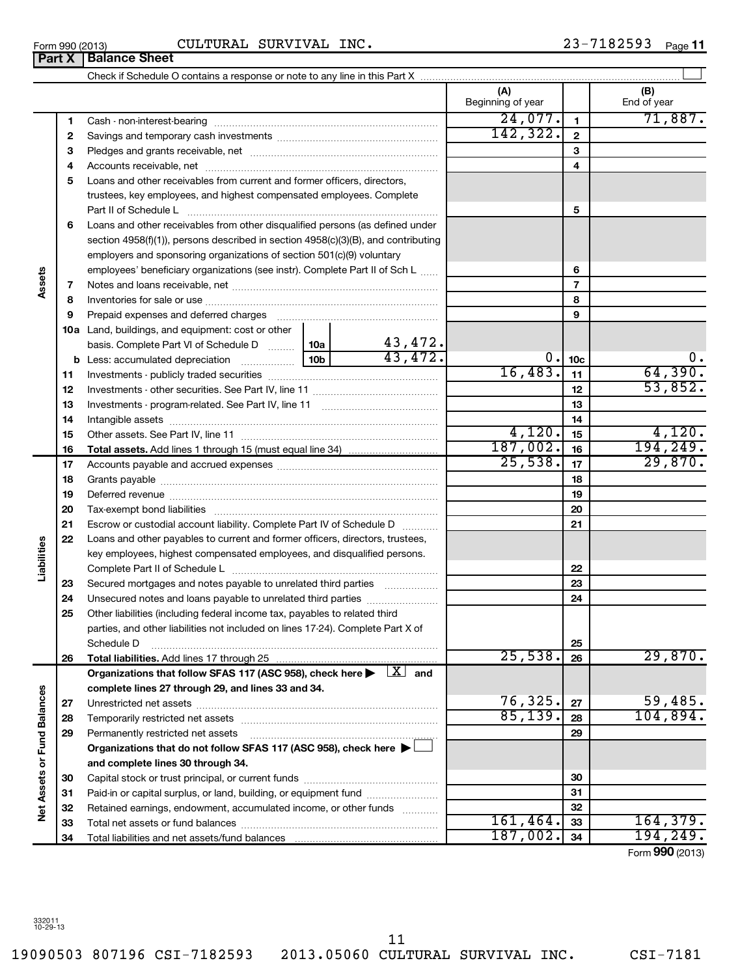19090503 807196 CSI-7182593 2013.05060 CULTURAL SURVIVAL INC. CSI-7181

# Form 990 (2013) Page **11** CULTURAL SURVIVAL INC. 23-7182593

|                             |    |                                                                                                                    |  |         | (A)<br>Beginning of year |                         | (B)<br>End of year |
|-----------------------------|----|--------------------------------------------------------------------------------------------------------------------|--|---------|--------------------------|-------------------------|--------------------|
|                             | 1  |                                                                                                                    |  |         | 24,077.                  | $\mathbf{1}$            | 71,887.            |
|                             | 2  |                                                                                                                    |  |         | 142, 322.                | $\overline{\mathbf{2}}$ |                    |
|                             | 3  |                                                                                                                    |  |         |                          | 3                       |                    |
|                             | 4  |                                                                                                                    |  |         |                          | 4                       |                    |
|                             | 5  | Loans and other receivables from current and former officers, directors,                                           |  |         |                          |                         |                    |
|                             |    | trustees, key employees, and highest compensated employees. Complete                                               |  |         |                          |                         |                    |
|                             |    | Part II of Schedule L                                                                                              |  |         |                          | 5                       |                    |
|                             | 6  | Loans and other receivables from other disqualified persons (as defined under                                      |  |         |                          |                         |                    |
|                             |    | section 4958(f)(1)), persons described in section 4958(c)(3)(B), and contributing                                  |  |         |                          |                         |                    |
|                             |    | employers and sponsoring organizations of section 501(c)(9) voluntary                                              |  |         |                          |                         |                    |
|                             |    | employees' beneficiary organizations (see instr). Complete Part II of Sch L                                        |  |         |                          | 6                       |                    |
| Assets                      | 7  |                                                                                                                    |  |         |                          | $\overline{7}$          |                    |
|                             | 8  |                                                                                                                    |  |         |                          | 8                       |                    |
|                             | 9  | Prepaid expenses and deferred charges                                                                              |  |         |                          | 9                       |                    |
|                             |    | 10a Land, buildings, and equipment: cost or other                                                                  |  |         |                          |                         |                    |
|                             |    | basis. Complete Part VI of Schedule D  10a                                                                         |  | 43,472. |                          |                         |                    |
|                             | b  |                                                                                                                    |  | 43,472. |                          | 0.10c                   | 0.                 |
|                             | 11 |                                                                                                                    |  |         | 16,483.                  | 11                      | 64,390.            |
|                             | 12 |                                                                                                                    |  |         |                          | 12                      | 53,852.            |
|                             | 13 |                                                                                                                    |  |         |                          | 13                      |                    |
|                             | 14 |                                                                                                                    |  |         |                          | 14                      |                    |
|                             | 15 |                                                                                                                    |  |         | 4,120.                   | 15                      | 4,120.             |
|                             | 16 |                                                                                                                    |  |         | 187,002.                 | 16                      | 194,249.           |
|                             | 17 |                                                                                                                    |  |         | 25,538.                  | 17                      | 29,870.            |
|                             | 18 |                                                                                                                    |  |         | 18                       |                         |                    |
|                             | 19 |                                                                                                                    |  |         |                          | 19                      |                    |
|                             | 20 |                                                                                                                    |  |         |                          | 20                      |                    |
|                             | 21 | Escrow or custodial account liability. Complete Part IV of Schedule D                                              |  |         |                          | 21                      |                    |
|                             | 22 | Loans and other payables to current and former officers, directors, trustees,                                      |  |         |                          |                         |                    |
| Liabilities                 |    | key employees, highest compensated employees, and disqualified persons.                                            |  |         |                          |                         |                    |
|                             |    |                                                                                                                    |  |         |                          | 22                      |                    |
|                             | 23 | Secured mortgages and notes payable to unrelated third parties                                                     |  |         |                          | 23                      |                    |
|                             | 24 |                                                                                                                    |  |         |                          | 24                      |                    |
|                             | 25 | Other liabilities (including federal income tax, payables to related third                                         |  |         |                          |                         |                    |
|                             |    | parties, and other liabilities not included on lines 17-24). Complete Part X of                                    |  |         |                          |                         |                    |
|                             |    | Schedule D                                                                                                         |  |         |                          | 25                      |                    |
|                             | 26 |                                                                                                                    |  |         | 25,538.                  | 26                      | 29,870.            |
|                             |    | Organizations that follow SFAS 117 (ASC 958), check here $\blacktriangleright$ $\lfloor \underline{X} \rfloor$ and |  |         |                          |                         |                    |
|                             |    | complete lines 27 through 29, and lines 33 and 34.                                                                 |  |         |                          |                         |                    |
|                             | 27 |                                                                                                                    |  |         | 76,325.                  | 27                      | 59,485.            |
|                             | 28 |                                                                                                                    |  |         | 85,139.                  | 28                      | 104,894.           |
|                             | 29 | Permanently restricted net assets                                                                                  |  |         | 29                       |                         |                    |
|                             |    | Organizations that do not follow SFAS 117 (ASC 958), check here >                                                  |  |         |                          |                         |                    |
| Net Assets or Fund Balances |    | and complete lines 30 through 34.                                                                                  |  |         |                          |                         |                    |
|                             | 30 |                                                                                                                    |  |         |                          | 30                      |                    |
|                             | 31 | Paid-in or capital surplus, or land, building, or equipment fund                                                   |  |         |                          | 31                      |                    |
|                             | 32 | Retained earnings, endowment, accumulated income, or other funds                                                   |  |         | 161,464.                 | 32                      | 164, 379.          |
|                             | 33 |                                                                                                                    |  |         | 187,002.                 | 33                      | 194, 249.          |
|                             | 34 |                                                                                                                    |  |         |                          | 34                      |                    |

Form (2013) **990**

**Assets**

**Liabilities**

Net Assets or Fund Balances

| CULTURAL SURVI |  |
|----------------|--|
|                |  |
|                |  |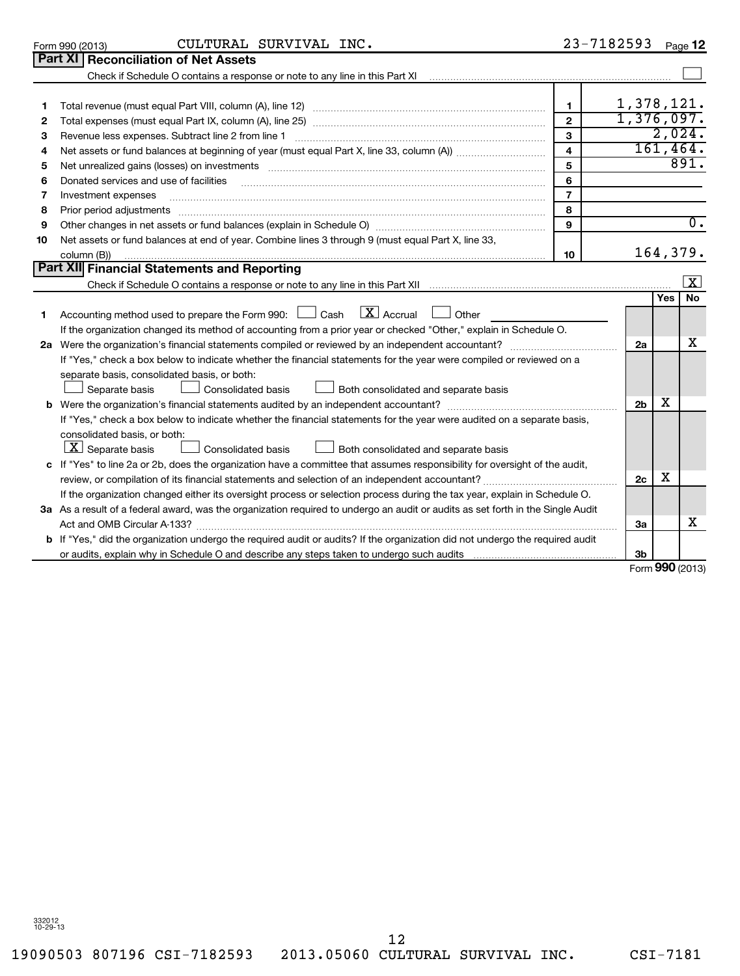19090503 807196 CSI-7182593 2013.05060 CULTURAL SURVIVAL INC. CSI-7181

 $23 - 7182593$  Poss 12

|    | CULTURAL SURVIVAL INC.<br>Form 990 (2013)                                                                                                                                                                                      | 23-7182593              |                |     | Page 12          |
|----|--------------------------------------------------------------------------------------------------------------------------------------------------------------------------------------------------------------------------------|-------------------------|----------------|-----|------------------|
|    | Part XI   Reconciliation of Net Assets                                                                                                                                                                                         |                         |                |     |                  |
|    | Check if Schedule O contains a response or note to any line in this Part XI [11] [12] Check if Schedule O contains a response or note to any line in this Part XI                                                              |                         |                |     |                  |
|    |                                                                                                                                                                                                                                |                         |                |     |                  |
| 1  |                                                                                                                                                                                                                                | 1                       | 1,378,121.     |     |                  |
| 2  |                                                                                                                                                                                                                                | $\overline{2}$          | 1,376,097.     |     |                  |
| З  | Revenue less expenses. Subtract line 2 from line 1                                                                                                                                                                             | 3                       |                |     | 2,024.           |
| 4  |                                                                                                                                                                                                                                | $\overline{\mathbf{4}}$ |                |     | 161, 464.        |
| 5  | Net unrealized gains (losses) on investments [11] matter than the control of the control of the control of the control of the control of the control of the control of the control of the control of the control of the contro | 5                       |                |     | 891.             |
| 6  | Donated services and use of facilities                                                                                                                                                                                         | 6                       |                |     |                  |
| 7  | Investment expenses                                                                                                                                                                                                            | $\overline{7}$          |                |     |                  |
| 8  | Prior period adjustments                                                                                                                                                                                                       | 8                       |                |     |                  |
| 9  |                                                                                                                                                                                                                                | 9                       |                |     | $\overline{0}$ . |
| 10 | Net assets or fund balances at end of year. Combine lines 3 through 9 (must equal Part X, line 33,                                                                                                                             |                         |                |     |                  |
|    | column (B))                                                                                                                                                                                                                    | 10                      |                |     | 164,379.         |
|    | <b>Part XII Financial Statements and Reporting</b>                                                                                                                                                                             |                         |                |     |                  |
|    |                                                                                                                                                                                                                                |                         |                |     | x                |
|    |                                                                                                                                                                                                                                |                         |                | Yes | <b>No</b>        |
| 1  | $\lfloor x \rfloor$ Accrual<br>Accounting method used to prepare the Form 990: $\Box$ Cash<br>Other                                                                                                                            |                         |                |     |                  |
|    | If the organization changed its method of accounting from a prior year or checked "Other," explain in Schedule O.                                                                                                              |                         |                |     |                  |
|    | 2a Were the organization's financial statements compiled or reviewed by an independent accountant?                                                                                                                             |                         | 2a             |     | x                |
|    | If "Yes," check a box below to indicate whether the financial statements for the year were compiled or reviewed on a                                                                                                           |                         |                |     |                  |
|    | separate basis, consolidated basis, or both:                                                                                                                                                                                   |                         |                |     |                  |
|    | Separate basis<br>Consolidated basis<br>Both consolidated and separate basis                                                                                                                                                   |                         |                |     |                  |
| b  |                                                                                                                                                                                                                                |                         | 2 <sub>b</sub> | х   |                  |
|    | If "Yes," check a box below to indicate whether the financial statements for the year were audited on a separate basis,                                                                                                        |                         |                |     |                  |
|    | consolidated basis, or both:                                                                                                                                                                                                   |                         |                |     |                  |
|    | $ \underline{X} $ Separate basis<br>$\Box$ Both consolidated and separate basis<br><b>Consolidated basis</b>                                                                                                                   |                         |                |     |                  |
|    | c If "Yes" to line 2a or 2b, does the organization have a committee that assumes responsibility for oversight of the audit,                                                                                                    |                         |                |     |                  |
|    |                                                                                                                                                                                                                                |                         | 2c             | х   |                  |
|    | If the organization changed either its oversight process or selection process during the tax year, explain in Schedule O.                                                                                                      |                         |                |     |                  |
|    | 3a As a result of a federal award, was the organization required to undergo an audit or audits as set forth in the Single Audit                                                                                                |                         |                |     |                  |
|    | Act and OMB Circular A-133?                                                                                                                                                                                                    |                         | 3a             |     | x                |
|    | <b>b</b> If "Yes," did the organization undergo the required audit or audits? If the organization did not undergo the required audit                                                                                           |                         |                |     |                  |
|    |                                                                                                                                                                                                                                |                         | 3b             |     |                  |
|    |                                                                                                                                                                                                                                |                         |                |     | Form 990 (2013)  |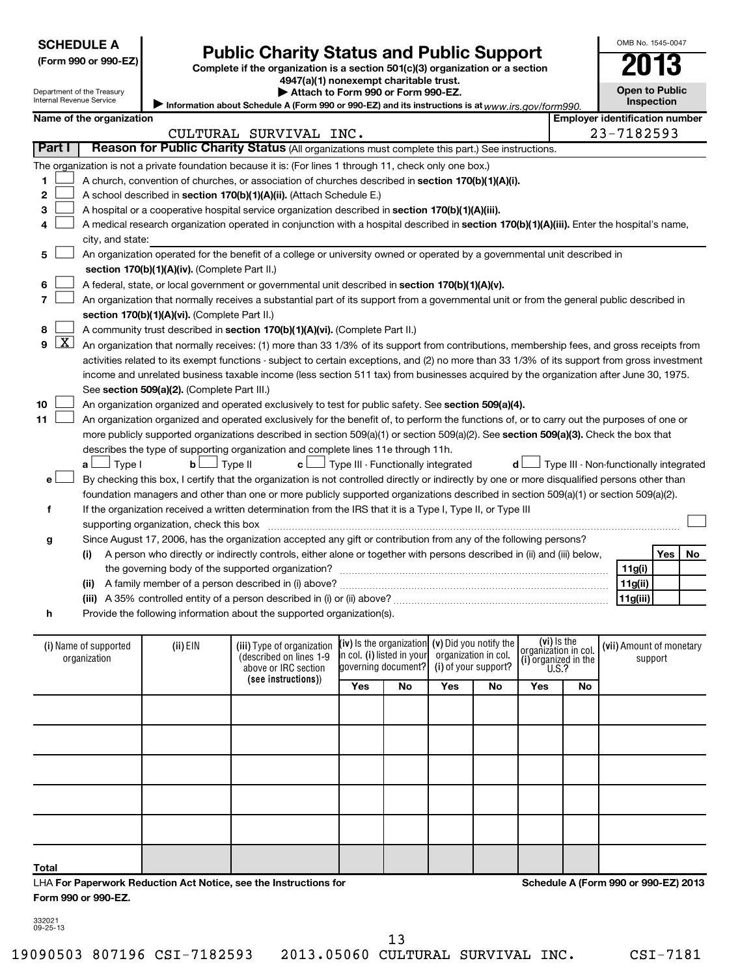| <b>SCHEDULE A</b> |
|-------------------|
|-------------------|

| (Form 990 or 990-E2 |  |  |  |  |  |
|---------------------|--|--|--|--|--|
|---------------------|--|--|--|--|--|

Department of the Treasury Internal Revenue Service

**7**

**8**

**11**

# **Public Charity Status and Public Support**

**(Form 990 or 990-EZ) Complete if the organization is a section 501(c)(3) organization or a section**

**4947(a)(1) nonexempt charitable trust.**

**Open to Public Inspection**

OMB No. 1545-0047

|  | Name of the organization |  |
|--|--------------------------|--|

**| Attach to Form 990 or Form 990-EZ.** 

Information about Schedule A (Form 990 or 990-EZ) and its instructions is at www.irs.gov/form990. **Employer identification number Part I** | Reason for Public Charity Status (All organizations must complete this part.) See instructions. CULTURAL SURVIVAL INC. 23-7182593

The organization is not a private foundation because it is: (For lines 1 through 11, check only one box.)

- **1 2** A church, convention of churches, or association of churches described in section 170(b)(1)(A)(i).  $\sim$ 
	- A school described in **section 170(b)(1)(A)(ii).** (Attach Schedule E.)  $\sim$
- **3** A hospital or a cooperative hospital service organization described in section 170(b)(1)(A)(iii).  $\sim$
- **4** A medical research organization operated in conjunction with a hospital described in **section 170(b)(1)(A)(iii).** Enter the hospital's name, city, and state:  $\sim$
- **5 section 170(b)(1)(A)(iv).**  (Complete Part II.) An organization operated for the benefit of a college or university owned or operated by a governmental unit described in  $\sim$
- **6** A federal, state, or local government or governmental unit described in **section 170(b)(1)(A)(v).**  $\sim$ 
	- **section 170(b)(1)(A)(vi).** (Complete Part II.) An organization that normally receives a substantial part of its support from a governmental unit or from the general public described in  $\sim$
	- A community trust described in **section 170(b)(1)(A)(vi).** (Complete Part II.)  $\sim$

**9** See s**ection 509(a)(2).** (Complete Part III.) An organization that normally receives: (1) more than 33 1/3% of its support from contributions, membership fees, and gross receipts from activities related to its exempt functions - subject to certain exceptions, and (2) no more than 33 1/3% of its support from gross investment income and unrelated business taxable income (less section 511 tax) from businesses acquired by the organization after June 30, 1975.  $\lfloor x \rfloor$ 

**10** An organization organized and operated exclusively to test for public safety. See **section 509(a)(4).**  $\sim$ 

more publicly supported organizations described in section 509(a)(1) or section 509(a)(2). See **section 509(a)(3).** Check the box that An organization organized and operated exclusively for the benefit of, to perform the functions of, or to carry out the purposes of one or describes the type of supporting organization and complete lines 11e through 11h.  $\sim$ 

| $a \Box$ Type I | $\mathsf{b}$ $\Box$ Type II | $\mathbf{c}$ $\Box$ Type III - Functionally integrated                                                                                        | $\mathsf{d}\Box$ Type III - Non-functionally integrated |
|-----------------|-----------------------------|-----------------------------------------------------------------------------------------------------------------------------------------------|---------------------------------------------------------|
|                 |                             | By checking this box, I certify that the organization is not controlled directly or indirectly by one or more disqualified persons other than |                                                         |
|                 |                             | foundation managers and other than one or more publicly supported organizations described in section 509(a)(1) or section 509(a)(2).          |                                                         |
|                 |                             | If the organization received a written determination from the IRS that it is a Type I, Type II, or Type III                                   |                                                         |

**g** supporting organization, check this box ~~~~~~~~~~~~~~~~~~~~~~~~~~~~~~~~~~~~~~~~~~~~~~ Since August 17, 2006, has the organization accepted any gift or contribution from any of the following persons?

**(i)** A person who directly or indirectly controls, either alone or together with persons described in (ii) and (iii) below, **(ii)** A family member of a person described in (i) above? ~~~~~~~~~~~~~~~~~~~~~~~~~~~~~~ **11g(i) 11g(ii)** the governing body of the supported organization? ~~~~~~~~~~~~~~~~~~~~~~~~~~~~~~

- **(iii)** A 35% controlled entity of a person described in (i) or (ii) above? ~~~~~~~~~~~~~~~~~~~~~~~~
- **h** Provide the following information about the supported organization(s).

| (i) Name of supported<br>organization                                                    | $(ii)$ EIN | (iii) Type of organization<br>(described on lines 1-9<br>above or IRC section | (iv) Is the organization $(v)$ Did you notify the<br>in col. (i) listed in your<br>governing document? |     | organization in col.<br>(i) of your support? |     | $\begin{array}{c} \begin{array}{c} \begin{array}{c} \text{(vi) Is the} \\ \text{organization in col.} \\ \text{(i) organized in the} \\ \text{U.S.?} \end{array} \end{array} \end{array}$ |    | (vii) Amount of monetary<br>support  |  |
|------------------------------------------------------------------------------------------|------------|-------------------------------------------------------------------------------|--------------------------------------------------------------------------------------------------------|-----|----------------------------------------------|-----|-------------------------------------------------------------------------------------------------------------------------------------------------------------------------------------------|----|--------------------------------------|--|
|                                                                                          |            | (see instructions))                                                           | Yes                                                                                                    | No. | Yes                                          | No. | Yes                                                                                                                                                                                       | No |                                      |  |
|                                                                                          |            |                                                                               |                                                                                                        |     |                                              |     |                                                                                                                                                                                           |    |                                      |  |
|                                                                                          |            |                                                                               |                                                                                                        |     |                                              |     |                                                                                                                                                                                           |    |                                      |  |
|                                                                                          |            |                                                                               |                                                                                                        |     |                                              |     |                                                                                                                                                                                           |    |                                      |  |
|                                                                                          |            |                                                                               |                                                                                                        |     |                                              |     |                                                                                                                                                                                           |    |                                      |  |
|                                                                                          |            |                                                                               |                                                                                                        |     |                                              |     |                                                                                                                                                                                           |    |                                      |  |
| <b>Total</b><br><b>LUA For Department Poduction Act Notice, see the Instructions for</b> |            |                                                                               |                                                                                                        |     |                                              |     |                                                                                                                                                                                           |    | Schodule A (Form 990 or 990-F7) 2013 |  |

or Paperwork Reduction Act Notice, see **Form 990 or 990-EZ.** LHA

**Schedule A (Form 990 or 990-EZ) 2013**

332021 09-25-13

19090503 807196 CSI-7182593 2013.05060 CULTURAL SURVIVAL INC. CSI-7181

**Yes No**

 $\left\vert \cdot\right\vert$ 

**11g(iii)**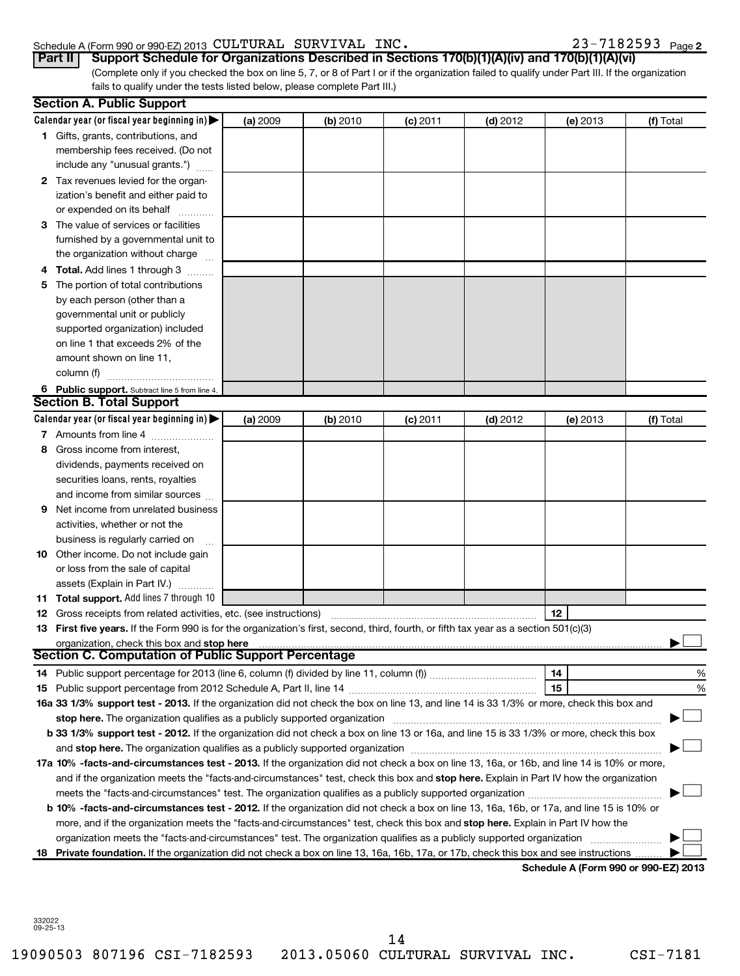#### Schedule A (Form 990 or 990-EZ) 2013 Page CULTURAL SURVIVAL INC. 23-7182593

|  |  |  |  |  |  |  |  |  | 23-7182593 <sub>Page 2</sub> |
|--|--|--|--|--|--|--|--|--|------------------------------|
|--|--|--|--|--|--|--|--|--|------------------------------|

| Part II   Support Schedule for Organizations Described in Sections 170(b)(1)(A)(iv) and 170(b)(1)(A)(vi)                                        |
|-------------------------------------------------------------------------------------------------------------------------------------------------|
| (Complete only if you checked the box on line 5, 7, or 8 of Part I or if the organization failed to qualify under Part III. If the organization |
| fails to qualify under the tests listed below, please complete Part III.)                                                                       |

|     | <b>Section A. Public Support</b>                                                                                                                                                                                                                                                                   |          |          |            |            |                                      |           |
|-----|----------------------------------------------------------------------------------------------------------------------------------------------------------------------------------------------------------------------------------------------------------------------------------------------------|----------|----------|------------|------------|--------------------------------------|-----------|
|     | Calendar year (or fiscal year beginning in) $\blacktriangleright$                                                                                                                                                                                                                                  | (a) 2009 | (b) 2010 | $(c)$ 2011 | $(d)$ 2012 | (e) 2013                             | (f) Total |
|     | 1 Gifts, grants, contributions, and                                                                                                                                                                                                                                                                |          |          |            |            |                                      |           |
|     | membership fees received. (Do not                                                                                                                                                                                                                                                                  |          |          |            |            |                                      |           |
|     | include any "unusual grants.")                                                                                                                                                                                                                                                                     |          |          |            |            |                                      |           |
|     | 2 Tax revenues levied for the organ-                                                                                                                                                                                                                                                               |          |          |            |            |                                      |           |
|     | ization's benefit and either paid to                                                                                                                                                                                                                                                               |          |          |            |            |                                      |           |
|     | or expended on its behalf                                                                                                                                                                                                                                                                          |          |          |            |            |                                      |           |
|     | 3 The value of services or facilities                                                                                                                                                                                                                                                              |          |          |            |            |                                      |           |
|     | furnished by a governmental unit to                                                                                                                                                                                                                                                                |          |          |            |            |                                      |           |
|     | the organization without charge                                                                                                                                                                                                                                                                    |          |          |            |            |                                      |           |
|     | Total. Add lines 1 through 3                                                                                                                                                                                                                                                                       |          |          |            |            |                                      |           |
| 5   | The portion of total contributions                                                                                                                                                                                                                                                                 |          |          |            |            |                                      |           |
|     | by each person (other than a                                                                                                                                                                                                                                                                       |          |          |            |            |                                      |           |
|     | governmental unit or publicly                                                                                                                                                                                                                                                                      |          |          |            |            |                                      |           |
|     | supported organization) included                                                                                                                                                                                                                                                                   |          |          |            |            |                                      |           |
|     | on line 1 that exceeds 2% of the                                                                                                                                                                                                                                                                   |          |          |            |            |                                      |           |
|     | amount shown on line 11,                                                                                                                                                                                                                                                                           |          |          |            |            |                                      |           |
|     | column (f)                                                                                                                                                                                                                                                                                         |          |          |            |            |                                      |           |
|     | 6 Public support. Subtract line 5 from line 4.                                                                                                                                                                                                                                                     |          |          |            |            |                                      |           |
|     | <b>Section B. Total Support</b>                                                                                                                                                                                                                                                                    |          |          |            |            |                                      |           |
|     | Calendar year (or fiscal year beginning in) $\blacktriangleright$                                                                                                                                                                                                                                  | (a) 2009 | (b) 2010 | $(c)$ 2011 | $(d)$ 2012 | (e) 2013                             | (f) Total |
|     | 7 Amounts from line 4                                                                                                                                                                                                                                                                              |          |          |            |            |                                      |           |
|     | Gross income from interest,                                                                                                                                                                                                                                                                        |          |          |            |            |                                      |           |
|     | dividends, payments received on                                                                                                                                                                                                                                                                    |          |          |            |            |                                      |           |
|     | securities loans, rents, royalties                                                                                                                                                                                                                                                                 |          |          |            |            |                                      |           |
|     | and income from similar sources                                                                                                                                                                                                                                                                    |          |          |            |            |                                      |           |
| 9   | Net income from unrelated business                                                                                                                                                                                                                                                                 |          |          |            |            |                                      |           |
|     | activities, whether or not the                                                                                                                                                                                                                                                                     |          |          |            |            |                                      |           |
|     | business is regularly carried on                                                                                                                                                                                                                                                                   |          |          |            |            |                                      |           |
| 10  | Other income. Do not include gain                                                                                                                                                                                                                                                                  |          |          |            |            |                                      |           |
|     | or loss from the sale of capital                                                                                                                                                                                                                                                                   |          |          |            |            |                                      |           |
|     | assets (Explain in Part IV.)                                                                                                                                                                                                                                                                       |          |          |            |            |                                      |           |
|     | <b>11 Total support.</b> Add lines 7 through 10                                                                                                                                                                                                                                                    |          |          |            |            |                                      |           |
| 12  | Gross receipts from related activities, etc. (see instructions)                                                                                                                                                                                                                                    |          |          |            |            | $12 \,$                              |           |
|     | 13 First five years. If the Form 990 is for the organization's first, second, third, fourth, or fifth tax year as a section 501(c)(3)                                                                                                                                                              |          |          |            |            |                                      |           |
|     | organization, check this box and stop here manufactured and content to the state of the content of the state of the content of the content of the content of the content of the content of the content of the content of the c<br>Section C. Computation of Public Support Percentage <b>COMPT</b> |          |          |            |            |                                      |           |
|     |                                                                                                                                                                                                                                                                                                    |          |          |            |            |                                      |           |
|     | 14 Public support percentage for 2013 (line 6, column (f) divided by line 11, column (f) <i>mummumumum</i>                                                                                                                                                                                         |          |          |            |            | 14                                   | %         |
|     |                                                                                                                                                                                                                                                                                                    |          |          |            |            | 15                                   | %         |
|     | 16a 33 1/3% support test - 2013. If the organization did not check the box on line 13, and line 14 is 33 1/3% or more, check this box and                                                                                                                                                          |          |          |            |            |                                      |           |
|     | stop here. The organization qualifies as a publicly supported organization manufactured content and the organization of the state of the state of the state of the state of the state of the state of the state of the state o                                                                     |          |          |            |            |                                      |           |
|     | b 33 1/3% support test - 2012. If the organization did not check a box on line 13 or 16a, and line 15 is 33 1/3% or more, check this box                                                                                                                                                           |          |          |            |            |                                      |           |
|     |                                                                                                                                                                                                                                                                                                    |          |          |            |            |                                      |           |
|     | 17a 10% -facts-and-circumstances test - 2013. If the organization did not check a box on line 13, 16a, or 16b, and line 14 is 10% or more,                                                                                                                                                         |          |          |            |            |                                      |           |
|     | and if the organization meets the "facts-and-circumstances" test, check this box and stop here. Explain in Part IV how the organization                                                                                                                                                            |          |          |            |            |                                      |           |
|     |                                                                                                                                                                                                                                                                                                    |          |          |            |            |                                      |           |
|     | b 10% -facts-and-circumstances test - 2012. If the organization did not check a box on line 13, 16a, 16b, or 17a, and line 15 is 10% or                                                                                                                                                            |          |          |            |            |                                      |           |
|     | more, and if the organization meets the "facts-and-circumstances" test, check this box and stop here. Explain in Part IV how the                                                                                                                                                                   |          |          |            |            |                                      |           |
|     | organization meets the "facts-and-circumstances" test. The organization qualifies as a publicly supported organization                                                                                                                                                                             |          |          |            |            |                                      |           |
| 18. | Private foundation. If the organization did not check a box on line 13, 16a, 16b, 17a, or 17b, check this box and see instructions                                                                                                                                                                 |          |          |            |            | Schedule A (Form 990 or 990-EZ) 2013 |           |
|     |                                                                                                                                                                                                                                                                                                    |          |          |            |            |                                      |           |

332022 09-25-13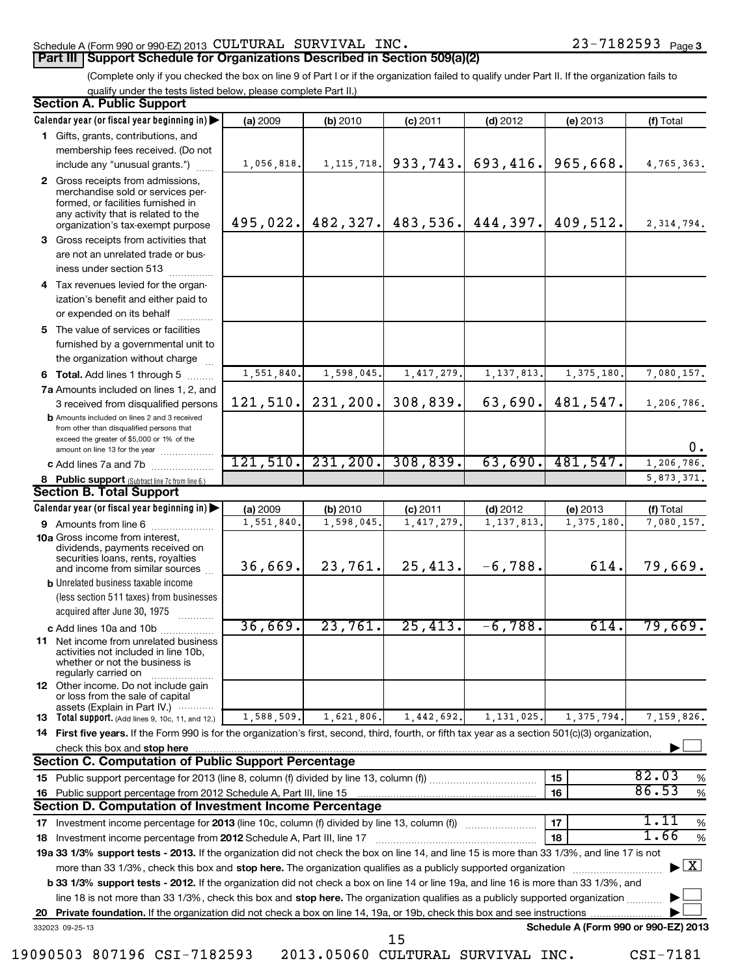## Schedule A (Form 990 or 990-EZ) 2013  $\verb|CULTURAL|$   $\verb|SURVIVAL|$   $\verb|INC.|$   $\verb|23-7182593$   $\verb|Page|$ **Part III Support Schedule for Organizations Described in Section 509(a)(2)**

# (Complete only if you checked the box on line 9 of Part I or if the organization failed to qualify under Part II. If the organization fails to

qualify under the tests listed below, please complete Part II.)

|    | <b>Section A. Public Support</b>                                                                                                                                                         |            |              |            |                                  |                                      |                                   |
|----|------------------------------------------------------------------------------------------------------------------------------------------------------------------------------------------|------------|--------------|------------|----------------------------------|--------------------------------------|-----------------------------------|
|    | Calendar year (or fiscal year beginning in)                                                                                                                                              | (a) 2009   | (b) 2010     | $(c)$ 2011 | $(d)$ 2012                       | $(e)$ 2013                           | (f) Total                         |
|    | 1 Gifts, grants, contributions, and                                                                                                                                                      |            |              |            |                                  |                                      |                                   |
|    | membership fees received. (Do not                                                                                                                                                        |            |              |            |                                  |                                      |                                   |
|    | include any "unusual grants.")                                                                                                                                                           | 1,056,818. | 1, 115, 718. | 933, 743.  | 693,416.                         | 965,668.                             | 4,765,363.                        |
|    | 2 Gross receipts from admissions,<br>merchandise sold or services per-<br>formed, or facilities furnished in<br>any activity that is related to the<br>organization's tax-exempt purpose | 495,022.   |              |            | $482, 327$ . 483, 536. 444, 397. | 409,512.                             | 2, 314, 794.                      |
|    | 3 Gross receipts from activities that<br>are not an unrelated trade or bus-<br>iness under section 513                                                                                   |            |              |            |                                  |                                      |                                   |
| 4  | Tax revenues levied for the organ-<br>ization's benefit and either paid to<br>or expended on its behalf                                                                                  |            |              |            |                                  |                                      |                                   |
|    | 5 The value of services or facilities<br>furnished by a governmental unit to<br>the organization without charge                                                                          |            |              |            |                                  |                                      |                                   |
|    | 6 Total. Add lines 1 through 5                                                                                                                                                           | 1,551,840  | 1,598,045.   | 1,417,279. | 1, 137, 813.                     | 1,375,180                            | 7,080,157.                        |
|    | 7a Amounts included on lines 1, 2, and                                                                                                                                                   |            |              |            |                                  |                                      |                                   |
|    | 3 received from disqualified persons<br><b>b</b> Amounts included on lines 2 and 3 received<br>from other than disqualified persons that<br>exceed the greater of \$5,000 or 1% of the   | 121, 510.  | 231, 200.    | 308,839.   | 63,690.                          | 481,547.                             | 1,206,786.<br>0.                  |
|    | amount on line 13 for the year<br>c Add lines 7a and 7b                                                                                                                                  | 121,510.   | 231, 200.    | 308,839.   | 63,690.                          | 481,547.                             | 1, 206, 786.                      |
|    | 8 Public support (Subtract line 7c from line 6.)                                                                                                                                         |            |              |            |                                  |                                      | 5,873,371.                        |
|    | <b>Section B. Total Support</b>                                                                                                                                                          |            |              |            |                                  |                                      |                                   |
|    | Calendar year (or fiscal year beginning in)                                                                                                                                              | (a) 2009   | (b) 2010     | $(c)$ 2011 | $(d)$ 2012                       | (e) 2013                             | (f) Total                         |
|    | <b>9</b> Amounts from line 6                                                                                                                                                             | 1,551,840  | 1,598,045.   | 1,417,279. | 1, 137, 813.                     | 1,375,180                            | 7,080,157.                        |
|    | <b>10a</b> Gross income from interest,<br>dividends, payments received on<br>securities loans, rents, royalties                                                                          | 36,669.    | 23,761.      | 25,413.    | $-6,788.$                        | 614.                                 | 79,669.                           |
|    | and income from similar sources<br><b>b</b> Unrelated business taxable income                                                                                                            |            |              |            |                                  |                                      |                                   |
|    | (less section 511 taxes) from businesses<br>acquired after June 30, 1975                                                                                                                 |            |              |            |                                  |                                      |                                   |
|    | c Add lines 10a and 10b                                                                                                                                                                  | 36,669.    | 23,761.      | 25,413.    | $-6,788.$                        | 614.                                 | 79,669.                           |
|    | 11 Net income from unrelated business<br>activities not included in line 10b.<br>whether or not the business is<br>regularly carried on                                                  |            |              |            |                                  |                                      |                                   |
|    | <b>12</b> Other income. Do not include gain<br>or loss from the sale of capital<br>assets (Explain in Part IV.)                                                                          |            |              |            |                                  |                                      |                                   |
|    | <b>13</b> Total support. (Add lines 9, 10c, 11, and 12.)                                                                                                                                 | 1,588,509. | 1,621,806.   | 1,442,692. | 1, 131, 025.                     | 1,375,794.                           | 7,159,826.                        |
|    | 14 First five years. If the Form 990 is for the organization's first, second, third, fourth, or fifth tax year as a section 501(c)(3) organization,                                      |            |              |            |                                  |                                      |                                   |
|    | Section C. Computation of Public Support Percentage                                                                                                                                      |            |              |            |                                  |                                      |                                   |
| 15 |                                                                                                                                                                                          |            |              |            |                                  | 15                                   | 82.03<br>%                        |
| 16 | Public support percentage from 2012 Schedule A, Part III, line 15                                                                                                                        |            |              |            |                                  | 16                                   | 86.53<br>$\%$                     |
|    | Section D. Computation of Investment Income Percentage                                                                                                                                   |            |              |            |                                  |                                      |                                   |
| 17 |                                                                                                                                                                                          |            |              |            |                                  | 17                                   | 1.11<br>%                         |
| 18 |                                                                                                                                                                                          |            |              |            |                                  | 18                                   | 1.66<br>$\%$                      |
|    | 19a 33 1/3% support tests - 2013. If the organization did not check the box on line 14, and line 15 is more than 33 1/3%, and line 17 is not                                             |            |              |            |                                  |                                      |                                   |
|    | more than 33 1/3%, check this box and stop here. The organization qualifies as a publicly supported organization                                                                         |            |              |            |                                  |                                      | $\blacktriangleright$ $\boxed{X}$ |
|    | b 33 1/3% support tests - 2012. If the organization did not check a box on line 14 or line 19a, and line 16 is more than 33 1/3%, and                                                    |            |              |            |                                  |                                      |                                   |
|    | line 18 is not more than 33 1/3%, check this box and stop here. The organization qualifies as a publicly supported organization                                                          |            |              |            |                                  |                                      |                                   |
|    |                                                                                                                                                                                          |            |              |            |                                  |                                      |                                   |
|    | 332023 09-25-13                                                                                                                                                                          |            |              | 15         |                                  | Schedule A (Form 990 or 990-EZ) 2013 |                                   |

19090503 807196 CSI-7182593 2013.05060 CULTURAL SURVIVAL INC. CSI-7181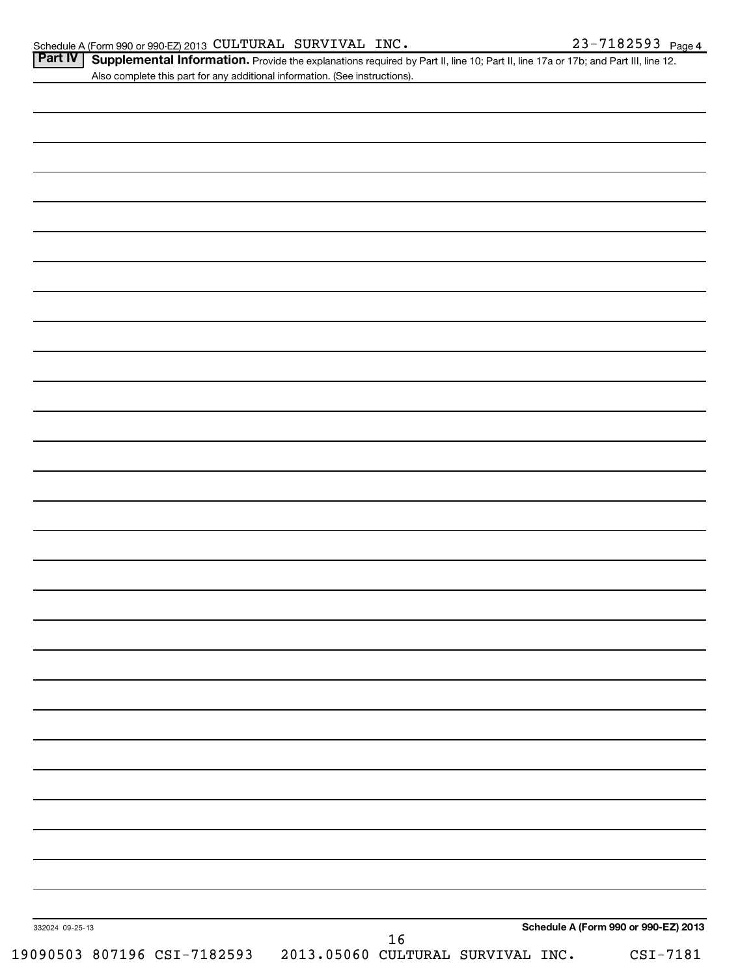| Part IV   Supplemental Information. Provide the explanations required by Part II, line 10; Part II, line 17a or 17b; and Part III, line 12 |  |
|--------------------------------------------------------------------------------------------------------------------------------------------|--|
| Also complete this part for any additional information. (See instructions).                                                                |  |

| 332024 09-25-13 |  |  |        |  | Schedule A (Form 990 or 990-EZ) 2013 |
|-----------------|--|--|--------|--|--------------------------------------|
|                 |  |  | $16\,$ |  |                                      |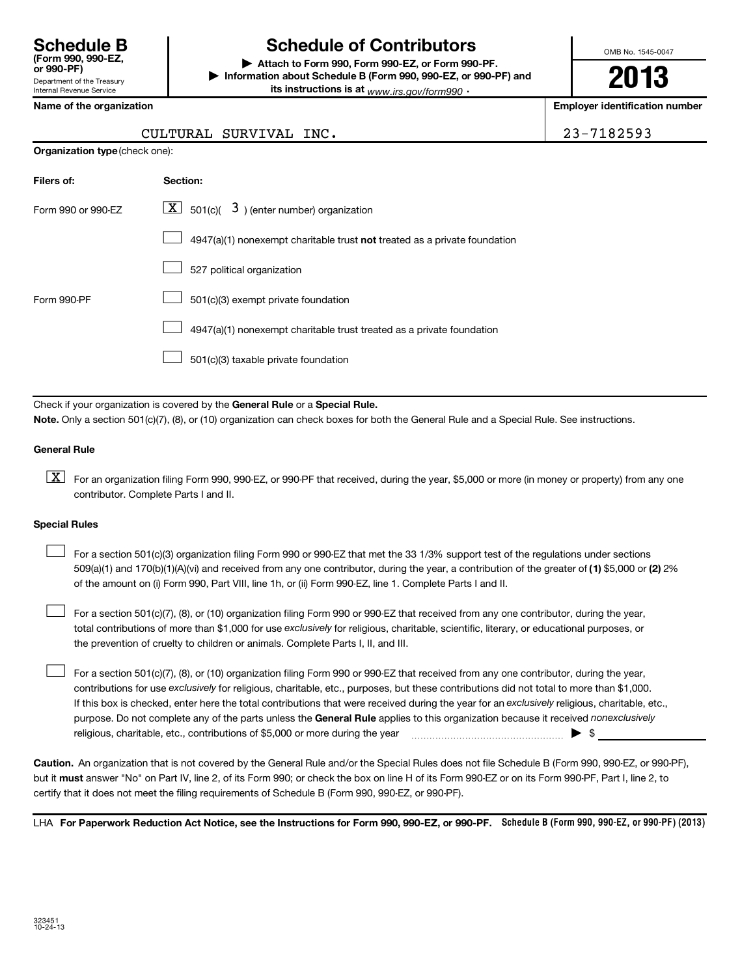| <b>Schedule B</b><br>(Form 990, 990-EZ.<br>or 990-PF)  |  |
|--------------------------------------------------------|--|
| Department of the Treasury<br>Internal Revenue Service |  |

# **Schedule of Contributors**

**or 990-PF) | Attach to Form 990, Form 990-EZ, or Form 990-PF. | Information about Schedule B (Form 990, 990-EZ, or 990-PF) and its instructions is at** <sub>www.irs.gov/form990  $\cdot$ </sub>

OMB No. 1545-0047

**2013**

**Name of the organization Employer identification number**

23-7182593

| CULTURAL SURVIVAL INC. |  |
|------------------------|--|
|                        |  |

|  |  | Organization type (check one): |
|--|--|--------------------------------|
|--|--|--------------------------------|

| Filers of:         | <b>Section:</b>                                                           |
|--------------------|---------------------------------------------------------------------------|
| Form 990 or 990-EZ | $\lfloor \underline{X} \rfloor$ 501(c)( 3) (enter number) organization    |
|                    | 4947(a)(1) nonexempt charitable trust not treated as a private foundation |
|                    | 527 political organization                                                |
| Form 990-PF        | 501(c)(3) exempt private foundation                                       |
|                    | 4947(a)(1) nonexempt charitable trust treated as a private foundation     |
|                    | 501(c)(3) taxable private foundation                                      |

Check if your organization is covered by the General Rule or a Special Rule. **Note.**  Only a section 501(c)(7), (8), or (10) organization can check boxes for both the General Rule and a Special Rule. See instructions.

### **General Rule**

 $\boxed{\textbf{X}}$  For an organization filing Form 990, 990-EZ, or 990-PF that received, during the year, \$5,000 or more (in money or property) from any one contributor. Complete Parts I and II.

#### **Special Rules**

509(a)(1) and 170(b)(1)(A)(vi) and received from any one contributor, during the year, a contribution of the greater of (1**)** \$5,000 or (**2**) 2% For a section 501(c)(3) organization filing Form 990 or 990-EZ that met the 33 1/3% support test of the regulations under sections of the amount on (i) Form 990, Part VIII, line 1h, or (ii) Form 990-EZ, line 1. Complete Parts I and II.  $\left\vert \cdot\right\vert$ 

total contributions of more than \$1,000 for use exclusively for religious, charitable, scientific, literary, or educational purposes, or For a section 501(c)(7), (8), or (10) organization filing Form 990 or 990-EZ that received from any one contributor, during the year, the prevention of cruelty to children or animals. Complete Parts I, II, and III.  $\left\vert \cdot\right\vert$ 

purpose. Do not complete any of the parts unless the General Rule applies to this organization because it received nonexclusively contributions for use exclusively for religious, charitable, etc., purposes, but these contributions did not total to more than \$1,000. If this box is checked, enter here the total contributions that were received during the year for an exclusively religious, charitable, etc., For a section 501(c)(7), (8), or (10) organization filing Form 990 or 990-EZ that received from any one contributor, during the year, religious, charitable, etc., contributions of \$5,000 or more during the year  $\ldots$   $\ldots$   $\ldots$   $\ldots$   $\ldots$   $\ldots$   $\ldots$   $\ldots$   $\blacktriangleright$   $\uparrow$  $\left\vert \cdot\right\vert$ 

**Caution.** An organization that is not covered by the General Rule and/or the Special Rules does not file Schedule B (Form 990, 990-EZ, or 990-PF),  **must** but it answer "No" on Part IV, line 2, of its Form 990; or check the box on line H of its Form 990-EZ or on its Form 990-PF, Part I, line 2, to certify that it does not meet the filing requirements of Schedule B (Form 990, 990-EZ, or 990-PF).

LHA For Paperwork Reduction Act Notice, see the Instructions for Form 990, 990-EZ, or 990-PF. Schedule B (Form 990, 990-EZ, or 990-PF) (2013)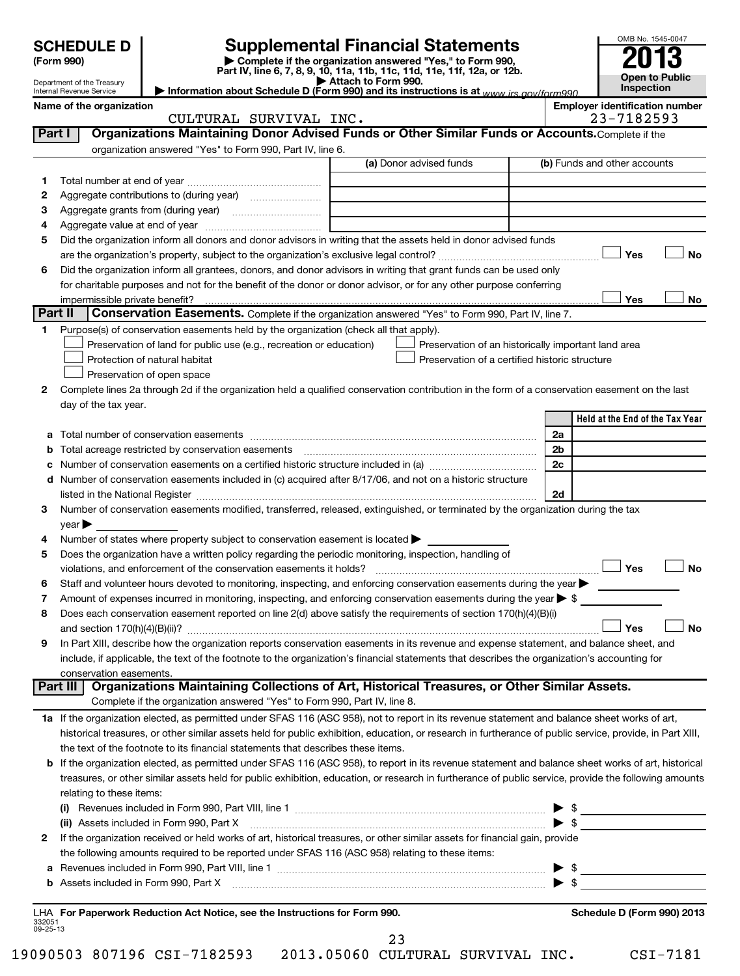# **SCHEDULE D Supplemental Financial Statements**<br> **Form 990 2013**<br>
Part IV line 6.7.8.9.10, 11a, 11b, 11d, 11d, 11d, 11d, 11d, 12a, 0r, 12b

**(Form 990) | Complete if the organization answered "Yes," to Form 990, Part IV, line 6, 7, 8, 9, 10, 11a, 11b, 11c, 11d, 11e, 11f, 12a, or 12b. | Attach to Form 990. | Information about Schedule D (Form 990) and its instructions is at**  *www.irs.gov/form990.*

| OMB No. 1545-0047     |
|-----------------------|
| $\rightarrow$         |
| 201                   |
| <b>Open to Public</b> |
|                       |
| Inspection            |

Department of the Treasury Internal Revenue Service

|  | ame of the organization |
|--|-------------------------|
|--|-------------------------|

Name of the organization<br>**CULTURAL SURVIVAL INC.** Employer identification number<br>
23-7182593

|                    | CULTURAL SURVIVAL INC.                                                                                                                                                                   |                                                                                                       | 23-7182593                      |
|--------------------|------------------------------------------------------------------------------------------------------------------------------------------------------------------------------------------|-------------------------------------------------------------------------------------------------------|---------------------------------|
| Part I             | Organizations Maintaining Donor Advised Funds or Other Similar Funds or Accounts. Complete if the                                                                                        |                                                                                                       |                                 |
|                    | organization answered "Yes" to Form 990, Part IV, line 6.                                                                                                                                |                                                                                                       |                                 |
|                    |                                                                                                                                                                                          | (a) Donor advised funds                                                                               | (b) Funds and other accounts    |
| 1                  |                                                                                                                                                                                          |                                                                                                       |                                 |
| 2                  |                                                                                                                                                                                          |                                                                                                       |                                 |
| з                  |                                                                                                                                                                                          |                                                                                                       |                                 |
| 4                  |                                                                                                                                                                                          |                                                                                                       |                                 |
| 5                  | Did the organization inform all donors and donor advisors in writing that the assets held in donor advised funds                                                                         |                                                                                                       |                                 |
|                    |                                                                                                                                                                                          |                                                                                                       | Yes<br>No                       |
| 6                  | Did the organization inform all grantees, donors, and donor advisors in writing that grant funds can be used only                                                                        |                                                                                                       |                                 |
|                    | for charitable purposes and not for the benefit of the donor or donor advisor, or for any other purpose conferring                                                                       |                                                                                                       |                                 |
|                    |                                                                                                                                                                                          |                                                                                                       | Yes<br>No                       |
|                    | Part II<br><b>Conservation Easements.</b> Complete if the organization answered "Yes" to Form 990, Part IV, line 7.                                                                      |                                                                                                       |                                 |
| 1                  | Purpose(s) of conservation easements held by the organization (check all that apply).                                                                                                    |                                                                                                       |                                 |
|                    | Preservation of land for public use (e.g., recreation or education)                                                                                                                      |                                                                                                       |                                 |
|                    | Protection of natural habitat                                                                                                                                                            | Preservation of an historically important land area<br>Preservation of a certified historic structure |                                 |
|                    |                                                                                                                                                                                          |                                                                                                       |                                 |
|                    | Preservation of open space                                                                                                                                                               |                                                                                                       |                                 |
| 2                  | Complete lines 2a through 2d if the organization held a qualified conservation contribution in the form of a conservation easement on the last                                           |                                                                                                       |                                 |
|                    | day of the tax year.                                                                                                                                                                     |                                                                                                       | Held at the End of the Tax Year |
|                    |                                                                                                                                                                                          |                                                                                                       |                                 |
| а                  |                                                                                                                                                                                          |                                                                                                       | 2a                              |
|                    |                                                                                                                                                                                          |                                                                                                       | 2 <sub>b</sub>                  |
| с                  | Number of conservation easements on a certified historic structure included in (a) manufacture included in (a)                                                                           |                                                                                                       | 2c                              |
| d                  | Number of conservation easements included in (c) acquired after 8/17/06, and not on a historic structure                                                                                 |                                                                                                       |                                 |
|                    |                                                                                                                                                                                          |                                                                                                       | 2d                              |
| 3                  | Number of conservation easements modified, transferred, released, extinguished, or terminated by the organization during the tax                                                         |                                                                                                       |                                 |
|                    | $year \triangleright$                                                                                                                                                                    |                                                                                                       |                                 |
| 4                  | Number of states where property subject to conservation easement is located >                                                                                                            |                                                                                                       |                                 |
| 5                  | Does the organization have a written policy regarding the periodic monitoring, inspection, handling of                                                                                   |                                                                                                       | Yes<br><b>No</b>                |
|                    | violations, and enforcement of the conservation easements it holds?<br>Staff and volunteer hours devoted to monitoring, inspecting, and enforcing conservation easements during the year |                                                                                                       |                                 |
| 6                  | Amount of expenses incurred in monitoring, inspecting, and enforcing conservation easements during the year $\triangleright$ \$                                                          |                                                                                                       |                                 |
| 7<br>8             | Does each conservation easement reported on line 2(d) above satisfy the requirements of section 170(h)(4)(B)(i)                                                                          |                                                                                                       |                                 |
|                    |                                                                                                                                                                                          |                                                                                                       | <b>No</b><br>Yes                |
| 9                  | In Part XIII, describe how the organization reports conservation easements in its revenue and expense statement, and balance sheet, and                                                  |                                                                                                       |                                 |
|                    | include, if applicable, the text of the footnote to the organization's financial statements that describes the organization's accounting for                                             |                                                                                                       |                                 |
|                    |                                                                                                                                                                                          |                                                                                                       |                                 |
|                    | conservation easements.<br>Organizations Maintaining Collections of Art, Historical Treasures, or Other Similar Assets.<br>Part III                                                      |                                                                                                       |                                 |
|                    | Complete if the organization answered "Yes" to Form 990, Part IV, line 8.                                                                                                                |                                                                                                       |                                 |
|                    | 1a If the organization elected, as permitted under SFAS 116 (ASC 958), not to report in its revenue statement and balance sheet works of art,                                            |                                                                                                       |                                 |
|                    | historical treasures, or other similar assets held for public exhibition, education, or research in furtherance of public service, provide, in Part XIII,                                |                                                                                                       |                                 |
|                    | the text of the footnote to its financial statements that describes these items.                                                                                                         |                                                                                                       |                                 |
|                    | b If the organization elected, as permitted under SFAS 116 (ASC 958), to report in its revenue statement and balance sheet works of art, historical                                      |                                                                                                       |                                 |
|                    | treasures, or other similar assets held for public exhibition, education, or research in furtherance of public service, provide the following amounts                                    |                                                                                                       |                                 |
|                    | relating to these items:                                                                                                                                                                 |                                                                                                       |                                 |
|                    |                                                                                                                                                                                          |                                                                                                       |                                 |
|                    |                                                                                                                                                                                          |                                                                                                       |                                 |
|                    | (ii) Assets included in Form 990, Part X<br>If the organization received or held works of art, historical treasures, or other similar assets for financial gain, provide                 |                                                                                                       |                                 |
| 2                  |                                                                                                                                                                                          |                                                                                                       |                                 |
|                    | the following amounts required to be reported under SFAS 116 (ASC 958) relating to these items:                                                                                          |                                                                                                       |                                 |
| а                  |                                                                                                                                                                                          |                                                                                                       |                                 |
| b                  |                                                                                                                                                                                          |                                                                                                       |                                 |
|                    |                                                                                                                                                                                          |                                                                                                       | Schedule D (Form 990) 2013      |
| 332051<br>09-25-13 | LHA For Paperwork Reduction Act Notice, see the Instructions for Form 990.                                                                                                               |                                                                                                       |                                 |
|                    |                                                                                                                                                                                          | 23                                                                                                    |                                 |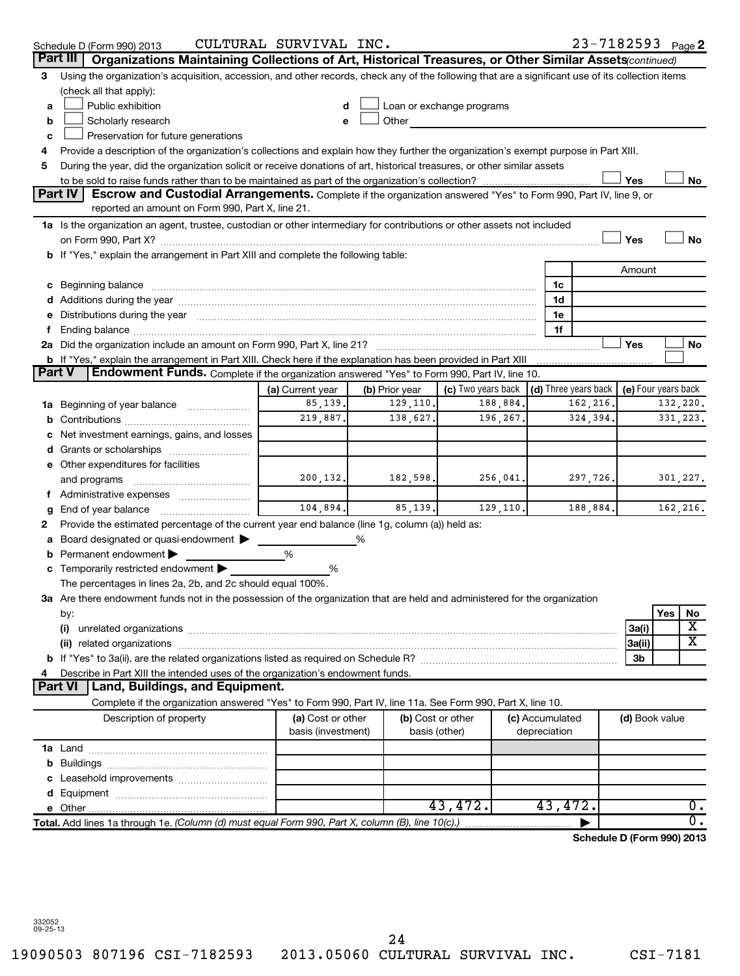|    | Schedule D (Form 990) 2013                                                                                                                                                                                                     | CULTURAL SURVIVAL INC.                  |                |                           |                                      | 23-7182593 Page 2          |                     |          |                  |
|----|--------------------------------------------------------------------------------------------------------------------------------------------------------------------------------------------------------------------------------|-----------------------------------------|----------------|---------------------------|--------------------------------------|----------------------------|---------------------|----------|------------------|
|    | Part III<br>Organizations Maintaining Collections of Art, Historical Treasures, or Other Similar Assets (continued)                                                                                                            |                                         |                |                           |                                      |                            |                     |          |                  |
| 3  | Using the organization's acquisition, accession, and other records, check any of the following that are a significant use of its collection items                                                                              |                                         |                |                           |                                      |                            |                     |          |                  |
|    | (check all that apply):                                                                                                                                                                                                        |                                         |                |                           |                                      |                            |                     |          |                  |
| a  | Public exhibition                                                                                                                                                                                                              | d                                       |                | Loan or exchange programs |                                      |                            |                     |          |                  |
| b  | Scholarly research                                                                                                                                                                                                             | e                                       | Other          |                           |                                      |                            |                     |          |                  |
| c  | Preservation for future generations                                                                                                                                                                                            |                                         |                |                           |                                      |                            |                     |          |                  |
| 4  | Provide a description of the organization's collections and explain how they further the organization's exempt purpose in Part XIII.                                                                                           |                                         |                |                           |                                      |                            |                     |          |                  |
| 5  | During the year, did the organization solicit or receive donations of art, historical treasures, or other similar assets                                                                                                       |                                         |                |                           |                                      |                            |                     |          |                  |
|    |                                                                                                                                                                                                                                |                                         |                |                           |                                      |                            | Yes                 |          | No               |
|    | Part IV<br>Escrow and Custodial Arrangements. Complete if the organization answered "Yes" to Form 990, Part IV, line 9, or                                                                                                     |                                         |                |                           |                                      |                            |                     |          |                  |
|    | reported an amount on Form 990, Part X, line 21.                                                                                                                                                                               |                                         |                |                           |                                      |                            |                     |          |                  |
|    | 1a Is the organization an agent, trustee, custodian or other intermediary for contributions or other assets not included                                                                                                       |                                         |                |                           |                                      |                            |                     |          |                  |
|    |                                                                                                                                                                                                                                |                                         |                |                           |                                      |                            | Yes                 |          | No               |
|    | b If "Yes," explain the arrangement in Part XIII and complete the following table:                                                                                                                                             |                                         |                |                           |                                      |                            |                     |          |                  |
|    |                                                                                                                                                                                                                                |                                         |                |                           |                                      |                            | Amount              |          |                  |
|    |                                                                                                                                                                                                                                |                                         |                |                           | 1c                                   |                            |                     |          |                  |
|    |                                                                                                                                                                                                                                |                                         |                |                           | 1d                                   |                            |                     |          |                  |
|    | Distributions during the year manufactured and an account of the year manufactured and the year manufactured and the year manufactured and the year manufactured and the year manufactured and the year manufactured and the y |                                         |                |                           | 1e<br>1f                             |                            |                     |          |                  |
|    |                                                                                                                                                                                                                                |                                         |                |                           |                                      |                            | Yes                 |          | No               |
|    | b If "Yes," explain the arrangement in Part XIII. Check here if the explanation has been provided in Part XIII                                                                                                                 |                                         |                |                           |                                      |                            |                     |          |                  |
|    | <b>Endowment Funds.</b> Complete if the organization answered "Yes" to Form 990, Part IV, line 10.<br><b>Part V</b>                                                                                                            |                                         |                |                           |                                      |                            |                     |          |                  |
|    |                                                                                                                                                                                                                                | (a) Current year                        | (b) Prior year | (c) Two years back        | $\vert$ (d) Three years back $\vert$ |                            | (e) Four years back |          |                  |
|    | <b>1a</b> Beginning of year balance                                                                                                                                                                                            | 85,139.                                 | 129,110.       | 188,884.                  |                                      | 162,216.                   |                     | 132,220. |                  |
|    |                                                                                                                                                                                                                                | 219,887.                                | 138,627.       | 196,267.                  |                                      | 324,394.                   | 331, 223.           |          |                  |
|    | Net investment earnings, gains, and losses                                                                                                                                                                                     |                                         |                |                           |                                      |                            |                     |          |                  |
|    |                                                                                                                                                                                                                                |                                         |                |                           |                                      |                            |                     |          |                  |
|    | e Other expenditures for facilities                                                                                                                                                                                            |                                         |                |                           |                                      |                            |                     |          |                  |
|    | and programs                                                                                                                                                                                                                   | 200,132.                                | 182,598.       | 256,041.                  |                                      | 297,726.                   |                     |          | 301,227.         |
| τ. | Administrative expenses                                                                                                                                                                                                        |                                         |                |                           |                                      |                            |                     |          |                  |
| g  | End of year balance                                                                                                                                                                                                            | 104,894.                                | 85,139.        | 129, 110.                 |                                      | 188,884.                   |                     | 162,216. |                  |
| 2  | Provide the estimated percentage of the current year end balance (line 1g, column (a)) held as:                                                                                                                                |                                         |                |                           |                                      |                            |                     |          |                  |
| а  | Board designated or quasi-endowment                                                                                                                                                                                            |                                         |                |                           |                                      |                            |                     |          |                  |
| b  | Permanent endowment                                                                                                                                                                                                            | %                                       |                |                           |                                      |                            |                     |          |                  |
|    | c Temporarily restricted endowment $\blacktriangleright$                                                                                                                                                                       | %                                       |                |                           |                                      |                            |                     |          |                  |
|    | The percentages in lines 2a, 2b, and 2c should equal 100%.                                                                                                                                                                     |                                         |                |                           |                                      |                            |                     |          |                  |
|    | 3a Are there endowment funds not in the possession of the organization that are held and administered for the organization                                                                                                     |                                         |                |                           |                                      |                            |                     |          |                  |
|    | by:                                                                                                                                                                                                                            |                                         |                |                           |                                      |                            |                     | Yes      | No               |
|    | (i)                                                                                                                                                                                                                            |                                         |                |                           |                                      |                            | 3a(i)               |          | х                |
|    |                                                                                                                                                                                                                                |                                         |                |                           |                                      |                            | 3a(ii)              |          | x                |
|    |                                                                                                                                                                                                                                |                                         |                |                           |                                      |                            | 3b                  |          |                  |
|    | Describe in Part XIII the intended uses of the organization's endowment funds.<br><b>Part VI</b><br>Land, Buildings, and Equipment.                                                                                            |                                         |                |                           |                                      |                            |                     |          |                  |
|    | Complete if the organization answered "Yes" to Form 990, Part IV, line 11a. See Form 990, Part X, line 10.                                                                                                                     |                                         |                |                           |                                      |                            |                     |          |                  |
|    | Description of property                                                                                                                                                                                                        |                                         |                | (b) Cost or other         |                                      |                            |                     |          |                  |
|    |                                                                                                                                                                                                                                | (a) Cost or other<br>basis (investment) |                | basis (other)             | (c) Accumulated<br>depreciation      |                            | (d) Book value      |          |                  |
|    |                                                                                                                                                                                                                                |                                         |                |                           |                                      |                            |                     |          |                  |
|    |                                                                                                                                                                                                                                |                                         |                |                           |                                      |                            |                     |          |                  |
|    |                                                                                                                                                                                                                                |                                         |                |                           |                                      |                            |                     |          |                  |
|    |                                                                                                                                                                                                                                |                                         |                |                           |                                      |                            |                     |          |                  |
|    |                                                                                                                                                                                                                                |                                         |                | 43,472.                   | 43,472.                              |                            |                     |          | $\overline{0}$ . |
|    | Total. Add lines 1a through 1e. (Column (d) must equal Form 990, Part X, column (B), line 10(c).)                                                                                                                              |                                         |                |                           |                                      |                            |                     |          | $\overline{0}$ . |
|    |                                                                                                                                                                                                                                |                                         |                |                           |                                      | Schedule D (Form 990) 2013 |                     |          |                  |
|    |                                                                                                                                                                                                                                |                                         |                |                           |                                      |                            |                     |          |                  |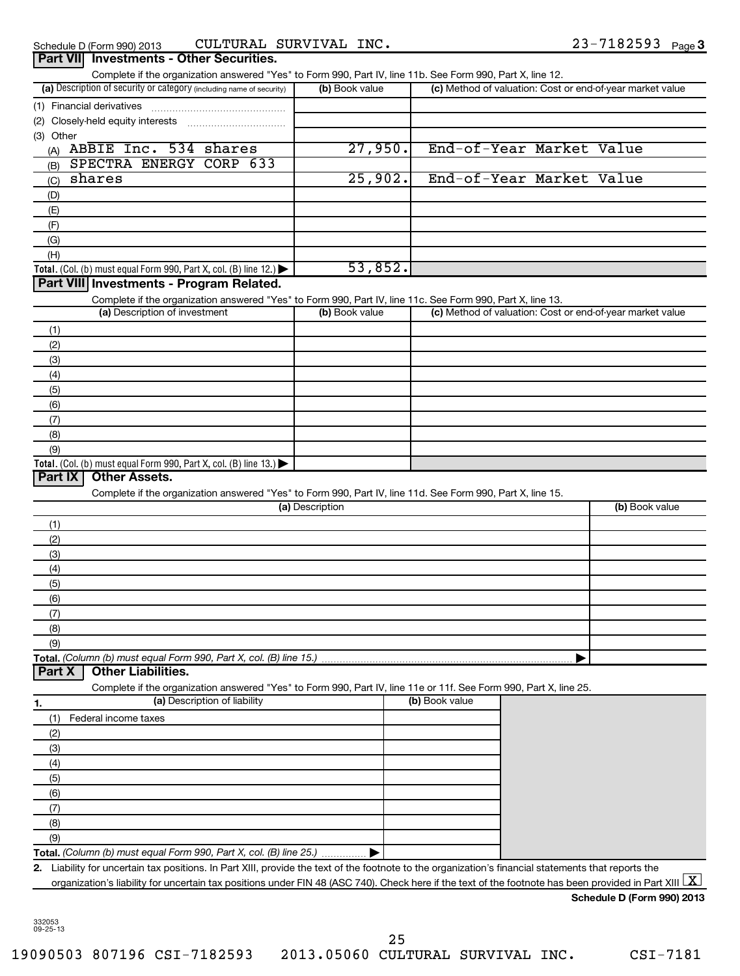## Schedule D (Form 990) 2013 CULTURAL SURVIVAL INC  $\bullet$  23 - 7182593  $_{\rm Page}$

| Complete if the organization answered "Yes" to Form 990, Part IV, line 11b. See Form 990, Part X, line 12.                                           |                 |                                                           |                |
|------------------------------------------------------------------------------------------------------------------------------------------------------|-----------------|-----------------------------------------------------------|----------------|
| (a) Description of security or category (including name of security)                                                                                 | (b) Book value  | (c) Method of valuation: Cost or end-of-year market value |                |
| (1) Financial derivatives                                                                                                                            |                 |                                                           |                |
| (2)                                                                                                                                                  |                 |                                                           |                |
| (3) Other                                                                                                                                            |                 |                                                           |                |
| ABBIE Inc. 534 shares<br>(A)                                                                                                                         | 27,950.         | End-of-Year Market Value                                  |                |
| SPECTRA ENERGY CORP 633<br>(B)                                                                                                                       |                 |                                                           |                |
| shares<br>(C)                                                                                                                                        | 25,902.         | End-of-Year Market Value                                  |                |
| (D)                                                                                                                                                  |                 |                                                           |                |
| (E)                                                                                                                                                  |                 |                                                           |                |
| (F)                                                                                                                                                  |                 |                                                           |                |
| (G)                                                                                                                                                  |                 |                                                           |                |
| (H)                                                                                                                                                  |                 |                                                           |                |
| <b>Total.</b> (Col. (b) must equal Form 990, Part X, col. (B) line 12.) $\blacktriangleright$                                                        | 53,852.         |                                                           |                |
| Part VIII Investments - Program Related.                                                                                                             |                 |                                                           |                |
| Complete if the organization answered "Yes" to Form 990, Part IV, line 11c. See Form 990, Part X, line 13.                                           |                 |                                                           |                |
| (a) Description of investment                                                                                                                        | (b) Book value  | (c) Method of valuation: Cost or end-of-year market value |                |
| (1)                                                                                                                                                  |                 |                                                           |                |
| (2)                                                                                                                                                  |                 |                                                           |                |
| (3)                                                                                                                                                  |                 |                                                           |                |
| (4)                                                                                                                                                  |                 |                                                           |                |
| (5)                                                                                                                                                  |                 |                                                           |                |
| (6)                                                                                                                                                  |                 |                                                           |                |
| (7)                                                                                                                                                  |                 |                                                           |                |
| (8)                                                                                                                                                  |                 |                                                           |                |
| (9)                                                                                                                                                  |                 |                                                           |                |
| <b>Total.</b> (Col. (b) must equal Form 990, Part X, col. (B) line 13.)                                                                              |                 |                                                           |                |
| Part IX<br><b>Other Assets.</b>                                                                                                                      |                 |                                                           |                |
|                                                                                                                                                      |                 |                                                           |                |
| Complete if the organization answered "Yes" to Form 990, Part IV, line 11d. See Form 990, Part X, line 15.                                           | (a) Description |                                                           | (b) Book value |
|                                                                                                                                                      |                 |                                                           |                |
| (1)                                                                                                                                                  |                 |                                                           |                |
| (2)                                                                                                                                                  |                 |                                                           |                |
| (3)                                                                                                                                                  |                 |                                                           |                |
| (4)                                                                                                                                                  |                 |                                                           |                |
| (5)                                                                                                                                                  |                 |                                                           |                |
|                                                                                                                                                      |                 |                                                           |                |
| (6)                                                                                                                                                  |                 |                                                           |                |
| (7)                                                                                                                                                  |                 |                                                           |                |
| (୪)                                                                                                                                                  |                 |                                                           |                |
| (9)                                                                                                                                                  |                 |                                                           |                |
|                                                                                                                                                      |                 |                                                           |                |
| <b>Other Liabilities.</b><br>Part X                                                                                                                  |                 |                                                           |                |
| Complete if the organization answered "Yes" to Form 990, Part IV, line 11e or 11f. See Form 990, Part X, line 25.                                    |                 |                                                           |                |
| (a) Description of liability<br>1.                                                                                                                   |                 | (b) Book value                                            |                |
| Federal income taxes<br>(1)                                                                                                                          |                 |                                                           |                |
| (2)                                                                                                                                                  |                 |                                                           |                |
| (3)                                                                                                                                                  |                 |                                                           |                |
| (4)                                                                                                                                                  |                 |                                                           |                |
| (5)                                                                                                                                                  |                 |                                                           |                |
| (6)                                                                                                                                                  |                 |                                                           |                |
| (7)                                                                                                                                                  |                 |                                                           |                |
| (8)                                                                                                                                                  |                 |                                                           |                |
| (9)                                                                                                                                                  |                 |                                                           |                |
| Total. (Column (b) must equal Form 990, Part X, col. (B) line 25.).                                                                                  |                 |                                                           |                |
| 2. Liability for uncertain tax positions. In Part XIII, provide the text of the footnote to the organization's financial statements that reports the |                 |                                                           |                |

**Schedule D (Form 990) 2013**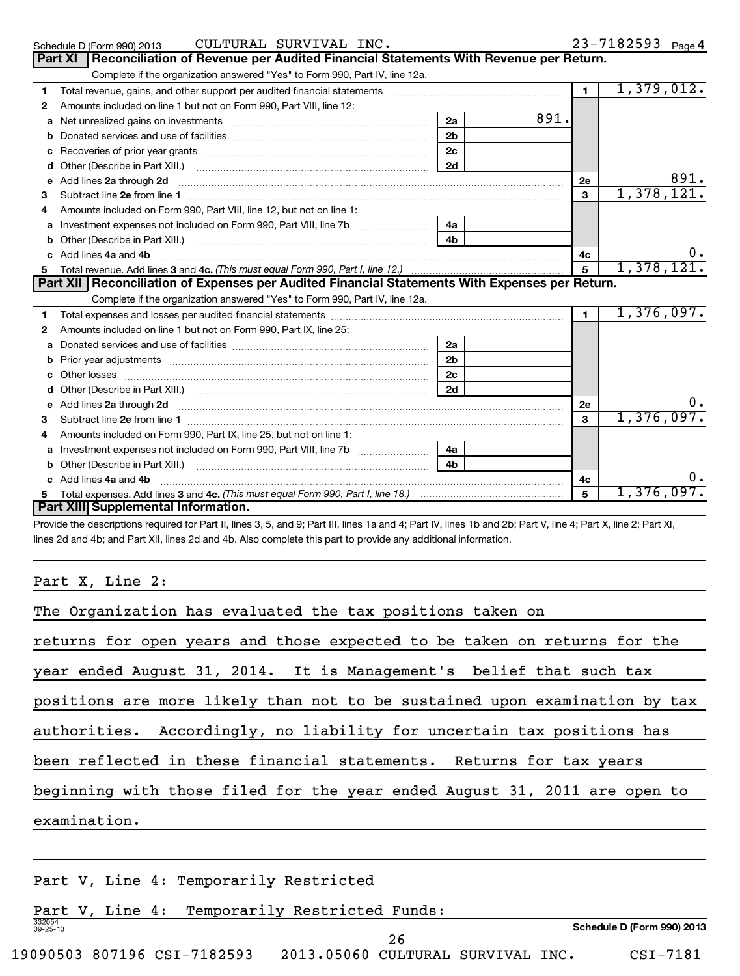|              | CULTURAL SURVIVAL INC.<br>Schedule D (Form 990) 2013                                                                                                                                                                                 |  |                |      |                | $23 - 7182593$ Page 4 |      |
|--------------|--------------------------------------------------------------------------------------------------------------------------------------------------------------------------------------------------------------------------------------|--|----------------|------|----------------|-----------------------|------|
|              | Reconciliation of Revenue per Audited Financial Statements With Revenue per Return.<br>Part XI                                                                                                                                       |  |                |      |                |                       |      |
|              | Complete if the organization answered "Yes" to Form 990, Part IV, line 12a.                                                                                                                                                          |  |                |      |                |                       |      |
| $\mathbf 1$  | Total revenue, gains, and other support per audited financial statements                                                                                                                                                             |  |                |      | 1              | 1,379,012.            |      |
| 2            | Amounts included on line 1 but not on Form 990, Part VIII, line 12:                                                                                                                                                                  |  |                |      |                |                       |      |
| a            |                                                                                                                                                                                                                                      |  | 2a             | 891. |                |                       |      |
| b            |                                                                                                                                                                                                                                      |  | 2 <sub>b</sub> |      |                |                       |      |
| с            |                                                                                                                                                                                                                                      |  | 2c             |      |                |                       |      |
| d            |                                                                                                                                                                                                                                      |  | 2d             |      |                |                       |      |
| е            | Add lines 2a through 2d <b>continuum contract and all contract and all contract and all contract and all contract and all contract and all contract and all contract and all contract and all contract and all contract and all </b> |  |                |      | 2е             |                       | 891. |
| 3            |                                                                                                                                                                                                                                      |  |                |      | 3              | 1,378,121.            |      |
| 4            | Amounts included on Form 990, Part VIII, line 12, but not on line 1:                                                                                                                                                                 |  |                |      |                |                       |      |
| a            |                                                                                                                                                                                                                                      |  |                |      |                |                       |      |
| b            |                                                                                                                                                                                                                                      |  |                |      |                |                       |      |
| c.           | Add lines 4a and 4b                                                                                                                                                                                                                  |  |                |      | 4c             |                       | 0.   |
| 5.           | Total revenue. Add lines 3 and 4c. (This must equal Form 990, Part I, line 12.) <i>manoronana community and allegan</i>                                                                                                              |  |                |      | $\overline{5}$ | 1,378,121.            |      |
|              | Part XII   Reconciliation of Expenses per Audited Financial Statements With Expenses per Return.                                                                                                                                     |  |                |      |                |                       |      |
|              | Complete if the organization answered "Yes" to Form 990, Part IV, line 12a.                                                                                                                                                          |  |                |      |                |                       |      |
| 1.           |                                                                                                                                                                                                                                      |  |                |      | $\mathbf{1}$   | 1,376,097.            |      |
| $\mathbf{2}$ | Amounts included on line 1 but not on Form 990, Part IX, line 25:                                                                                                                                                                    |  |                |      |                |                       |      |
| a            |                                                                                                                                                                                                                                      |  | 2a             |      |                |                       |      |
| b            |                                                                                                                                                                                                                                      |  | 2 <sub>b</sub> |      |                |                       |      |
| c            |                                                                                                                                                                                                                                      |  | 2c             |      |                |                       |      |
|              |                                                                                                                                                                                                                                      |  | $\vert$ 2d     |      |                |                       |      |
| е            |                                                                                                                                                                                                                                      |  |                |      | <b>2e</b>      |                       | 0.   |
| 3            | Subtract line 2e from line 1                                                                                                                                                                                                         |  |                |      | 3              | 1,376,097.            |      |

**4a 4b**

**4c 5**

0.

1,376,097.

**3** Subtract line 2e from line 1 **mature contained as a constant of the set of the set of the set of the set of the set of the set of the set of the set of the set of the set of the set of the set of the set of the set of** 

**c 4a 4b** Add lines and ~~~~~~~~~~~~~~~~~~~~~~~~~~~~~~~~~~~~~~~~~~~~~

lines 2d and 4b; and Part XII, lines 2d and 4b. Also complete this part to provide any additional information.

Provide the descriptions required for Part II, lines 3, 5, and 9; Part III, lines 1a and 4; Part IV, lines 1b and 2b; Part V, line 4; Part X, line 2; Part XI,

**4** Amounts included on Form 990, Part IX, line 25, but not on line 1:

**a** Investment expenses not included on Form 990, Part VIII, line 7b  $\ldots$  $\ldots$  $\ldots$  $\ldots$  $\ldots$ **b** Other (Describe in Part XIII.) ~~~~~~~~~~~~~~~~~~~~~~~~~~

Total expenses. Add lines 3 and 4c. *(This must equal Form 990, Part I, line 18.)* 

Part X, Line 2:

**Part XIII Supplemental Information.**

**5**

| The Organization has evaluated the tax positions taken on                  |  |  |  |  |  |  |
|----------------------------------------------------------------------------|--|--|--|--|--|--|
| returns for open years and those expected to be taken on returns for the   |  |  |  |  |  |  |
| year ended August 31, 2014. It is Management's belief that such tax        |  |  |  |  |  |  |
| positions are more likely than not to be sustained upon examination by tax |  |  |  |  |  |  |
| authorities. Accordingly, no liability for uncertain tax positions has     |  |  |  |  |  |  |
| been reflected in these financial statements. Returns for tax years        |  |  |  |  |  |  |
| beginning with those filed for the year ended August 31, 2011 are open to  |  |  |  |  |  |  |
| examination.                                                               |  |  |  |  |  |  |
|                                                                            |  |  |  |  |  |  |
| Part V, Line 4: Temporarily Restricted                                     |  |  |  |  |  |  |
|                                                                            |  |  |  |  |  |  |

| Part                     | T | ⊔ine∟ | 4 : | Temporarily Restricted | Funds: |                            |
|--------------------------|---|-------|-----|------------------------|--------|----------------------------|
| 332054<br>$09 - 25 - 13$ |   |       |     |                        |        | Schedule D (Form 990) 2013 |
|                          |   |       |     |                        | 4 G    |                            |

19090503 807196 CSI-7182593 2013.05060 CULTURAL SURVIVAL INC. CSI-7181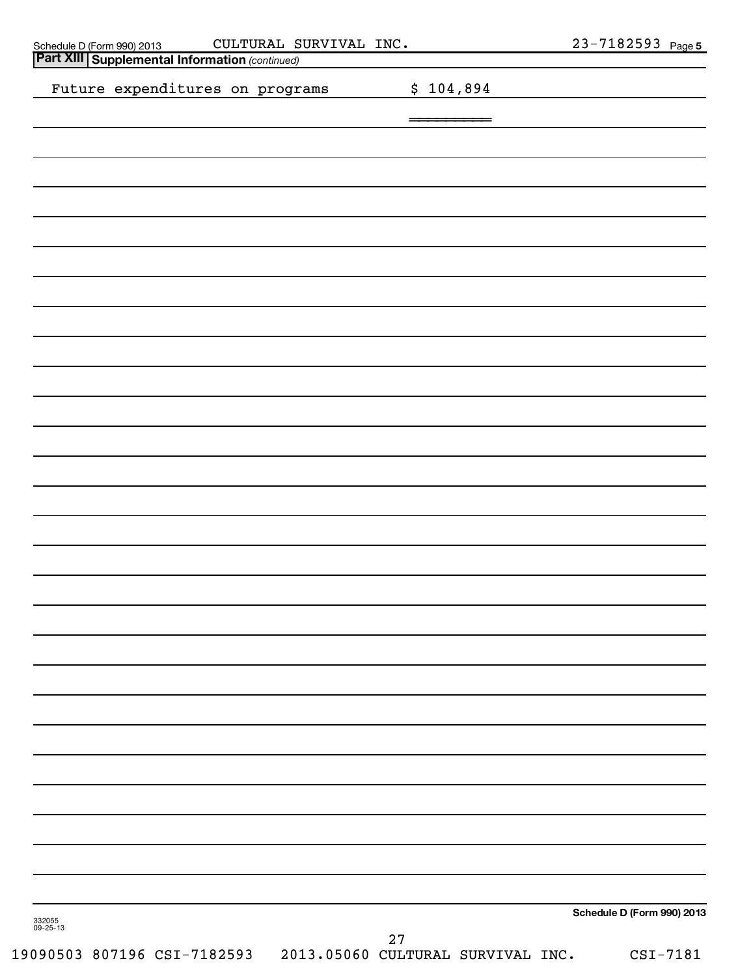| CULTURAL SURVIVAL INC.<br>Schedule D (Form 990) 2013 CULTURAL S<br>Part XIII Supplemental Information (continued) |                                         | $23 - 7182593$ Page 5      |
|-------------------------------------------------------------------------------------------------------------------|-----------------------------------------|----------------------------|
|                                                                                                                   |                                         |                            |
| Future expenditures on programs                                                                                   | \$104,894                               |                            |
|                                                                                                                   |                                         |                            |
|                                                                                                                   |                                         |                            |
|                                                                                                                   |                                         |                            |
|                                                                                                                   |                                         |                            |
|                                                                                                                   |                                         |                            |
|                                                                                                                   |                                         |                            |
|                                                                                                                   |                                         |                            |
|                                                                                                                   |                                         |                            |
|                                                                                                                   |                                         |                            |
|                                                                                                                   |                                         |                            |
|                                                                                                                   |                                         |                            |
|                                                                                                                   |                                         |                            |
|                                                                                                                   |                                         |                            |
|                                                                                                                   |                                         |                            |
|                                                                                                                   |                                         |                            |
|                                                                                                                   |                                         |                            |
|                                                                                                                   |                                         |                            |
|                                                                                                                   |                                         |                            |
|                                                                                                                   |                                         |                            |
|                                                                                                                   |                                         |                            |
|                                                                                                                   |                                         |                            |
|                                                                                                                   |                                         |                            |
|                                                                                                                   |                                         |                            |
|                                                                                                                   |                                         |                            |
|                                                                                                                   |                                         |                            |
|                                                                                                                   |                                         |                            |
|                                                                                                                   |                                         |                            |
|                                                                                                                   |                                         |                            |
|                                                                                                                   |                                         |                            |
|                                                                                                                   |                                         |                            |
|                                                                                                                   |                                         |                            |
|                                                                                                                   |                                         |                            |
| 332055<br>09-25-13                                                                                                |                                         | Schedule D (Form 990) 2013 |
| 19090503 807196 CSI-7182593                                                                                       | 27<br>2013.05060 CULTURAL SURVIVAL INC. | $CSI-7181$                 |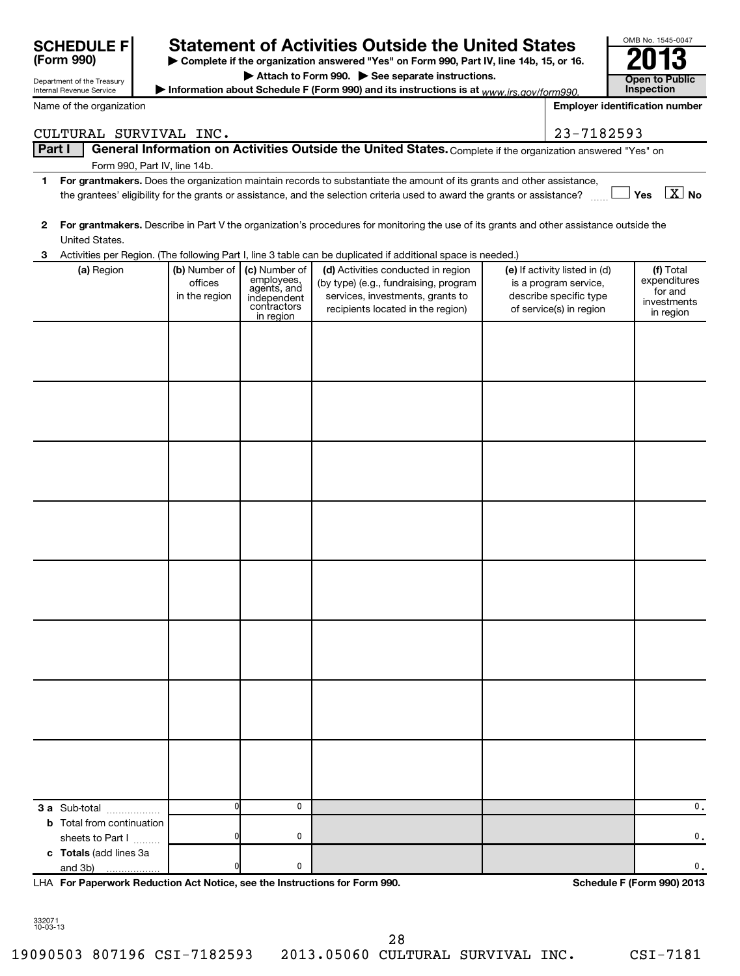|                                                                                                                                                                                          | <b>SCHEDULE FI</b>                                   |                                           |                                                                                       | <b>Statement of Activities Outside the United States</b>                                                                                             |  |                                                                                                             | OMB No. 1545-0047                                                |  |
|------------------------------------------------------------------------------------------------------------------------------------------------------------------------------------------|------------------------------------------------------|-------------------------------------------|---------------------------------------------------------------------------------------|------------------------------------------------------------------------------------------------------------------------------------------------------|--|-------------------------------------------------------------------------------------------------------------|------------------------------------------------------------------|--|
| (Form 990)<br>Complete if the organization answered "Yes" on Form 990, Part IV, line 14b, 15, or 16.                                                                                     |                                                      |                                           |                                                                                       |                                                                                                                                                      |  |                                                                                                             |                                                                  |  |
|                                                                                                                                                                                          | Department of the Treasury                           |                                           |                                                                                       | Attach to Form 990. See separate instructions.                                                                                                       |  |                                                                                                             | <b>Open to Public</b><br>Inspection                              |  |
| Information about Schedule F (Form 990) and its instructions is at www.irs.gov/form990.<br>Internal Revenue Service<br>Name of the organization<br><b>Employer identification number</b> |                                                      |                                           |                                                                                       |                                                                                                                                                      |  |                                                                                                             |                                                                  |  |
|                                                                                                                                                                                          |                                                      |                                           |                                                                                       |                                                                                                                                                      |  |                                                                                                             |                                                                  |  |
| Part I                                                                                                                                                                                   | CULTURAL SURVIVAL INC.                               |                                           |                                                                                       | General Information on Activities Outside the United States. Complete if the organization answered "Yes" on                                          |  | 23-7182593                                                                                                  |                                                                  |  |
|                                                                                                                                                                                          |                                                      | Form 990, Part IV, line 14b.              |                                                                                       |                                                                                                                                                      |  |                                                                                                             |                                                                  |  |
| 1                                                                                                                                                                                        |                                                      |                                           |                                                                                       | For grantmakers. Does the organization maintain records to substantiate the amount of its grants and other assistance,                               |  |                                                                                                             |                                                                  |  |
|                                                                                                                                                                                          |                                                      |                                           |                                                                                       | the grantees' eligibility for the grants or assistance, and the selection criteria used to award the grants or assistance?                           |  |                                                                                                             | $\boxed{\text{X}}$ No<br>Yes                                     |  |
| 2                                                                                                                                                                                        | United States.                                       |                                           |                                                                                       | For grantmakers. Describe in Part V the organization's procedures for monitoring the use of its grants and other assistance outside the              |  |                                                                                                             |                                                                  |  |
| 3                                                                                                                                                                                        |                                                      |                                           |                                                                                       | Activities per Region. (The following Part I, line 3 table can be duplicated if additional space is needed.)                                         |  |                                                                                                             |                                                                  |  |
|                                                                                                                                                                                          | (a) Region                                           | (b) Number of<br>offices<br>in the region | (c) Number of<br>employees,<br>agents, and<br>independent<br>contractors<br>in region | (d) Activities conducted in region<br>(by type) (e.g., fundraising, program<br>services, investments, grants to<br>recipients located in the region) |  | (e) If activity listed in (d)<br>is a program service,<br>describe specific type<br>of service(s) in region | (f) Total<br>expenditures<br>for and<br>investments<br>in region |  |
|                                                                                                                                                                                          |                                                      |                                           |                                                                                       |                                                                                                                                                      |  |                                                                                                             |                                                                  |  |
|                                                                                                                                                                                          |                                                      |                                           |                                                                                       |                                                                                                                                                      |  |                                                                                                             |                                                                  |  |
|                                                                                                                                                                                          |                                                      |                                           |                                                                                       |                                                                                                                                                      |  |                                                                                                             |                                                                  |  |
|                                                                                                                                                                                          |                                                      |                                           |                                                                                       |                                                                                                                                                      |  |                                                                                                             |                                                                  |  |
|                                                                                                                                                                                          |                                                      |                                           |                                                                                       |                                                                                                                                                      |  |                                                                                                             |                                                                  |  |
|                                                                                                                                                                                          |                                                      |                                           |                                                                                       |                                                                                                                                                      |  |                                                                                                             |                                                                  |  |
|                                                                                                                                                                                          |                                                      |                                           |                                                                                       |                                                                                                                                                      |  |                                                                                                             |                                                                  |  |
|                                                                                                                                                                                          |                                                      |                                           |                                                                                       |                                                                                                                                                      |  |                                                                                                             |                                                                  |  |
|                                                                                                                                                                                          |                                                      |                                           |                                                                                       |                                                                                                                                                      |  |                                                                                                             |                                                                  |  |
|                                                                                                                                                                                          | 3 a Sub-total                                        | 0                                         | 0                                                                                     |                                                                                                                                                      |  |                                                                                                             | 0.                                                               |  |
|                                                                                                                                                                                          | <b>b</b> Total from continuation<br>sheets to Part I |                                           | 0                                                                                     |                                                                                                                                                      |  |                                                                                                             | 0.                                                               |  |
|                                                                                                                                                                                          | c Totals (add lines 3a<br>and 3b)                    |                                           | 0                                                                                     |                                                                                                                                                      |  |                                                                                                             | 0.                                                               |  |

**For Paperwork Reduction Act Notice, see the Instructions for Form 990. Schedule F (Form 990) 2013** LHA

332071 10-03-13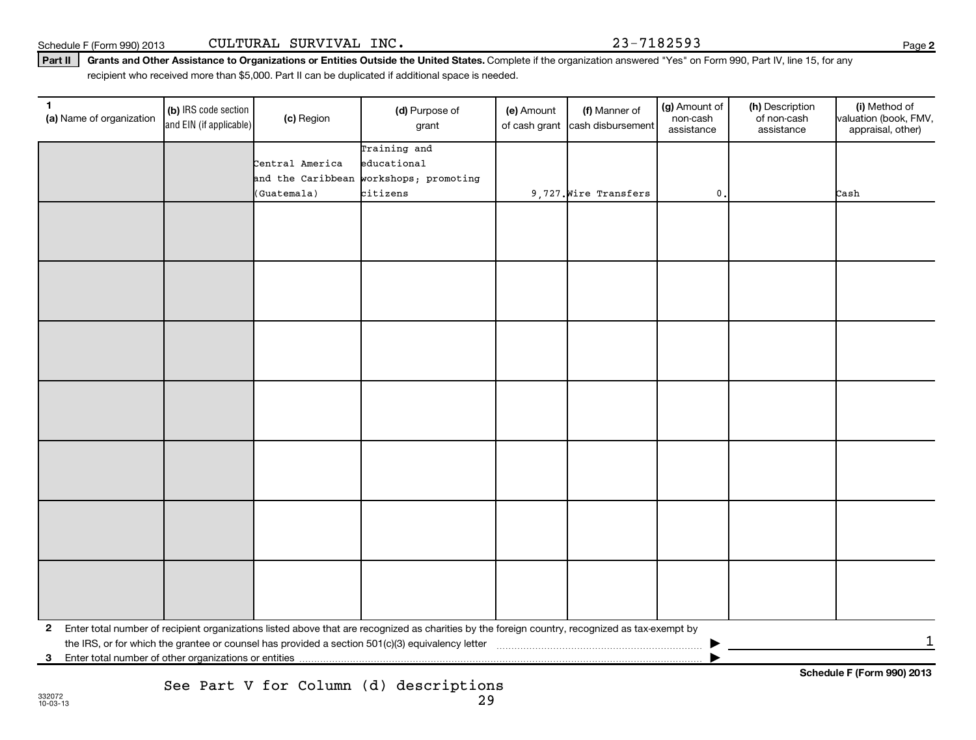Schedule F (Form 990) 2013

| CULTURAL SURVIVAL INC. |  |  |  |
|------------------------|--|--|--|
|------------------------|--|--|--|

Part II | Grants and Other Assistance to Organizations or Entities Outside the United States. Complete if the organization answered "Yes" on Form 990, Part IV, line 15, for any 23-7182593

recipient who received more than \$5,000. Part II can be duplicated if additional space is needed.

| 1            | (a) Name of organization | (b) IRS code section<br>and EIN (if applicable) | (c) Region        | (d) Purpose of<br>grant                                                                                                                         | (e) Amount<br>of cash grant | (f) Manner of<br>cash disbursement | (g) Amount of<br>non-cash<br>assistance | (h) Description<br>of non-cash<br>assistance | (i) Method of<br>valuation (book, FMV,<br>appraisal, other) |
|--------------|--------------------------|-------------------------------------------------|-------------------|-------------------------------------------------------------------------------------------------------------------------------------------------|-----------------------------|------------------------------------|-----------------------------------------|----------------------------------------------|-------------------------------------------------------------|
|              |                          |                                                 |                   | Training and                                                                                                                                    |                             |                                    |                                         |                                              |                                                             |
|              |                          |                                                 | Central America   | educational                                                                                                                                     |                             |                                    |                                         |                                              |                                                             |
|              |                          |                                                 | and the Caribbean | workshops; promoting                                                                                                                            |                             |                                    |                                         |                                              |                                                             |
|              |                          |                                                 | (Guatemala)       | citizens                                                                                                                                        |                             | 9,727. Wire Transfers              | $\mathbf 0$ .                           |                                              | Cash                                                        |
|              |                          |                                                 |                   |                                                                                                                                                 |                             |                                    |                                         |                                              |                                                             |
|              |                          |                                                 |                   |                                                                                                                                                 |                             |                                    |                                         |                                              |                                                             |
|              |                          |                                                 |                   |                                                                                                                                                 |                             |                                    |                                         |                                              |                                                             |
|              |                          |                                                 |                   |                                                                                                                                                 |                             |                                    |                                         |                                              |                                                             |
|              |                          |                                                 |                   |                                                                                                                                                 |                             |                                    |                                         |                                              |                                                             |
|              |                          |                                                 |                   |                                                                                                                                                 |                             |                                    |                                         |                                              |                                                             |
|              |                          |                                                 |                   |                                                                                                                                                 |                             |                                    |                                         |                                              |                                                             |
|              |                          |                                                 |                   |                                                                                                                                                 |                             |                                    |                                         |                                              |                                                             |
|              |                          |                                                 |                   |                                                                                                                                                 |                             |                                    |                                         |                                              |                                                             |
|              |                          |                                                 |                   |                                                                                                                                                 |                             |                                    |                                         |                                              |                                                             |
|              |                          |                                                 |                   |                                                                                                                                                 |                             |                                    |                                         |                                              |                                                             |
|              |                          |                                                 |                   |                                                                                                                                                 |                             |                                    |                                         |                                              |                                                             |
|              |                          |                                                 |                   |                                                                                                                                                 |                             |                                    |                                         |                                              |                                                             |
|              |                          |                                                 |                   |                                                                                                                                                 |                             |                                    |                                         |                                              |                                                             |
|              |                          |                                                 |                   |                                                                                                                                                 |                             |                                    |                                         |                                              |                                                             |
|              |                          |                                                 |                   |                                                                                                                                                 |                             |                                    |                                         |                                              |                                                             |
|              |                          |                                                 |                   |                                                                                                                                                 |                             |                                    |                                         |                                              |                                                             |
|              |                          |                                                 |                   |                                                                                                                                                 |                             |                                    |                                         |                                              |                                                             |
|              |                          |                                                 |                   |                                                                                                                                                 |                             |                                    |                                         |                                              |                                                             |
|              |                          |                                                 |                   |                                                                                                                                                 |                             |                                    |                                         |                                              |                                                             |
|              |                          |                                                 |                   |                                                                                                                                                 |                             |                                    |                                         |                                              |                                                             |
|              |                          |                                                 |                   |                                                                                                                                                 |                             |                                    |                                         |                                              |                                                             |
|              |                          |                                                 |                   |                                                                                                                                                 |                             |                                    |                                         |                                              |                                                             |
|              |                          |                                                 |                   |                                                                                                                                                 |                             |                                    |                                         |                                              |                                                             |
| $\mathbf{2}$ |                          |                                                 |                   | Enter total number of recipient organizations listed above that are recognized as charities by the foreign country, recognized as tax-exempt by |                             |                                    |                                         |                                              |                                                             |
|              |                          |                                                 |                   |                                                                                                                                                 |                             |                                    |                                         |                                              | $\mathbf{1}$                                                |
| 3            |                          |                                                 |                   |                                                                                                                                                 |                             |                                    |                                         |                                              |                                                             |
|              |                          |                                                 |                   |                                                                                                                                                 |                             |                                    |                                         |                                              |                                                             |

**2**

**Schedule F (Form 990) 2013**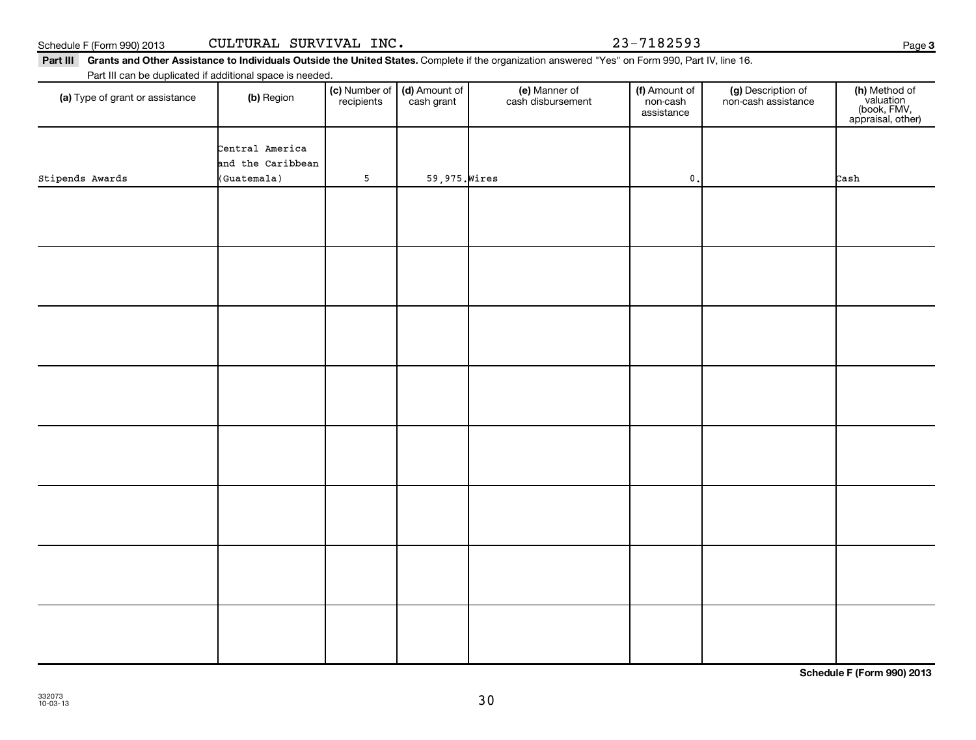**Schedule F (Form 990) 2013**

|  |  |  |  |  | Part III Grants and Other Assistance to Individuals Outside the United States. Complete if the organization answered "Yes" on Form 990, Part IV, line 16. |  |
|--|--|--|--|--|-----------------------------------------------------------------------------------------------------------------------------------------------------------|--|
|  |  |  |  |  |                                                                                                                                                           |  |

# (a) Type of grant or assistance (b) Region (b) Region (c) Number of (d) Amount of (e) Manner of (f) Amount of (f)<br>Region (cash grant cash dishursement pop-cash non-cash assistance v Part III can be duplicated if additional space is needed. (c) Number of **recipients** (d) Amount of cash grant (e) Manner of cash disbursement (f) Amount of non-cash assistance (g) Description of non-cash assistance (**h)** Method of<br>valuation<br>(book, FMV,<br>appraisal, other) Central America and the Caribbean Stipends Awards (Guatemala) 5 59,975.Wires 0. Cash

30

Schedule F (Form 990) 2013 Page CULTURAL SURVIVAL INC. 23-7182593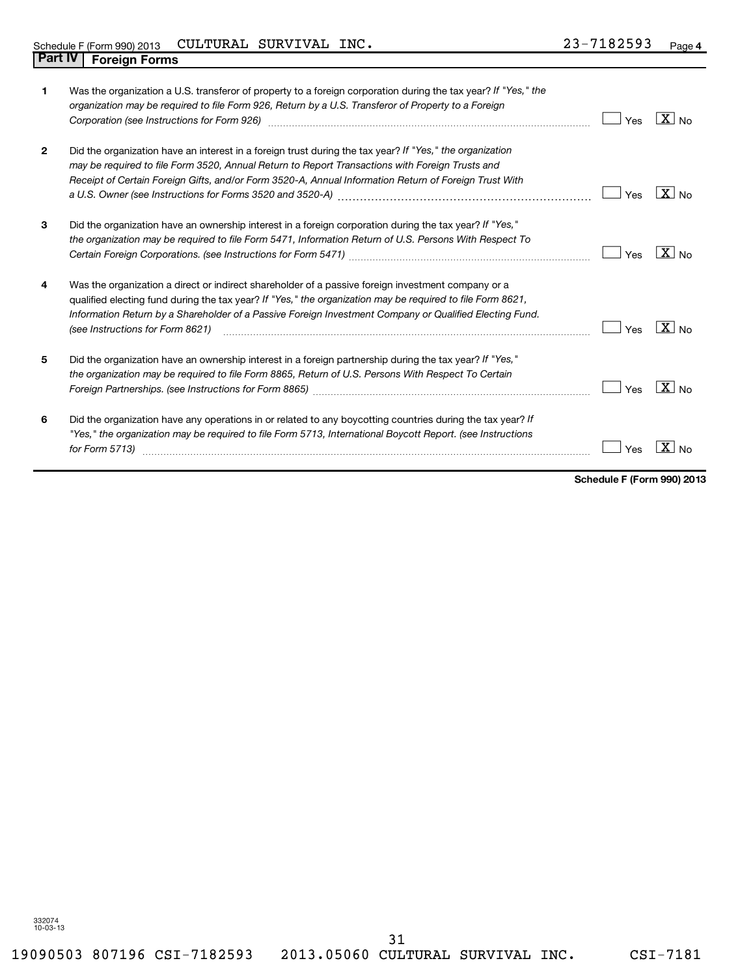|                | Was the organization a U.S. transferor of property to a foreign corporation during the tax year? If "Yes," the<br>organization may be required to file Form 926, Return by a U.S. Transferor of Property to a Foreign<br>Corporation (see Instructions for Form 926) [11] matter continuum matter of the Instruction (see Instructions                          | Yes | $X _{\text{No}}$  |
|----------------|-----------------------------------------------------------------------------------------------------------------------------------------------------------------------------------------------------------------------------------------------------------------------------------------------------------------------------------------------------------------|-----|-------------------|
| $\overline{2}$ | Did the organization have an interest in a foreign trust during the tax year? If "Yes," the organization<br>may be required to file Form 3520, Annual Return to Report Transactions with Foreign Trusts and<br>Receipt of Certain Foreign Gifts, and/or Form 3520-A, Annual Information Return of Foreign Trust With                                            | Yes | $X_{\text{No}}$   |
| 3              | Did the organization have an ownership interest in a foreign corporation during the tax year? If "Yes,"<br>the organization may be required to file Form 5471, Information Return of U.S. Persons With Respect To                                                                                                                                               | Yes | $\overline{X}$ No |
| 4              | Was the organization a direct or indirect shareholder of a passive foreign investment company or a<br>qualified electing fund during the tax year? If "Yes," the organization may be required to file Form 8621,<br>Information Return by a Shareholder of a Passive Foreign Investment Company or Qualified Electing Fund.<br>(see Instructions for Form 8621) | Yes | $X_{\text{No}}$   |
| 5              | Did the organization have an ownership interest in a foreign partnership during the tax year? If "Yes,"<br>the organization may be required to file Form 8865, Return of U.S. Persons With Respect To Certain                                                                                                                                                   | Yes | $\overline{X}$ No |
| 6              | Did the organization have any operations in or related to any boycotting countries during the tax year? If<br>"Yes," the organization may be required to file Form 5713, International Boycott Report. (see Instructions<br>for Form 5713)                                                                                                                      | Yes | $\mathbf{x}$      |

**Schedule F (Form 990) 2013**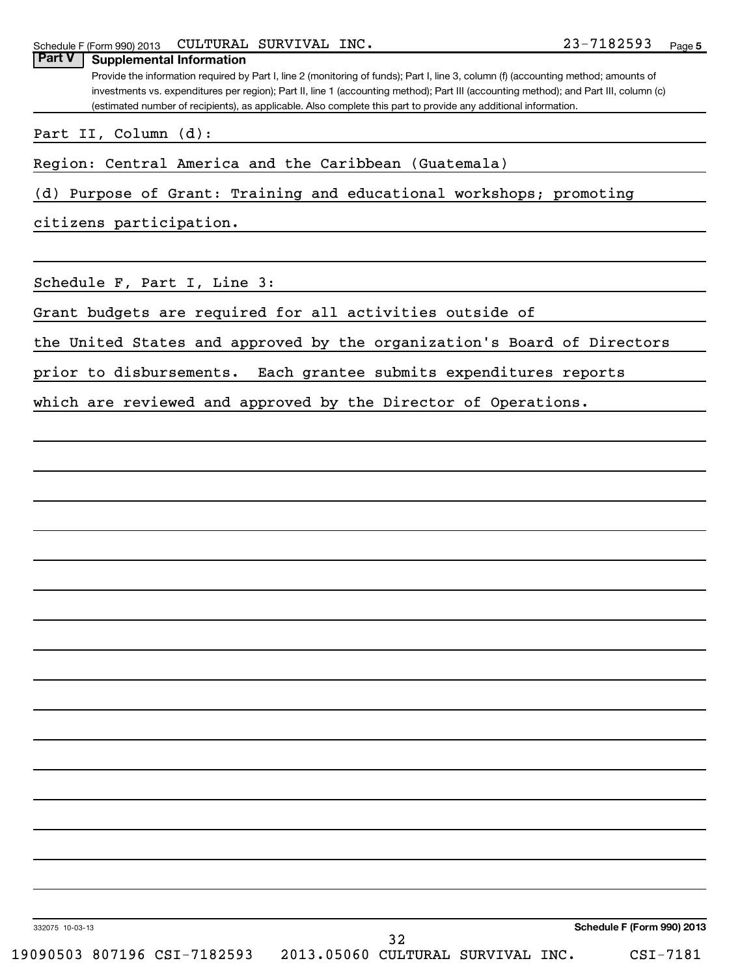Provide the information required by Part I, line 2 (monitoring of funds); Part I, line 3, column (f) (accounting method; amounts of investments vs. expenditures per region); Part II, line 1 (accounting method); Part III (accounting method); and Part III, column (c) (estimated number of recipients), as applicable. Also complete this part to provide any additional information. **Part V Supplemental Information**

Part II, Column (d):

Region: Central America and the Caribbean (Guatemala)

(d) Purpose of Grant: Training and educational workshops; promoting

citizens participation.

Schedule F, Part I, Line 3:

Grant budgets are required for all activities outside of

the United States and approved by the organization's Board of Directors

prior to disbursements. Each grantee submits expenditures reports

which are reviewed and approved by the Director of Operations.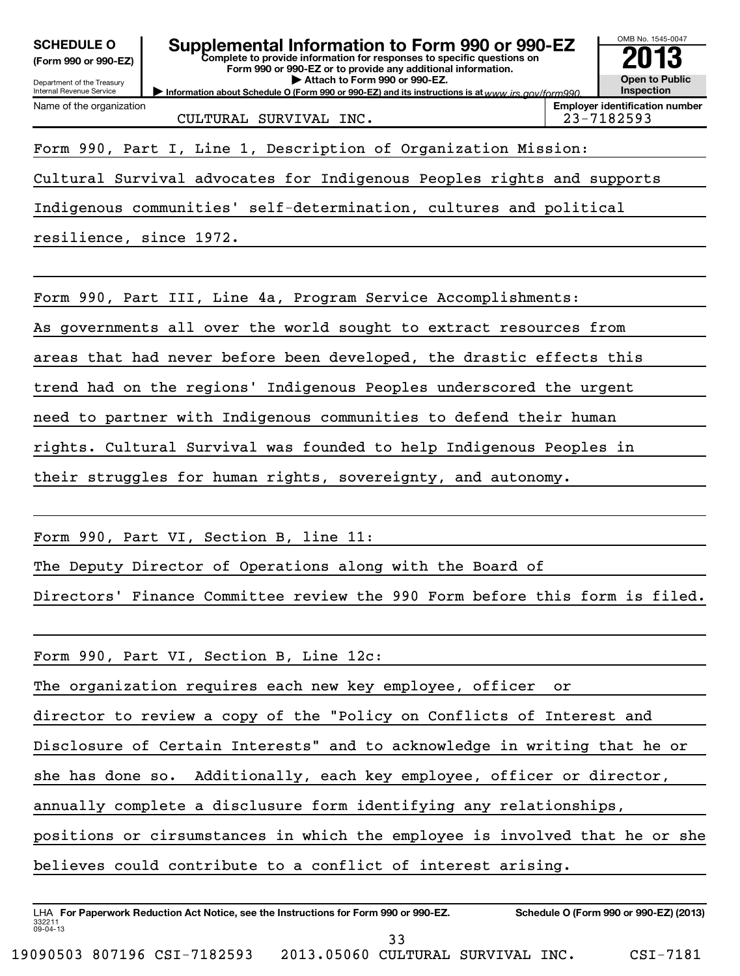| <b>SCHEDULE O</b><br>Supplemental Information to Form 990 or 990-EZ<br>Complete to provide information for responses to specific questions on<br>(Form 990 or 990-EZ)<br>Form 990 or 990-EZ or to provide any additional information.<br>Attach to Form 990 or 990-EZ.<br>Department of the Treasury<br>Internal Revenue Service<br>Information about Schedule O (Form 990 or 990-EZ) and its instructions is at www.irs.gov/form990 | OMB No. 1545-0047<br><b>Open to Public</b><br>Inspection |  |  |  |  |
|--------------------------------------------------------------------------------------------------------------------------------------------------------------------------------------------------------------------------------------------------------------------------------------------------------------------------------------------------------------------------------------------------------------------------------------|----------------------------------------------------------|--|--|--|--|
| Name of the organization<br>CULTURAL SURVIVAL INC.                                                                                                                                                                                                                                                                                                                                                                                   | <b>Employer identification number</b><br>23-7182593      |  |  |  |  |
| Form 990, Part I, Line 1, Description of Organization Mission:                                                                                                                                                                                                                                                                                                                                                                       |                                                          |  |  |  |  |
| Cultural Survival advocates for Indigenous Peoples rights and supports                                                                                                                                                                                                                                                                                                                                                               |                                                          |  |  |  |  |
| Indigenous communities' self-determination, cultures and political                                                                                                                                                                                                                                                                                                                                                                   |                                                          |  |  |  |  |
| resilience, since 1972.                                                                                                                                                                                                                                                                                                                                                                                                              |                                                          |  |  |  |  |
|                                                                                                                                                                                                                                                                                                                                                                                                                                      |                                                          |  |  |  |  |
| Form 990, Part III, Line 4a, Program Service Accomplishments:                                                                                                                                                                                                                                                                                                                                                                        |                                                          |  |  |  |  |
| As governments all over the world sought to extract resources from                                                                                                                                                                                                                                                                                                                                                                   |                                                          |  |  |  |  |
| areas that had never before been developed, the drastic effects this                                                                                                                                                                                                                                                                                                                                                                 |                                                          |  |  |  |  |
| trend had on the regions' Indigenous Peoples underscored the urgent                                                                                                                                                                                                                                                                                                                                                                  |                                                          |  |  |  |  |
| need to partner with Indigenous communities to defend their human                                                                                                                                                                                                                                                                                                                                                                    |                                                          |  |  |  |  |
| rights. Cultural Survival was founded to help Indigenous Peoples in                                                                                                                                                                                                                                                                                                                                                                  |                                                          |  |  |  |  |
| their struggles for human rights, sovereignty, and autonomy.                                                                                                                                                                                                                                                                                                                                                                         |                                                          |  |  |  |  |
|                                                                                                                                                                                                                                                                                                                                                                                                                                      |                                                          |  |  |  |  |
| Form 990, Part VI, Section B, line 11:                                                                                                                                                                                                                                                                                                                                                                                               |                                                          |  |  |  |  |
| The Deputy Director of Operations along with the Board of                                                                                                                                                                                                                                                                                                                                                                            |                                                          |  |  |  |  |
| Directors' Finance Committee review the 990 Form before this form is filed.                                                                                                                                                                                                                                                                                                                                                          |                                                          |  |  |  |  |
|                                                                                                                                                                                                                                                                                                                                                                                                                                      |                                                          |  |  |  |  |
| Form 990, Part VI, Section B, Line 12c:                                                                                                                                                                                                                                                                                                                                                                                              |                                                          |  |  |  |  |
| The organization requires each new key employee, officer<br>or                                                                                                                                                                                                                                                                                                                                                                       |                                                          |  |  |  |  |
| director to review a copy of the "Policy on Conflicts of Interest and                                                                                                                                                                                                                                                                                                                                                                |                                                          |  |  |  |  |
| Disclosure of Certain Interests" and to acknowledge in writing that he or                                                                                                                                                                                                                                                                                                                                                            |                                                          |  |  |  |  |
| Additionally, each key employee, officer or director,<br>she has done so.                                                                                                                                                                                                                                                                                                                                                            |                                                          |  |  |  |  |
| annually complete a disclusure form identifying any relationships,                                                                                                                                                                                                                                                                                                                                                                   |                                                          |  |  |  |  |
| positions or cirsumstances in which the employee is involved that he or she                                                                                                                                                                                                                                                                                                                                                          |                                                          |  |  |  |  |
| believes could contribute to a conflict of interest arising.                                                                                                                                                                                                                                                                                                                                                                         |                                                          |  |  |  |  |
|                                                                                                                                                                                                                                                                                                                                                                                                                                      |                                                          |  |  |  |  |
| LHA For Paperwork Reduction Act Notice, see the Instructions for Form 990 or 990-EZ.                                                                                                                                                                                                                                                                                                                                                 | Schedule O (Form 990 or 990-EZ) (2013)                   |  |  |  |  |

332211 09-04-13